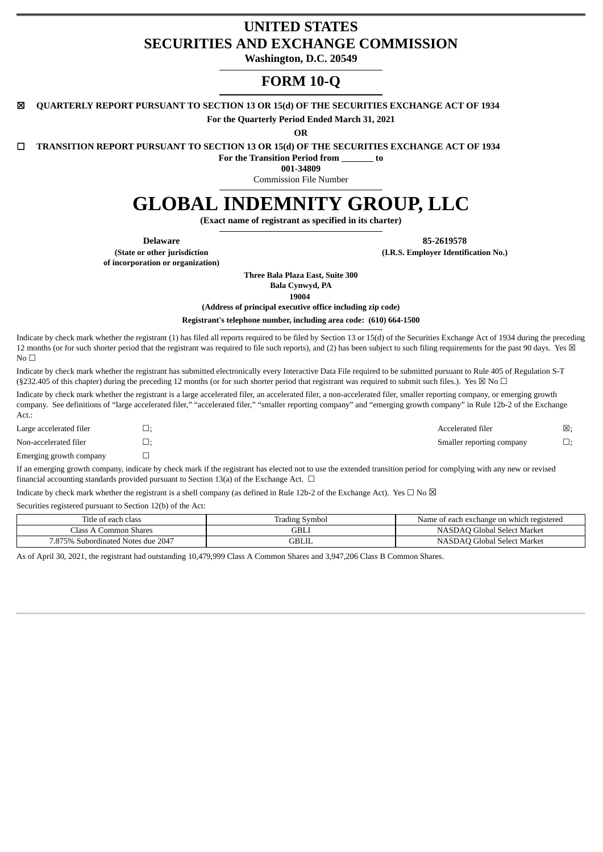# **UNITED STATES SECURITIES AND EXCHANGE COMMISSION**

**Washington, D.C. 20549**

# **FORM 10-Q**

# ☒ **QUARTERLY REPORT PURSUANT TO SECTION 13 OR 15(d) OF THE SECURITIES EXCHANGE ACT OF 1934**

**For the Quarterly Period Ended March 31, 2021**

**OR**

☐ **TRANSITION REPORT PURSUANT TO SECTION 13 OR 15(d) OF THE SECURITIES EXCHANGE ACT OF 1934**

**For the Transition Period from to**

**001-34809**

Commission File Number

# **GLOBAL INDEMNITY GROUP, LLC**

**(Exact name of registrant as specified in its charter)**

**Delaware 85-2619578 (State or other jurisdiction of incorporation or organization)**

**(I.R.S. Employer Identification No.)**

**Three Bala Plaza East, Suite 300**

**Bala Cynwyd, PA 19004**

**(Address of principal executive office including zip code)**

**Registrant's telephone number, including area code: (610) 664-1500**

Indicate by check mark whether the registrant (1) has filed all reports required to be filed by Section 13 or 15(d) of the Securities Exchange Act of 1934 during the preceding 12 months (or for such shorter period that the registrant was required to file such reports), and (2) has been subject to such filing requirements for the past 90 days. Yes  $\boxtimes$  $No<sub>1</sub>$ 

Indicate by check mark whether the registrant has submitted electronically every Interactive Data File required to be submitted pursuant to Rule 405 of Regulation S-T (§232.405 of this chapter) during the preceding 12 months (or for such shorter period that registrant was required to submit such files.). Yes ⊠ No □

Indicate by check mark whether the registrant is a large accelerated filer, an accelerated filer, a non-accelerated filer, smaller reporting company, or emerging growth company. See definitions of "large accelerated filer," "accelerated filer," "smaller reporting company" and "emerging growth company" in Rule 12b-2 of the Exchange Act.:

| Large accelerated filer | ᅳ |          |                   |                                                                                                                             | Accelerated filer         | ⊠: |
|-------------------------|---|----------|-------------------|-----------------------------------------------------------------------------------------------------------------------------|---------------------------|----|
| Non-accelerated filer   |   |          |                   |                                                                                                                             | Smaller reporting company | ¬. |
| Emerging growth company |   |          |                   |                                                                                                                             |                           |    |
|                         |   | $\cdots$ | $\cdots$ $\cdots$ | $\cdots$<br>the contract of the contract of the contract of the contract of the contract of the contract of the contract of |                           |    |

If an emerging growth company, indicate by check mark if the registrant has elected not to use the extended transition period for complying with any new or revised financial accounting standards provided pursuant to Section 13(a) of the Exchange Act.  $\Box$ 

Indicate by check mark whether the registrant is a shell company (as defined in Rule 12b-2 of the Exchange Act). Yes  $\Box$  No  $\boxtimes$ 

Securities registered pursuant to Section 12(b) of the Act:

| Title of each class                        | Trading Symbol | Name of each exchange on which registered |
|--------------------------------------------|----------------|-------------------------------------------|
| lass<br>Common Shares                      | GBLI           | i Select Market<br>Global<br>NASDAC       |
| Subordinated Notes due 2047<br>$7.875\%$ . | GBLIL          | . Select Market<br>` Global .<br>NASDAG   |

As of April 30, 2021, the registrant had outstanding 10,479,999 Class A Common Shares and 3,947,206 Class B Common Shares.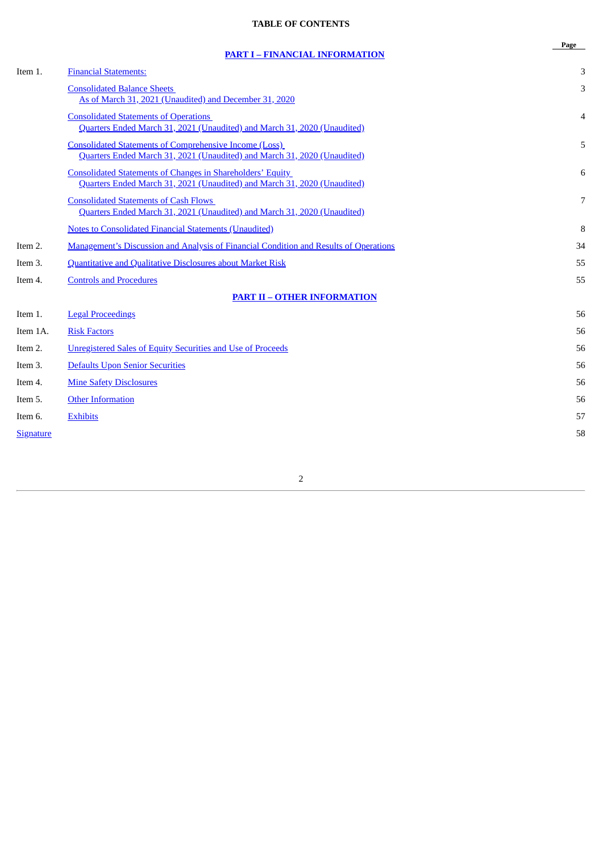# **TABLE OF CONTENTS**

# **PART I – FINANCIAL [INFORMATION](#page-2-0)**

**Page**

| Item 1.          | <b>Financial Statements:</b>                                                                                                                  | 3  |
|------------------|-----------------------------------------------------------------------------------------------------------------------------------------------|----|
|                  | <b>Consolidated Balance Sheets</b><br>As of March 31, 2021 (Unaudited) and December 31, 2020                                                  | 3  |
|                  | <b>Consolidated Statements of Operations</b><br>Quarters Ended March 31, 2021 (Unaudited) and March 31, 2020 (Unaudited)                      | 4  |
|                  | <b>Consolidated Statements of Comprehensive Income (Loss)</b><br>Quarters Ended March 31, 2021 (Unaudited) and March 31, 2020 (Unaudited)     | 5  |
|                  | <b>Consolidated Statements of Changes in Shareholders' Equity</b><br>Ouarters Ended March 31, 2021 (Unaudited) and March 31, 2020 (Unaudited) | 6  |
|                  | <b>Consolidated Statements of Cash Flows</b><br>Quarters Ended March 31, 2021 (Unaudited) and March 31, 2020 (Unaudited)                      | 7  |
|                  | <b>Notes to Consolidated Financial Statements (Unaudited)</b>                                                                                 | 8  |
| Item 2.          | <b>Management's Discussion and Analysis of Financial Condition and Results of Operations</b>                                                  | 34 |
| Item 3.          | Quantitative and Qualitative Disclosures about Market Risk                                                                                    | 55 |
| Item 4.          | <b>Controls and Procedures</b>                                                                                                                | 55 |
|                  | <b>PART II - OTHER INFORMATION</b>                                                                                                            |    |
| Item 1.          | <b>Legal Proceedings</b>                                                                                                                      | 56 |
| Item 1A.         | <b>Risk Factors</b>                                                                                                                           | 56 |
| Item 2.          | <b>Unregistered Sales of Equity Securities and Use of Proceeds</b>                                                                            | 56 |
| Item 3.          | <b>Defaults Upon Senior Securities</b>                                                                                                        | 56 |
| Item 4.          | <b>Mine Safety Disclosures</b>                                                                                                                | 56 |
| Item 5.          | <b>Other Information</b>                                                                                                                      | 56 |
| Item 6.          | <b>Exhibits</b>                                                                                                                               | 57 |
| <b>Signature</b> |                                                                                                                                               | 58 |
|                  |                                                                                                                                               |    |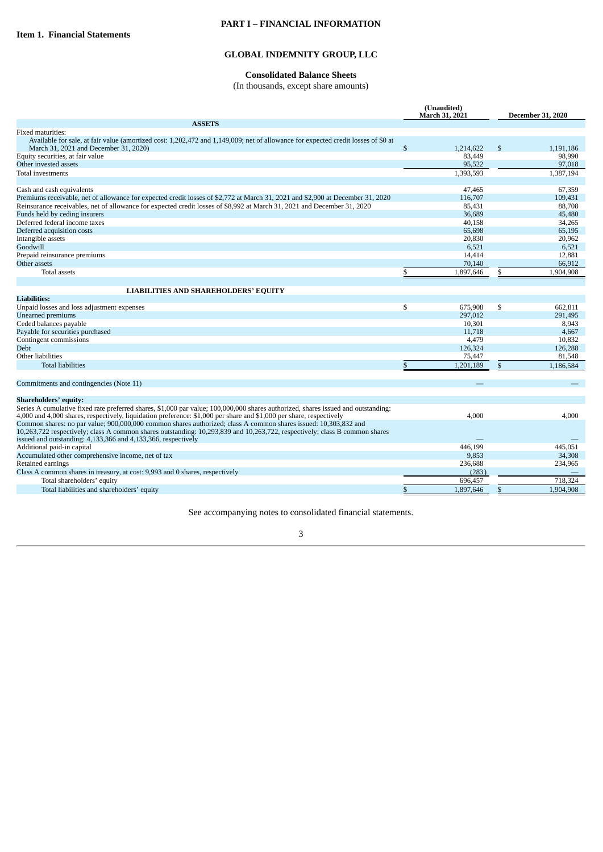# **PART I – FINANCIAL INFORMATION**

# **GLOBAL INDEMNITY GROUP, LLC**

# **Consolidated Balance Sheets**

(In thousands, except share amounts)

<span id="page-2-2"></span><span id="page-2-1"></span><span id="page-2-0"></span>

|                                                                                                                                                                                                                                                                                                                |               | (Unaudited)<br><b>March 31, 2021</b> |              | <b>December 31, 2020</b> |
|----------------------------------------------------------------------------------------------------------------------------------------------------------------------------------------------------------------------------------------------------------------------------------------------------------------|---------------|--------------------------------------|--------------|--------------------------|
| <b>ASSETS</b>                                                                                                                                                                                                                                                                                                  |               |                                      |              |                          |
| Fixed maturities:                                                                                                                                                                                                                                                                                              |               |                                      |              |                          |
| Available for sale, at fair value (amortized cost: 1,202,472 and 1,149,009; net of allowance for expected credit losses of \$0 at<br>March 31, 2021 and December 31, 2020)                                                                                                                                     | $\mathcal{S}$ | 1.214.622                            | $\mathbb{S}$ | 1.191.186                |
| Equity securities, at fair value                                                                                                                                                                                                                                                                               |               | 83.449                               |              | 98.990                   |
| Other invested assets                                                                                                                                                                                                                                                                                          |               | 95,522                               |              | 97,018                   |
| <b>Total investments</b>                                                                                                                                                                                                                                                                                       |               | 1,393,593                            |              | 1.387.194                |
| Cash and cash equivalents                                                                                                                                                                                                                                                                                      |               | 47.465                               |              | 67.359                   |
| Premiums receivable, net of allowance for expected credit losses of \$2,772 at March 31, 2021 and \$2,900 at December 31, 2020                                                                                                                                                                                 |               | 116,707                              |              | 109,431                  |
| Reinsurance receivables, net of allowance for expected credit losses of \$8,992 at March 31, 2021 and December 31, 2020                                                                                                                                                                                        |               | 85.431                               |              | 88,708                   |
| Funds held by ceding insurers                                                                                                                                                                                                                                                                                  |               | 36,689                               |              | 45,480                   |
| Deferred federal income taxes                                                                                                                                                                                                                                                                                  |               | 40,158                               |              | 34,265                   |
| Deferred acquisition costs                                                                                                                                                                                                                                                                                     |               | 65,698                               |              | 65,195                   |
| Intangible assets                                                                                                                                                                                                                                                                                              |               | 20,830                               |              | 20,962                   |
| Goodwill                                                                                                                                                                                                                                                                                                       |               | 6.521                                |              | 6.521                    |
| Prepaid reinsurance premiums                                                                                                                                                                                                                                                                                   |               | 14.414                               |              | 12.881                   |
| Other assets                                                                                                                                                                                                                                                                                                   |               | 70,140                               |              | 66,912                   |
| Total assets                                                                                                                                                                                                                                                                                                   |               | 1,897,646                            | \$           | 1,904,908                |
| <b>LIABILITIES AND SHAREHOLDERS' EQUITY</b>                                                                                                                                                                                                                                                                    |               |                                      |              |                          |
| <b>Liabilities:</b>                                                                                                                                                                                                                                                                                            |               |                                      |              |                          |
| Unpaid losses and loss adjustment expenses                                                                                                                                                                                                                                                                     | \$            | 675.908                              | \$           | 662.811                  |
| <b>Unearned premiums</b>                                                                                                                                                                                                                                                                                       |               | 297.012                              |              | 291.495                  |
| Ceded balances payable                                                                                                                                                                                                                                                                                         |               | 10.301                               |              | 8.943                    |
| Payable for securities purchased                                                                                                                                                                                                                                                                               |               | 11,718                               |              | 4.667                    |
| Contingent commissions                                                                                                                                                                                                                                                                                         |               | 4.479                                |              | 10.832                   |
| <b>Debt</b>                                                                                                                                                                                                                                                                                                    |               | 126,324                              |              | 126,288                  |
| Other liabilities                                                                                                                                                                                                                                                                                              |               | 75,447                               |              | 81,548                   |
| <b>Total liabilities</b>                                                                                                                                                                                                                                                                                       |               | 1,201,189                            | $\mathbb{S}$ | 1,186,584                |
|                                                                                                                                                                                                                                                                                                                |               |                                      |              |                          |
| Commitments and contingencies (Note 11)                                                                                                                                                                                                                                                                        |               |                                      |              |                          |
| <b>Shareholders' equity:</b>                                                                                                                                                                                                                                                                                   |               |                                      |              |                          |
| Series A cumulative fixed rate preferred shares, \$1,000 par value; 100,000,000 shares authorized, shares issued and outstanding:<br>4,000 and 4,000 shares, respectively, liquidation preference: \$1,000 per share and \$1,000 per share, respectively                                                       |               | 4.000                                |              | 4.000                    |
| Common shares: no par value; 900,000,000 common shares authorized; class A common shares issued: 10,303,832 and<br>10,263,722 respectively; class A common shares outstanding: 10,293,839 and 10,263,722, respectively; class B common shares<br>issued and outstanding: 4,133,366 and 4,133,366, respectively |               |                                      |              |                          |
| Additional paid-in capital                                                                                                                                                                                                                                                                                     |               | 446.199                              |              | 445.051                  |
| Accumulated other comprehensive income, net of tax                                                                                                                                                                                                                                                             |               | 9.853                                |              | 34.308                   |
| Retained earnings                                                                                                                                                                                                                                                                                              |               | 236,688                              |              | 234,965                  |
| Class A common shares in treasury, at cost: 9,993 and 0 shares, respectively                                                                                                                                                                                                                                   |               | (283)                                |              |                          |
| Total shareholders' equity                                                                                                                                                                                                                                                                                     |               | 696,457                              |              | 718,324                  |
| Total liabilities and shareholders' equity                                                                                                                                                                                                                                                                     |               | 1.897.646                            | \$           | 1.904.908                |
|                                                                                                                                                                                                                                                                                                                |               |                                      |              |                          |

See accompanying notes to consolidated financial statements.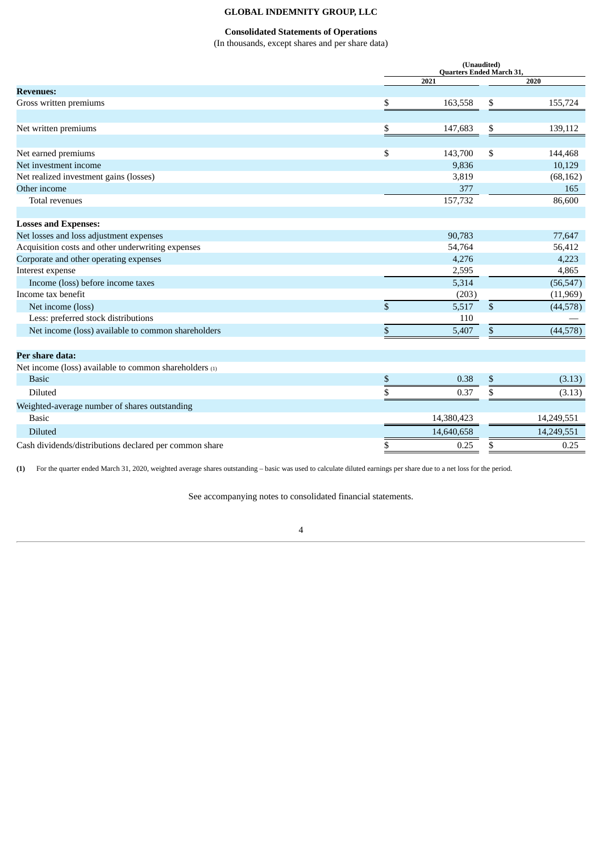# **Consolidated Statements of Operations**

(In thousands, except shares and per share data)

<span id="page-3-0"></span>

|                                                        |               | (Unaudited)<br>Quarters Ended March 31, |    |            |  |  |
|--------------------------------------------------------|---------------|-----------------------------------------|----|------------|--|--|
|                                                        |               | 2021                                    |    | 2020       |  |  |
| <b>Revenues:</b>                                       |               |                                         |    |            |  |  |
| Gross written premiums                                 | \$            | 163,558                                 | \$ | 155,724    |  |  |
| Net written premiums                                   | \$            | 147,683                                 | \$ | 139,112    |  |  |
| Net earned premiums                                    | \$            | 143,700                                 | \$ | 144,468    |  |  |
| Net investment income                                  |               | 9.836                                   |    | 10,129     |  |  |
| Net realized investment gains (losses)                 |               | 3,819                                   |    | (68, 162)  |  |  |
| Other income                                           |               | 377                                     |    | 165        |  |  |
| <b>Total revenues</b>                                  |               | 157,732                                 |    | 86,600     |  |  |
| <b>Losses and Expenses:</b>                            |               |                                         |    |            |  |  |
| Net losses and loss adjustment expenses                |               | 90,783                                  |    | 77,647     |  |  |
| Acquisition costs and other underwriting expenses      |               | 54,764                                  |    | 56,412     |  |  |
| Corporate and other operating expenses                 |               | 4,276                                   |    | 4,223      |  |  |
| Interest expense                                       |               | 2,595                                   |    | 4,865      |  |  |
| Income (loss) before income taxes                      |               | 5,314                                   |    | (56, 547)  |  |  |
| Income tax benefit                                     |               | (203)                                   |    | (11, 969)  |  |  |
| Net income (loss)                                      | $\mathcal{S}$ | 5,517                                   | \$ | (44, 578)  |  |  |
| Less: preferred stock distributions                    |               | 110                                     |    |            |  |  |
| Net income (loss) available to common shareholders     | \$            | 5,407                                   | \$ | (44, 578)  |  |  |
| Per share data:                                        |               |                                         |    |            |  |  |
| Net income (loss) available to common shareholders (1) |               |                                         |    |            |  |  |
| <b>Basic</b>                                           | \$            | 0.38                                    | \$ | (3.13)     |  |  |
| Diluted                                                | \$            | 0.37                                    | \$ | (3.13)     |  |  |
| Weighted-average number of shares outstanding          |               |                                         |    |            |  |  |
| <b>Basic</b>                                           |               | 14,380,423                              |    | 14,249,551 |  |  |
| <b>Diluted</b>                                         |               | 14,640,658                              |    | 14,249,551 |  |  |
| Cash dividends/distributions declared per common share | \$            | 0.25                                    | \$ | 0.25       |  |  |

**(1)** For the quarter ended March 31, 2020, weighted average shares outstanding – basic was used to calculate diluted earnings per share due to a net loss for the period.

See accompanying notes to consolidated financial statements.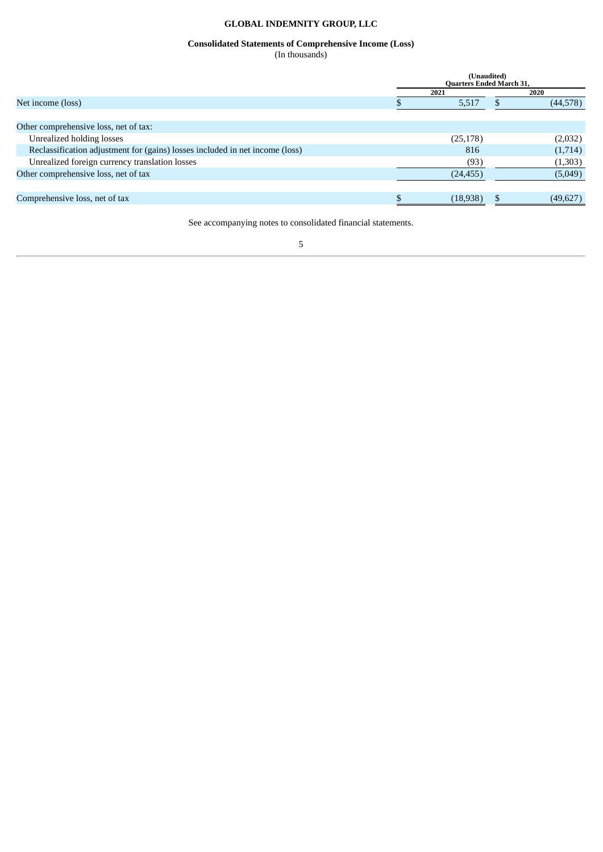#### **Consolidated Statements of Comprehensive Income (Loss)**

(In thousands)

<span id="page-4-0"></span>

|                                                                              | (Unaudited)<br><b>Quarters Ended March 31,</b> |           |
|------------------------------------------------------------------------------|------------------------------------------------|-----------|
|                                                                              | 2021                                           | 2020      |
| Net income (loss)                                                            | 5,517                                          | (44,578)  |
|                                                                              |                                                |           |
| Other comprehensive loss, net of tax:                                        |                                                |           |
| Unrealized holding losses                                                    | (25, 178)                                      | (2,032)   |
| Reclassification adjustment for (gains) losses included in net income (loss) | 816                                            | (1,714)   |
| Unrealized foreign currency translation losses                               | (93)                                           | (1,303)   |
| Other comprehensive loss, net of tax                                         | (24, 455)                                      | (5,049)   |
|                                                                              |                                                |           |
| Comprehensive loss, net of tax                                               | (18, 938)                                      | (49, 627) |

See accompanying notes to consolidated financial statements.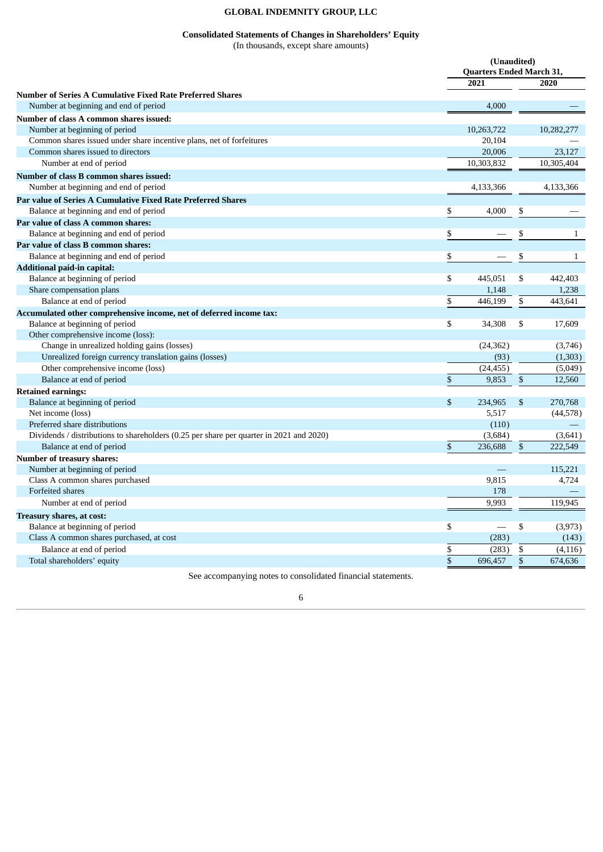# **Consolidated Statements of Changes in Shareholders' Equity**

(In thousands, except share amounts)

<span id="page-5-0"></span>

| 2020<br>2021<br><b>Number of Series A Cumulative Fixed Rate Preferred Shares</b><br>Number at beginning and end of period<br>4,000<br>Number of class A common shares issued:<br>Number at beginning of period<br>10,263,722<br>10,282,277<br>Common shares issued under share incentive plans, net of forfeitures<br>20,104<br>20,006<br>Common shares issued to directors<br>23,127<br>10.305.404<br>Number at end of period<br>10,303,832<br>Number of class B common shares issued:<br>Number at beginning and end of period<br>4,133,366<br>4,133,366<br>Par value of Series A Cumulative Fixed Rate Preferred Shares<br>\$<br>4,000<br>\$<br>Balance at beginning and end of period<br>Par value of class A common shares:<br>\$<br>Balance at beginning and end of period<br>\$<br>$\mathbf{1}$<br>Par value of class B common shares:<br>\$<br>Balance at beginning and end of period<br>\$<br>$\mathbf{1}$<br><b>Additional paid-in capital:</b><br>Balance at beginning of period<br>\$<br>445.051<br>\$<br>442.403<br>Share compensation plans<br>1,148<br>1,238<br>\$<br>446,199<br>\$<br>443,641<br>Balance at end of period<br>Accumulated other comprehensive income, net of deferred income tax:<br>\$<br>34,308<br>Balance at beginning of period<br>\$<br>17,609<br>Other comprehensive income (loss):<br>Change in unrealized holding gains (losses)<br>(24, 362)<br>(3,746)<br>Unrealized foreign currency translation gains (losses)<br>(93)<br>(1,303)<br>(24, 455)<br>(5,049)<br>Other comprehensive income (loss)<br>\$<br>Balance at end of period<br>\$<br>9,853<br>12,560<br><b>Retained earnings:</b><br>$\mathbf{\hat{S}}$<br>\$<br>Balance at beginning of period<br>234,965<br>270,768<br>5,517<br>(44,578)<br>Net income (loss)<br>Preferred share distributions<br>(110)<br>Dividends / distributions to shareholders (0.25 per share per quarter in 2021 and 2020)<br>(3,684)<br>(3,641)<br>$\mathfrak{F}$<br>236,688<br>\$<br>222,549<br>Balance at end of period<br><b>Number of treasury shares:</b><br>Number at beginning of period<br>115,221<br>Class A common shares purchased<br>9,815<br>4,724<br><b>Forfeited shares</b><br>178<br>Number at end of period<br>9,993<br>119,945<br>Treasury shares, at cost:<br>\$<br>\$<br>Balance at beginning of period<br>(3,973)<br>Class A common shares purchased, at cost<br>(283)<br>(143)<br>(283)<br>\$<br>Balance at end of period<br>\$<br>(4, 116)<br>$\overline{\$}$<br>\$<br>Total shareholders' equity<br>696,457<br>674,636 |  | (Unaudited)<br><b>Quarters Ended March 31,</b> |  |  |
|---------------------------------------------------------------------------------------------------------------------------------------------------------------------------------------------------------------------------------------------------------------------------------------------------------------------------------------------------------------------------------------------------------------------------------------------------------------------------------------------------------------------------------------------------------------------------------------------------------------------------------------------------------------------------------------------------------------------------------------------------------------------------------------------------------------------------------------------------------------------------------------------------------------------------------------------------------------------------------------------------------------------------------------------------------------------------------------------------------------------------------------------------------------------------------------------------------------------------------------------------------------------------------------------------------------------------------------------------------------------------------------------------------------------------------------------------------------------------------------------------------------------------------------------------------------------------------------------------------------------------------------------------------------------------------------------------------------------------------------------------------------------------------------------------------------------------------------------------------------------------------------------------------------------------------------------------------------------------------------------------------------------------------------------------------------------------------------------------------------------------------------------------------------------------------------------------------------------------------------------------------------------------------------------------------------------------------------------------------------------------------------------------------------------------------------------------------------------------------------------------------------------------|--|------------------------------------------------|--|--|
|                                                                                                                                                                                                                                                                                                                                                                                                                                                                                                                                                                                                                                                                                                                                                                                                                                                                                                                                                                                                                                                                                                                                                                                                                                                                                                                                                                                                                                                                                                                                                                                                                                                                                                                                                                                                                                                                                                                                                                                                                                                                                                                                                                                                                                                                                                                                                                                                                                                                                                                           |  |                                                |  |  |
|                                                                                                                                                                                                                                                                                                                                                                                                                                                                                                                                                                                                                                                                                                                                                                                                                                                                                                                                                                                                                                                                                                                                                                                                                                                                                                                                                                                                                                                                                                                                                                                                                                                                                                                                                                                                                                                                                                                                                                                                                                                                                                                                                                                                                                                                                                                                                                                                                                                                                                                           |  |                                                |  |  |
|                                                                                                                                                                                                                                                                                                                                                                                                                                                                                                                                                                                                                                                                                                                                                                                                                                                                                                                                                                                                                                                                                                                                                                                                                                                                                                                                                                                                                                                                                                                                                                                                                                                                                                                                                                                                                                                                                                                                                                                                                                                                                                                                                                                                                                                                                                                                                                                                                                                                                                                           |  |                                                |  |  |
|                                                                                                                                                                                                                                                                                                                                                                                                                                                                                                                                                                                                                                                                                                                                                                                                                                                                                                                                                                                                                                                                                                                                                                                                                                                                                                                                                                                                                                                                                                                                                                                                                                                                                                                                                                                                                                                                                                                                                                                                                                                                                                                                                                                                                                                                                                                                                                                                                                                                                                                           |  |                                                |  |  |
|                                                                                                                                                                                                                                                                                                                                                                                                                                                                                                                                                                                                                                                                                                                                                                                                                                                                                                                                                                                                                                                                                                                                                                                                                                                                                                                                                                                                                                                                                                                                                                                                                                                                                                                                                                                                                                                                                                                                                                                                                                                                                                                                                                                                                                                                                                                                                                                                                                                                                                                           |  |                                                |  |  |
|                                                                                                                                                                                                                                                                                                                                                                                                                                                                                                                                                                                                                                                                                                                                                                                                                                                                                                                                                                                                                                                                                                                                                                                                                                                                                                                                                                                                                                                                                                                                                                                                                                                                                                                                                                                                                                                                                                                                                                                                                                                                                                                                                                                                                                                                                                                                                                                                                                                                                                                           |  |                                                |  |  |
|                                                                                                                                                                                                                                                                                                                                                                                                                                                                                                                                                                                                                                                                                                                                                                                                                                                                                                                                                                                                                                                                                                                                                                                                                                                                                                                                                                                                                                                                                                                                                                                                                                                                                                                                                                                                                                                                                                                                                                                                                                                                                                                                                                                                                                                                                                                                                                                                                                                                                                                           |  |                                                |  |  |
|                                                                                                                                                                                                                                                                                                                                                                                                                                                                                                                                                                                                                                                                                                                                                                                                                                                                                                                                                                                                                                                                                                                                                                                                                                                                                                                                                                                                                                                                                                                                                                                                                                                                                                                                                                                                                                                                                                                                                                                                                                                                                                                                                                                                                                                                                                                                                                                                                                                                                                                           |  |                                                |  |  |
|                                                                                                                                                                                                                                                                                                                                                                                                                                                                                                                                                                                                                                                                                                                                                                                                                                                                                                                                                                                                                                                                                                                                                                                                                                                                                                                                                                                                                                                                                                                                                                                                                                                                                                                                                                                                                                                                                                                                                                                                                                                                                                                                                                                                                                                                                                                                                                                                                                                                                                                           |  |                                                |  |  |
|                                                                                                                                                                                                                                                                                                                                                                                                                                                                                                                                                                                                                                                                                                                                                                                                                                                                                                                                                                                                                                                                                                                                                                                                                                                                                                                                                                                                                                                                                                                                                                                                                                                                                                                                                                                                                                                                                                                                                                                                                                                                                                                                                                                                                                                                                                                                                                                                                                                                                                                           |  |                                                |  |  |
|                                                                                                                                                                                                                                                                                                                                                                                                                                                                                                                                                                                                                                                                                                                                                                                                                                                                                                                                                                                                                                                                                                                                                                                                                                                                                                                                                                                                                                                                                                                                                                                                                                                                                                                                                                                                                                                                                                                                                                                                                                                                                                                                                                                                                                                                                                                                                                                                                                                                                                                           |  |                                                |  |  |
|                                                                                                                                                                                                                                                                                                                                                                                                                                                                                                                                                                                                                                                                                                                                                                                                                                                                                                                                                                                                                                                                                                                                                                                                                                                                                                                                                                                                                                                                                                                                                                                                                                                                                                                                                                                                                                                                                                                                                                                                                                                                                                                                                                                                                                                                                                                                                                                                                                                                                                                           |  |                                                |  |  |
|                                                                                                                                                                                                                                                                                                                                                                                                                                                                                                                                                                                                                                                                                                                                                                                                                                                                                                                                                                                                                                                                                                                                                                                                                                                                                                                                                                                                                                                                                                                                                                                                                                                                                                                                                                                                                                                                                                                                                                                                                                                                                                                                                                                                                                                                                                                                                                                                                                                                                                                           |  |                                                |  |  |
|                                                                                                                                                                                                                                                                                                                                                                                                                                                                                                                                                                                                                                                                                                                                                                                                                                                                                                                                                                                                                                                                                                                                                                                                                                                                                                                                                                                                                                                                                                                                                                                                                                                                                                                                                                                                                                                                                                                                                                                                                                                                                                                                                                                                                                                                                                                                                                                                                                                                                                                           |  |                                                |  |  |
|                                                                                                                                                                                                                                                                                                                                                                                                                                                                                                                                                                                                                                                                                                                                                                                                                                                                                                                                                                                                                                                                                                                                                                                                                                                                                                                                                                                                                                                                                                                                                                                                                                                                                                                                                                                                                                                                                                                                                                                                                                                                                                                                                                                                                                                                                                                                                                                                                                                                                                                           |  |                                                |  |  |
|                                                                                                                                                                                                                                                                                                                                                                                                                                                                                                                                                                                                                                                                                                                                                                                                                                                                                                                                                                                                                                                                                                                                                                                                                                                                                                                                                                                                                                                                                                                                                                                                                                                                                                                                                                                                                                                                                                                                                                                                                                                                                                                                                                                                                                                                                                                                                                                                                                                                                                                           |  |                                                |  |  |
|                                                                                                                                                                                                                                                                                                                                                                                                                                                                                                                                                                                                                                                                                                                                                                                                                                                                                                                                                                                                                                                                                                                                                                                                                                                                                                                                                                                                                                                                                                                                                                                                                                                                                                                                                                                                                                                                                                                                                                                                                                                                                                                                                                                                                                                                                                                                                                                                                                                                                                                           |  |                                                |  |  |
|                                                                                                                                                                                                                                                                                                                                                                                                                                                                                                                                                                                                                                                                                                                                                                                                                                                                                                                                                                                                                                                                                                                                                                                                                                                                                                                                                                                                                                                                                                                                                                                                                                                                                                                                                                                                                                                                                                                                                                                                                                                                                                                                                                                                                                                                                                                                                                                                                                                                                                                           |  |                                                |  |  |
|                                                                                                                                                                                                                                                                                                                                                                                                                                                                                                                                                                                                                                                                                                                                                                                                                                                                                                                                                                                                                                                                                                                                                                                                                                                                                                                                                                                                                                                                                                                                                                                                                                                                                                                                                                                                                                                                                                                                                                                                                                                                                                                                                                                                                                                                                                                                                                                                                                                                                                                           |  |                                                |  |  |
|                                                                                                                                                                                                                                                                                                                                                                                                                                                                                                                                                                                                                                                                                                                                                                                                                                                                                                                                                                                                                                                                                                                                                                                                                                                                                                                                                                                                                                                                                                                                                                                                                                                                                                                                                                                                                                                                                                                                                                                                                                                                                                                                                                                                                                                                                                                                                                                                                                                                                                                           |  |                                                |  |  |
|                                                                                                                                                                                                                                                                                                                                                                                                                                                                                                                                                                                                                                                                                                                                                                                                                                                                                                                                                                                                                                                                                                                                                                                                                                                                                                                                                                                                                                                                                                                                                                                                                                                                                                                                                                                                                                                                                                                                                                                                                                                                                                                                                                                                                                                                                                                                                                                                                                                                                                                           |  |                                                |  |  |
|                                                                                                                                                                                                                                                                                                                                                                                                                                                                                                                                                                                                                                                                                                                                                                                                                                                                                                                                                                                                                                                                                                                                                                                                                                                                                                                                                                                                                                                                                                                                                                                                                                                                                                                                                                                                                                                                                                                                                                                                                                                                                                                                                                                                                                                                                                                                                                                                                                                                                                                           |  |                                                |  |  |
|                                                                                                                                                                                                                                                                                                                                                                                                                                                                                                                                                                                                                                                                                                                                                                                                                                                                                                                                                                                                                                                                                                                                                                                                                                                                                                                                                                                                                                                                                                                                                                                                                                                                                                                                                                                                                                                                                                                                                                                                                                                                                                                                                                                                                                                                                                                                                                                                                                                                                                                           |  |                                                |  |  |
|                                                                                                                                                                                                                                                                                                                                                                                                                                                                                                                                                                                                                                                                                                                                                                                                                                                                                                                                                                                                                                                                                                                                                                                                                                                                                                                                                                                                                                                                                                                                                                                                                                                                                                                                                                                                                                                                                                                                                                                                                                                                                                                                                                                                                                                                                                                                                                                                                                                                                                                           |  |                                                |  |  |
|                                                                                                                                                                                                                                                                                                                                                                                                                                                                                                                                                                                                                                                                                                                                                                                                                                                                                                                                                                                                                                                                                                                                                                                                                                                                                                                                                                                                                                                                                                                                                                                                                                                                                                                                                                                                                                                                                                                                                                                                                                                                                                                                                                                                                                                                                                                                                                                                                                                                                                                           |  |                                                |  |  |
|                                                                                                                                                                                                                                                                                                                                                                                                                                                                                                                                                                                                                                                                                                                                                                                                                                                                                                                                                                                                                                                                                                                                                                                                                                                                                                                                                                                                                                                                                                                                                                                                                                                                                                                                                                                                                                                                                                                                                                                                                                                                                                                                                                                                                                                                                                                                                                                                                                                                                                                           |  |                                                |  |  |
|                                                                                                                                                                                                                                                                                                                                                                                                                                                                                                                                                                                                                                                                                                                                                                                                                                                                                                                                                                                                                                                                                                                                                                                                                                                                                                                                                                                                                                                                                                                                                                                                                                                                                                                                                                                                                                                                                                                                                                                                                                                                                                                                                                                                                                                                                                                                                                                                                                                                                                                           |  |                                                |  |  |
|                                                                                                                                                                                                                                                                                                                                                                                                                                                                                                                                                                                                                                                                                                                                                                                                                                                                                                                                                                                                                                                                                                                                                                                                                                                                                                                                                                                                                                                                                                                                                                                                                                                                                                                                                                                                                                                                                                                                                                                                                                                                                                                                                                                                                                                                                                                                                                                                                                                                                                                           |  |                                                |  |  |
|                                                                                                                                                                                                                                                                                                                                                                                                                                                                                                                                                                                                                                                                                                                                                                                                                                                                                                                                                                                                                                                                                                                                                                                                                                                                                                                                                                                                                                                                                                                                                                                                                                                                                                                                                                                                                                                                                                                                                                                                                                                                                                                                                                                                                                                                                                                                                                                                                                                                                                                           |  |                                                |  |  |
|                                                                                                                                                                                                                                                                                                                                                                                                                                                                                                                                                                                                                                                                                                                                                                                                                                                                                                                                                                                                                                                                                                                                                                                                                                                                                                                                                                                                                                                                                                                                                                                                                                                                                                                                                                                                                                                                                                                                                                                                                                                                                                                                                                                                                                                                                                                                                                                                                                                                                                                           |  |                                                |  |  |
|                                                                                                                                                                                                                                                                                                                                                                                                                                                                                                                                                                                                                                                                                                                                                                                                                                                                                                                                                                                                                                                                                                                                                                                                                                                                                                                                                                                                                                                                                                                                                                                                                                                                                                                                                                                                                                                                                                                                                                                                                                                                                                                                                                                                                                                                                                                                                                                                                                                                                                                           |  |                                                |  |  |
|                                                                                                                                                                                                                                                                                                                                                                                                                                                                                                                                                                                                                                                                                                                                                                                                                                                                                                                                                                                                                                                                                                                                                                                                                                                                                                                                                                                                                                                                                                                                                                                                                                                                                                                                                                                                                                                                                                                                                                                                                                                                                                                                                                                                                                                                                                                                                                                                                                                                                                                           |  |                                                |  |  |
|                                                                                                                                                                                                                                                                                                                                                                                                                                                                                                                                                                                                                                                                                                                                                                                                                                                                                                                                                                                                                                                                                                                                                                                                                                                                                                                                                                                                                                                                                                                                                                                                                                                                                                                                                                                                                                                                                                                                                                                                                                                                                                                                                                                                                                                                                                                                                                                                                                                                                                                           |  |                                                |  |  |
|                                                                                                                                                                                                                                                                                                                                                                                                                                                                                                                                                                                                                                                                                                                                                                                                                                                                                                                                                                                                                                                                                                                                                                                                                                                                                                                                                                                                                                                                                                                                                                                                                                                                                                                                                                                                                                                                                                                                                                                                                                                                                                                                                                                                                                                                                                                                                                                                                                                                                                                           |  |                                                |  |  |
|                                                                                                                                                                                                                                                                                                                                                                                                                                                                                                                                                                                                                                                                                                                                                                                                                                                                                                                                                                                                                                                                                                                                                                                                                                                                                                                                                                                                                                                                                                                                                                                                                                                                                                                                                                                                                                                                                                                                                                                                                                                                                                                                                                                                                                                                                                                                                                                                                                                                                                                           |  |                                                |  |  |
|                                                                                                                                                                                                                                                                                                                                                                                                                                                                                                                                                                                                                                                                                                                                                                                                                                                                                                                                                                                                                                                                                                                                                                                                                                                                                                                                                                                                                                                                                                                                                                                                                                                                                                                                                                                                                                                                                                                                                                                                                                                                                                                                                                                                                                                                                                                                                                                                                                                                                                                           |  |                                                |  |  |
|                                                                                                                                                                                                                                                                                                                                                                                                                                                                                                                                                                                                                                                                                                                                                                                                                                                                                                                                                                                                                                                                                                                                                                                                                                                                                                                                                                                                                                                                                                                                                                                                                                                                                                                                                                                                                                                                                                                                                                                                                                                                                                                                                                                                                                                                                                                                                                                                                                                                                                                           |  |                                                |  |  |
|                                                                                                                                                                                                                                                                                                                                                                                                                                                                                                                                                                                                                                                                                                                                                                                                                                                                                                                                                                                                                                                                                                                                                                                                                                                                                                                                                                                                                                                                                                                                                                                                                                                                                                                                                                                                                                                                                                                                                                                                                                                                                                                                                                                                                                                                                                                                                                                                                                                                                                                           |  |                                                |  |  |
|                                                                                                                                                                                                                                                                                                                                                                                                                                                                                                                                                                                                                                                                                                                                                                                                                                                                                                                                                                                                                                                                                                                                                                                                                                                                                                                                                                                                                                                                                                                                                                                                                                                                                                                                                                                                                                                                                                                                                                                                                                                                                                                                                                                                                                                                                                                                                                                                                                                                                                                           |  |                                                |  |  |
|                                                                                                                                                                                                                                                                                                                                                                                                                                                                                                                                                                                                                                                                                                                                                                                                                                                                                                                                                                                                                                                                                                                                                                                                                                                                                                                                                                                                                                                                                                                                                                                                                                                                                                                                                                                                                                                                                                                                                                                                                                                                                                                                                                                                                                                                                                                                                                                                                                                                                                                           |  |                                                |  |  |
|                                                                                                                                                                                                                                                                                                                                                                                                                                                                                                                                                                                                                                                                                                                                                                                                                                                                                                                                                                                                                                                                                                                                                                                                                                                                                                                                                                                                                                                                                                                                                                                                                                                                                                                                                                                                                                                                                                                                                                                                                                                                                                                                                                                                                                                                                                                                                                                                                                                                                                                           |  |                                                |  |  |
|                                                                                                                                                                                                                                                                                                                                                                                                                                                                                                                                                                                                                                                                                                                                                                                                                                                                                                                                                                                                                                                                                                                                                                                                                                                                                                                                                                                                                                                                                                                                                                                                                                                                                                                                                                                                                                                                                                                                                                                                                                                                                                                                                                                                                                                                                                                                                                                                                                                                                                                           |  |                                                |  |  |
|                                                                                                                                                                                                                                                                                                                                                                                                                                                                                                                                                                                                                                                                                                                                                                                                                                                                                                                                                                                                                                                                                                                                                                                                                                                                                                                                                                                                                                                                                                                                                                                                                                                                                                                                                                                                                                                                                                                                                                                                                                                                                                                                                                                                                                                                                                                                                                                                                                                                                                                           |  |                                                |  |  |

See accompanying notes to consolidated financial statements.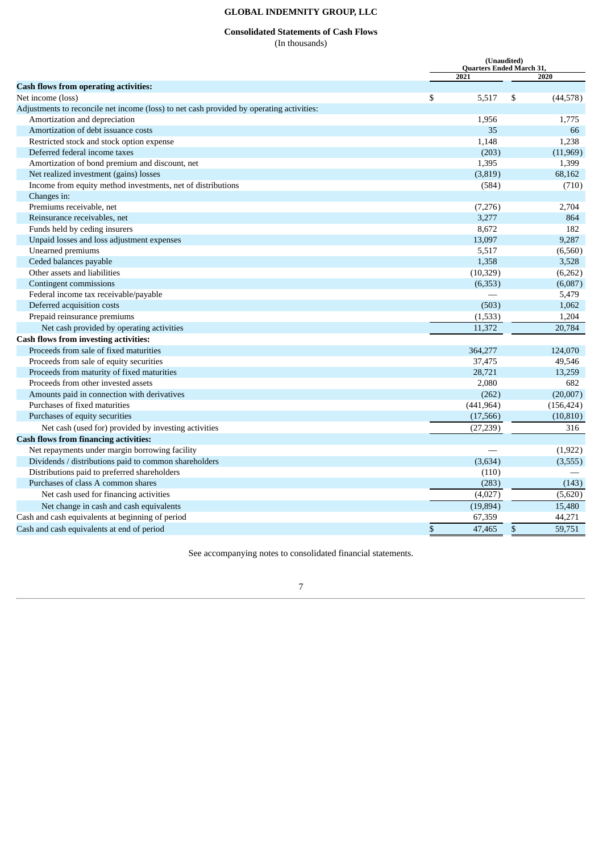# **Consolidated Statements of Cash Flows**

(In thousands)

<span id="page-6-0"></span>

|                                                                                          | (Unaudited)<br>Quarters Ended March 31, |            |              |            |
|------------------------------------------------------------------------------------------|-----------------------------------------|------------|--------------|------------|
|                                                                                          |                                         | 2021       |              | 2020       |
| <b>Cash flows from operating activities:</b>                                             |                                         |            |              |            |
| Net income (loss)                                                                        | \$                                      | 5,517      | \$           | (44, 578)  |
| Adjustments to reconcile net income (loss) to net cash provided by operating activities: |                                         |            |              |            |
| Amortization and depreciation                                                            |                                         | 1,956      |              | 1.775      |
| Amortization of debt issuance costs                                                      |                                         | 35         |              | 66         |
| Restricted stock and stock option expense                                                |                                         | 1,148      |              | 1,238      |
| Deferred federal income taxes                                                            |                                         | (203)      |              | (11,969)   |
| Amortization of bond premium and discount, net                                           |                                         | 1,395      |              | 1,399      |
| Net realized investment (gains) losses                                                   |                                         | (3,819)    |              | 68,162     |
| Income from equity method investments, net of distributions                              |                                         | (584)      |              | (710)      |
| Changes in:                                                                              |                                         |            |              |            |
| Premiums receivable, net                                                                 |                                         | (7, 276)   |              | 2.704      |
| Reinsurance receivables, net                                                             |                                         | 3,277      |              | 864        |
| Funds held by ceding insurers                                                            |                                         | 8,672      |              | 182        |
| Unpaid losses and loss adjustment expenses                                               |                                         | 13,097     |              | 9,287      |
| Unearned premiums                                                                        |                                         | 5,517      |              | (6,560)    |
| Ceded balances payable                                                                   |                                         | 1,358      |              | 3,528      |
| Other assets and liabilities                                                             |                                         | (10, 329)  |              | (6,262)    |
| Contingent commissions                                                                   |                                         | (6, 353)   |              | (6,087)    |
| Federal income tax receivable/payable                                                    |                                         |            |              | 5,479      |
| Deferred acquisition costs                                                               |                                         | (503)      |              | 1,062      |
| Prepaid reinsurance premiums                                                             |                                         | (1,533)    |              | 1,204      |
| Net cash provided by operating activities                                                |                                         | 11,372     |              | 20,784     |
| <b>Cash flows from investing activities:</b>                                             |                                         |            |              |            |
| Proceeds from sale of fixed maturities                                                   |                                         | 364,277    |              | 124,070    |
| Proceeds from sale of equity securities                                                  |                                         | 37,475     |              | 49,546     |
| Proceeds from maturity of fixed maturities                                               |                                         | 28,721     |              | 13,259     |
| Proceeds from other invested assets                                                      |                                         | 2,080      |              | 682        |
| Amounts paid in connection with derivatives                                              |                                         | (262)      |              | (20,007)   |
| Purchases of fixed maturities                                                            |                                         | (441, 964) |              | (156, 424) |
| Purchases of equity securities                                                           |                                         | (17, 566)  |              | (10, 810)  |
| Net cash (used for) provided by investing activities                                     |                                         | (27, 239)  |              | 316        |
| <b>Cash flows from financing activities:</b>                                             |                                         |            |              |            |
| Net repayments under margin borrowing facility                                           |                                         |            |              | (1,922)    |
| Dividends / distributions paid to common shareholders                                    |                                         | (3,634)    |              | (3,555)    |
| Distributions paid to preferred shareholders                                             |                                         | (110)      |              |            |
| Purchases of class A common shares                                                       |                                         | (283)      |              | (143)      |
| Net cash used for financing activities                                                   |                                         | (4,027)    |              | (5,620)    |
| Net change in cash and cash equivalents                                                  |                                         | (19, 894)  |              | 15,480     |
| Cash and cash equivalents at beginning of period                                         |                                         | 67,359     |              | 44,271     |
| Cash and cash equivalents at end of period                                               | \$                                      | 47,465     | $\mathbb{S}$ | 59,751     |
|                                                                                          |                                         |            |              |            |

See accompanying notes to consolidated financial statements.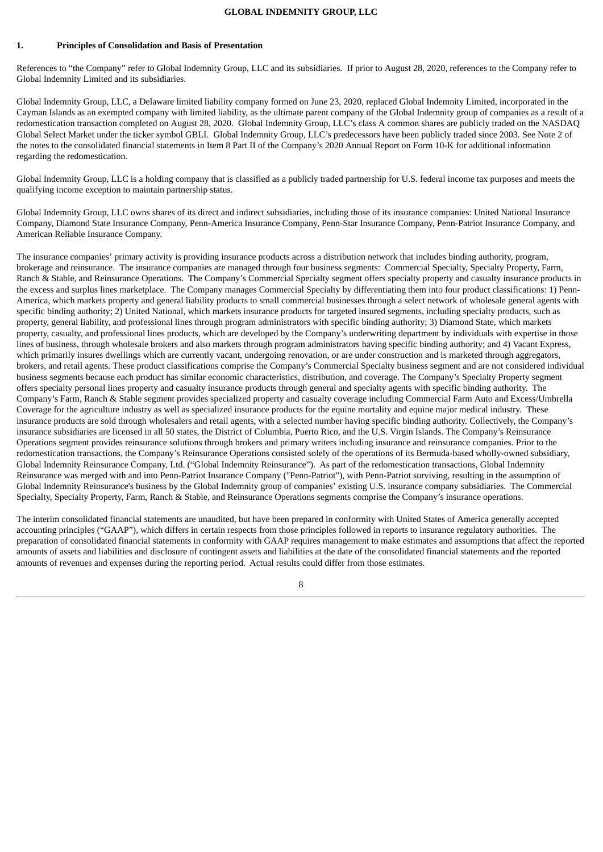# <span id="page-7-0"></span>**1. Principles of Consolidation and Basis of Presentation**

References to "the Company" refer to Global Indemnity Group, LLC and its subsidiaries. If prior to August 28, 2020, references to the Company refer to Global Indemnity Limited and its subsidiaries.

Global Indemnity Group, LLC, a Delaware limited liability company formed on June 23, 2020, replaced Global Indemnity Limited, incorporated in the Cayman Islands as an exempted company with limited liability, as the ultimate parent company of the Global Indemnity group of companies as a result of a redomestication transaction completed on August 28, 2020. Global Indemnity Group, LLC's class A common shares are publicly traded on the NASDAQ Global Select Market under the ticker symbol GBLI. Global Indemnity Group, LLC's predecessors have been publicly traded since 2003. See Note 2 of the notes to the consolidated financial statements in Item 8 Part II of the Company's 2020 Annual Report on Form 10-K for additional information regarding the redomestication.

Global Indemnity Group, LLC is a holding company that is classified as a publicly traded partnership for U.S. federal income tax purposes and meets the qualifying income exception to maintain partnership status.

Global Indemnity Group, LLC owns shares of its direct and indirect subsidiaries, including those of its insurance companies: United National Insurance Company, Diamond State Insurance Company, Penn-America Insurance Company, Penn-Star Insurance Company, Penn-Patriot Insurance Company, and American Reliable Insurance Company.

The insurance companies' primary activity is providing insurance products across a distribution network that includes binding authority, program, brokerage and reinsurance. The insurance companies are managed through four business segments: Commercial Specialty, Specialty Property, Farm, Ranch & Stable, and Reinsurance Operations. The Company's Commercial Specialty segment offers specialty property and casualty insurance products in the excess and surplus lines marketplace. The Company manages Commercial Specialty by differentiating them into four product classifications: 1) Penn-America, which markets property and general liability products to small commercial businesses through a select network of wholesale general agents with specific binding authority; 2) United National, which markets insurance products for targeted insured segments, including specialty products, such as property, general liability, and professional lines through program administrators with specific binding authority; 3) Diamond State, which markets property, casualty, and professional lines products, which are developed by the Company's underwriting department by individuals with expertise in those lines of business, through wholesale brokers and also markets through program administrators having specific binding authority; and 4) Vacant Express, which primarily insures dwellings which are currently vacant, undergoing renovation, or are under construction and is marketed through aggregators, brokers, and retail agents. These product classifications comprise the Company's Commercial Specialty business segment and are not considered individual business segments because each product has similar economic characteristics, distribution, and coverage. The Company's Specialty Property segment offers specialty personal lines property and casualty insurance products through general and specialty agents with specific binding authority. The Company's Farm, Ranch & Stable segment provides specialized property and casualty coverage including Commercial Farm Auto and Excess/Umbrella Coverage for the agriculture industry as well as specialized insurance products for the equine mortality and equine major medical industry. These insurance products are sold through wholesalers and retail agents, with a selected number having specific binding authority. Collectively, the Company's insurance subsidiaries are licensed in all 50 states, the District of Columbia, Puerto Rico, and the U.S. Virgin Islands. The Company's Reinsurance Operations segment provides reinsurance solutions through brokers and primary writers including insurance and reinsurance companies. Prior to the redomestication transactions, the Company's Reinsurance Operations consisted solely of the operations of its Bermuda-based wholly-owned subsidiary, Global Indemnity Reinsurance Company, Ltd. ("Global Indemnity Reinsurance"). As part of the redomestication transactions, Global Indemnity Reinsurance was merged with and into Penn-Patriot Insurance Company ("Penn-Patriot"), with Penn-Patriot surviving, resulting in the assumption of Global Indemnity Reinsurance's business by the Global Indemnity group of companies' existing U.S. insurance company subsidiaries. The Commercial Specialty, Specialty Property, Farm, Ranch & Stable, and Reinsurance Operations segments comprise the Company's insurance operations.

The interim consolidated financial statements are unaudited, but have been prepared in conformity with United States of America generally accepted accounting principles ("GAAP"), which differs in certain respects from those principles followed in reports to insurance regulatory authorities. The preparation of consolidated financial statements in conformity with GAAP requires management to make estimates and assumptions that affect the reported amounts of assets and liabilities and disclosure of contingent assets and liabilities at the date of the consolidated financial statements and the reported amounts of revenues and expenses during the reporting period. Actual results could differ from those estimates.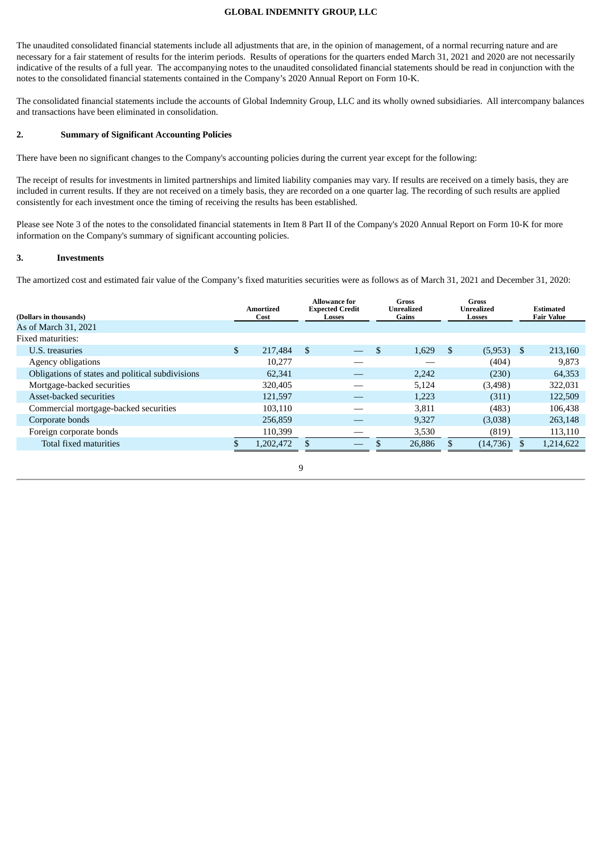The unaudited consolidated financial statements include all adjustments that are, in the opinion of management, of a normal recurring nature and are necessary for a fair statement of results for the interim periods. Results of operations for the quarters ended March 31, 2021 and 2020 are not necessarily indicative of the results of a full year. The accompanying notes to the unaudited consolidated financial statements should be read in conjunction with the notes to the consolidated financial statements contained in the Company's 2020 Annual Report on Form 10-K.

The consolidated financial statements include the accounts of Global Indemnity Group, LLC and its wholly owned subsidiaries. All intercompany balances and transactions have been eliminated in consolidation.

# **2. Summary of Significant Accounting Policies**

There have been no significant changes to the Company's accounting policies during the current year except for the following:

The receipt of results for investments in limited partnerships and limited liability companies may vary. If results are received on a timely basis, they are included in current results. If they are not received on a timely basis, they are recorded on a one quarter lag. The recording of such results are applied consistently for each investment once the timing of receiving the results has been established.

Please see Note 3 of the notes to the consolidated financial statements in Item 8 Part II of the Company's 2020 Annual Report on Form 10-K for more information on the Company's summary of significant accounting policies.

#### **3. Investments**

The amortized cost and estimated fair value of the Company's fixed maturities securities were as follows as of March 31, 2021 and December 31, 2020:

| (Dollars in thousands)                           |              | Amortized<br>Cost |               | Allowance for<br><b>Expected Credit</b><br>Losses | Gross<br>Unrealized<br>Gains |     | Gross<br>Unrealized | Estimated<br><b>Fair Value</b> |
|--------------------------------------------------|--------------|-------------------|---------------|---------------------------------------------------|------------------------------|-----|---------------------|--------------------------------|
|                                                  |              |                   |               |                                                   |                              |     | Losses              |                                |
| As of March 31, 2021                             |              |                   |               |                                                   |                              |     |                     |                                |
| Fixed maturities:                                |              |                   |               |                                                   |                              |     |                     |                                |
| U.S. treasuries                                  | $\mathbf{s}$ | 217,484           | <sup>\$</sup> |                                                   | 1,629                        | \$. | $(5,953)$ \$        | 213,160                        |
| Agency obligations                               |              | 10.277            |               |                                                   |                              |     | (404)               | 9,873                          |
| Obligations of states and political subdivisions |              | 62,341            |               |                                                   | 2,242                        |     | (230)               | 64,353                         |
| Mortgage-backed securities                       |              | 320,405           |               |                                                   | 5,124                        |     | (3,498)             | 322,031                        |
| Asset-backed securities                          |              | 121,597           |               |                                                   | 1,223                        |     | (311)               | 122,509                        |
| Commercial mortgage-backed securities            |              | 103.110           |               |                                                   | 3.811                        |     | (483)               | 106,438                        |
| Corporate bonds                                  |              | 256,859           |               |                                                   | 9,327                        |     | (3,038)             | 263,148                        |
| Foreign corporate bonds                          |              | 110,399           |               |                                                   | 3,530                        |     | (819)               | 113,110                        |
| Total fixed maturities                           |              | 1,202,472         |               |                                                   | 26,886                       |     | (14,736)            | 1,214,622                      |
|                                                  |              |                   |               |                                                   |                              |     |                     |                                |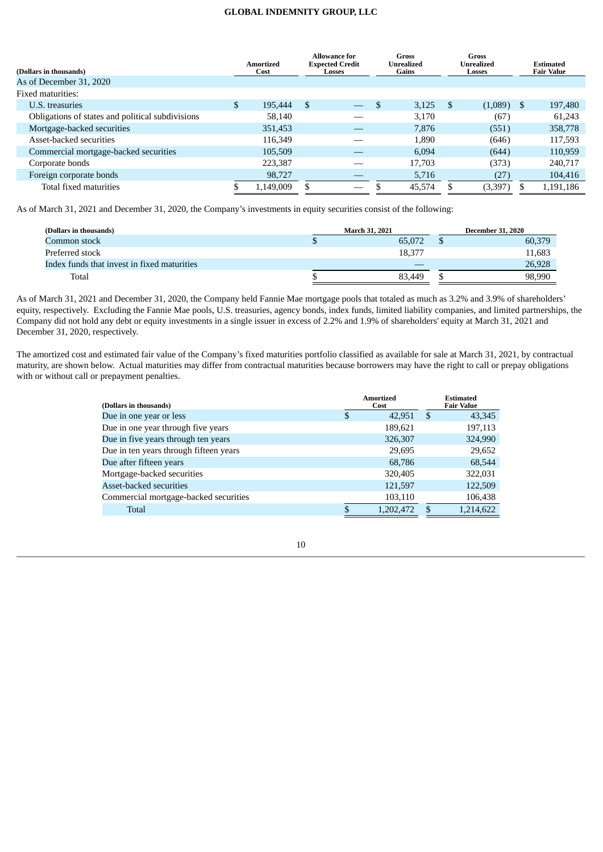| (Dollars in thousands)                           |              | Amortized<br>Cost |    | <b>Allowance for</b><br><b>Expected Credit</b><br>Losses |   | Gross<br><b>Unrealized</b><br>Gains |    | Gross<br><b>Unrealized</b><br>Losses |      | Estimated<br><b>Fair Value</b> |
|--------------------------------------------------|--------------|-------------------|----|----------------------------------------------------------|---|-------------------------------------|----|--------------------------------------|------|--------------------------------|
| As of December 31, 2020                          |              |                   |    |                                                          |   |                                     |    |                                      |      |                                |
| Fixed maturities:                                |              |                   |    |                                                          |   |                                     |    |                                      |      |                                |
| U.S. treasuries                                  | $\mathbf{s}$ | 195,444           | -S |                                                          | S | 3,125                               | -S | (1,089)                              | - \$ | 197,480                        |
| Obligations of states and political subdivisions |              | 58,140            |    |                                                          |   | 3,170                               |    | (67)                                 |      | 61.243                         |
| Mortgage-backed securities                       |              | 351,453           |    |                                                          |   | 7.876                               |    | (551)                                |      | 358,778                        |
| Asset-backed securities                          |              | 116,349           |    |                                                          |   | 1,890                               |    | (646)                                |      | 117,593                        |
| Commercial mortgage-backed securities            |              | 105,509           |    |                                                          |   | 6.094                               |    | (644)                                |      | 110,959                        |
| Corporate bonds                                  |              | 223,387           |    |                                                          |   | 17,703                              |    | (373)                                |      | 240,717                        |
| Foreign corporate bonds                          |              | 98,727            |    |                                                          |   | 5,716                               |    | (27)                                 |      | 104,416                        |
| Total fixed maturities                           |              | 1,149,009         |    |                                                          |   | 45,574                              |    | (3,397)                              |      | 1,191,186                      |

As of March 31, 2021 and December 31, 2020, the Company's investments in equity securities consist of the following:

| (Dollars in thousands)                      | <b>March 31, 2021</b> |        |    | <b>December 31, 2020</b> |
|---------------------------------------------|-----------------------|--------|----|--------------------------|
| Common stock                                |                       | 65,072 |    | 60,379                   |
| Preferred stock                             |                       | 18.377 |    | 11,683                   |
| Index funds that invest in fixed maturities |                       |        |    | 26,928                   |
| Total                                       |                       | 83.449 | ιD | 98,990                   |

As of March 31, 2021 and December 31, 2020, the Company held Fannie Mae mortgage pools that totaled as much as 3.2% and 3.9% of shareholders' equity, respectively. Excluding the Fannie Mae pools, U.S. treasuries, agency bonds, index funds, limited liability companies, and limited partnerships, the Company did not hold any debt or equity investments in a single issuer in excess of 2.2% and 1.9% of shareholders' equity at March 31, 2021 and December 31, 2020, respectively.

The amortized cost and estimated fair value of the Company's fixed maturities portfolio classified as available for sale at March 31, 2021, by contractual maturity, are shown below. Actual maturities may differ from contractual maturities because borrowers may have the right to call or prepay obligations with or without call or prepayment penalties.

| (Dollars in thousands)                 | <b>Amortized</b><br>Cost |           |   | <b>Estimated</b><br><b>Fair Value</b> |  |  |  |
|----------------------------------------|--------------------------|-----------|---|---------------------------------------|--|--|--|
| Due in one year or less                | \$                       | 42,951    | S | 43,345                                |  |  |  |
| Due in one year through five years     |                          | 189,621   |   | 197,113                               |  |  |  |
| Due in five years through ten years    |                          | 326,307   |   | 324,990                               |  |  |  |
| Due in ten years through fifteen years |                          | 29,695    |   | 29,652                                |  |  |  |
| Due after fifteen years                |                          | 68,786    |   | 68,544                                |  |  |  |
| Mortgage-backed securities             |                          | 320,405   |   | 322,031                               |  |  |  |
| Asset-backed securities                |                          | 121,597   |   | 122,509                               |  |  |  |
| Commercial mortgage-backed securities  |                          | 103,110   |   | 106,438                               |  |  |  |
| Total                                  | \$.                      | 1,202,472 |   | 1,214,622                             |  |  |  |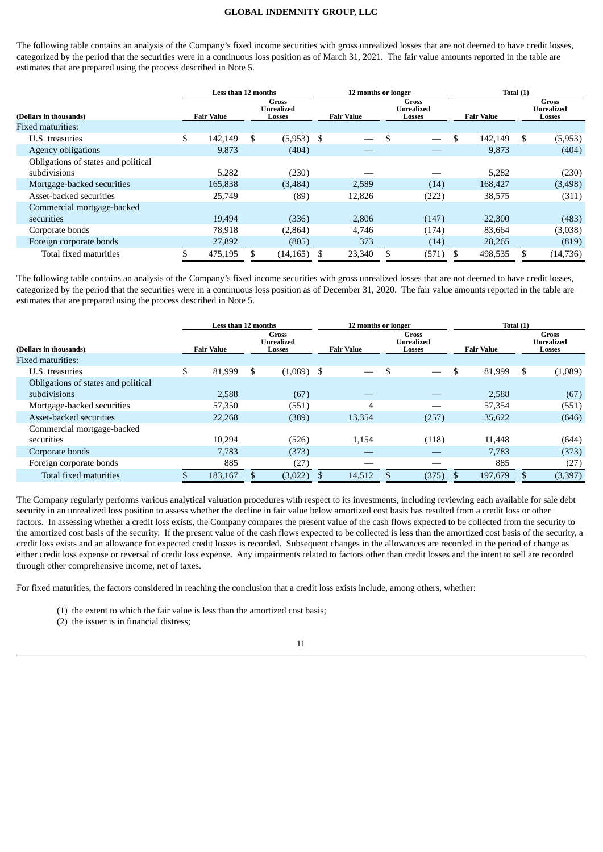The following table contains an analysis of the Company's fixed income securities with gross unrealized losses that are not deemed to have credit losses, categorized by the period that the securities were in a continuous loss position as of March 31, 2021. The fair value amounts reported in the table are estimates that are prepared using the process described in Note 5.

|                                                     | Less than 12 months |                               | 12 months or longer |                          | Total $(1)$                   |    |            |     |                                      |
|-----------------------------------------------------|---------------------|-------------------------------|---------------------|--------------------------|-------------------------------|----|------------|-----|--------------------------------------|
| (Dollars in thousands)                              | Fair Value          | Gross<br>Unrealized<br>Losses |                     | Fair Value               | Gross<br>Unrealized<br>Losses |    | Fair Value |     | Gross<br><b>Unrealized</b><br>Losses |
| <b>Fixed maturities:</b>                            |                     |                               |                     |                          |                               |    |            |     |                                      |
| U.S. treasuries                                     | \$<br>142,149       | \$<br>$(5,953)$ \$            |                     | $\overline{\phantom{0}}$ | \$                            | \$ | 142,149    | \$. | (5,953)                              |
| Agency obligations                                  | 9,873               | (404)                         |                     |                          |                               |    | 9,873      |     | (404)                                |
| Obligations of states and political<br>subdivisions | 5,282               | (230)                         |                     |                          |                               |    | 5,282      |     | (230)                                |
| Mortgage-backed securities                          | 165.838             | (3,484)                       |                     | 2,589                    | (14)                          |    | 168,427    |     | (3,498)                              |
| Asset-backed securities                             | 25,749              | (89)                          |                     | 12,826                   | (222)                         |    | 38,575     |     | (311)                                |
| Commercial mortgage-backed                          |                     |                               |                     |                          |                               |    |            |     |                                      |
| securities                                          | 19.494              | (336)                         |                     | 2,806                    | (147)                         |    | 22,300     |     | (483)                                |
| Corporate bonds                                     | 78,918              | (2,864)                       |                     | 4,746                    | (174)                         |    | 83,664     |     | (3,038)                              |
| Foreign corporate bonds                             | 27,892              | (805)                         |                     | 373                      | (14)                          |    | 28,265     |     | (819)                                |
| Total fixed maturities                              | 475,195             | (14, 165)                     |                     | 23,340                   | (571)                         |    | 498,535    |     | (14, 736)                            |

The following table contains an analysis of the Company's fixed income securities with gross unrealized losses that are not deemed to have credit losses, categorized by the period that the securities were in a continuous loss position as of December 31, 2020. The fair value amounts reported in the table are estimates that are prepared using the process described in Note 5.

|                                     | Less than 12 months |                                      | 12 months or longer |                          | Total (1) |                                      |    |                   |   |                                      |
|-------------------------------------|---------------------|--------------------------------------|---------------------|--------------------------|-----------|--------------------------------------|----|-------------------|---|--------------------------------------|
| (Dollars in thousands)              | <b>Fair Value</b>   | Gross<br><b>Unrealized</b><br>Losses |                     | <b>Fair Value</b>        |           | Gross<br><b>Unrealized</b><br>Losses |    | <b>Fair Value</b> |   | Gross<br><b>Unrealized</b><br>Losses |
| <b>Fixed maturities:</b>            |                     |                                      |                     |                          |           |                                      |    |                   |   |                                      |
| U.S. treasuries                     | \$<br>81,999        | \$<br>$(1,089)$ \$                   |                     | $\overline{\phantom{0}}$ | .S        |                                      | \$ | 81,999            | S | (1,089)                              |
| Obligations of states and political |                     |                                      |                     |                          |           |                                      |    |                   |   |                                      |
| subdivisions                        | 2,588               | (67)                                 |                     |                          |           |                                      |    | 2,588             |   | (67)                                 |
| Mortgage-backed securities          | 57,350              | (551)                                |                     | 4                        |           |                                      |    | 57,354            |   | (551)                                |
| Asset-backed securities             | 22,268              | (389)                                |                     | 13,354                   |           | (257)                                |    | 35,622            |   | (646)                                |
| Commercial mortgage-backed          |                     |                                      |                     |                          |           |                                      |    |                   |   |                                      |
| securities                          | 10.294              | (526)                                |                     | 1,154                    |           | (118)                                |    | 11,448            |   | (644)                                |
| Corporate bonds                     | 7.783               | (373)                                |                     |                          |           |                                      |    | 7,783             |   | (373)                                |
| Foreign corporate bonds             | 885                 | (27)                                 |                     |                          |           |                                      |    | 885               |   | (27)                                 |
| Total fixed maturities              | 183,167             | (3,022)                              |                     | 14,512                   |           | (375)                                |    | 197,679           |   | (3,397)                              |

The Company regularly performs various analytical valuation procedures with respect to its investments, including reviewing each available for sale debt security in an unrealized loss position to assess whether the decline in fair value below amortized cost basis has resulted from a credit loss or other factors. In assessing whether a credit loss exists, the Company compares the present value of the cash flows expected to be collected from the security to the amortized cost basis of the security. If the present value of the cash flows expected to be collected is less than the amortized cost basis of the security, a credit loss exists and an allowance for expected credit losses is recorded. Subsequent changes in the allowances are recorded in the period of change as either credit loss expense or reversal of credit loss expense. Any impairments related to factors other than credit losses and the intent to sell are recorded through other comprehensive income, net of taxes.

For fixed maturities, the factors considered in reaching the conclusion that a credit loss exists include, among others, whether:

- (1) the extent to which the fair value is less than the amortized cost basis;
- (2) the issuer is in financial distress;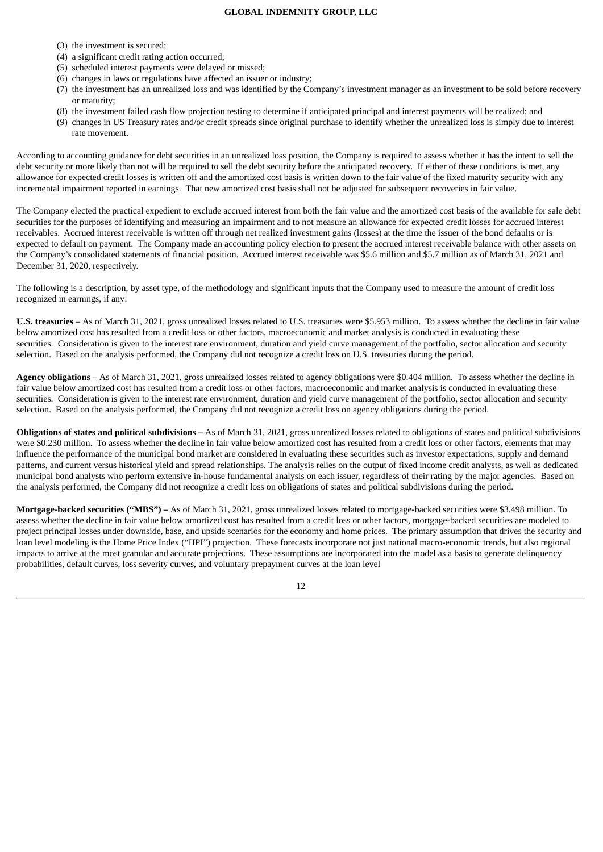- (3) the investment is secured;
- (4) a significant credit rating action occurred;
- (5) scheduled interest payments were delayed or missed;
- (6) changes in laws or regulations have affected an issuer or industry;
- (7) the investment has an unrealized loss and was identified by the Company's investment manager as an investment to be sold before recovery or maturity;
- (8) the investment failed cash flow projection testing to determine if anticipated principal and interest payments will be realized; and
- (9) changes in US Treasury rates and/or credit spreads since original purchase to identify whether the unrealized loss is simply due to interest rate movement.

According to accounting guidance for debt securities in an unrealized loss position, the Company is required to assess whether it has the intent to sell the debt security or more likely than not will be required to sell the debt security before the anticipated recovery. If either of these conditions is met, any allowance for expected credit losses is written off and the amortized cost basis is written down to the fair value of the fixed maturity security with any incremental impairment reported in earnings. That new amortized cost basis shall not be adjusted for subsequent recoveries in fair value.

The Company elected the practical expedient to exclude accrued interest from both the fair value and the amortized cost basis of the available for sale debt securities for the purposes of identifying and measuring an impairment and to not measure an allowance for expected credit losses for accrued interest receivables. Accrued interest receivable is written off through net realized investment gains (losses) at the time the issuer of the bond defaults or is expected to default on payment. The Company made an accounting policy election to present the accrued interest receivable balance with other assets on the Company's consolidated statements of financial position. Accrued interest receivable was \$5.6 million and \$5.7 million as of March 31, 2021 and December 31, 2020, respectively.

The following is a description, by asset type, of the methodology and significant inputs that the Company used to measure the amount of credit loss recognized in earnings, if any:

**U.S. treasuries** – As of March 31, 2021, gross unrealized losses related to U.S. treasuries were \$5.953 million. To assess whether the decline in fair value below amortized cost has resulted from a credit loss or other factors, macroeconomic and market analysis is conducted in evaluating these securities. Consideration is given to the interest rate environment, duration and yield curve management of the portfolio, sector allocation and security selection. Based on the analysis performed, the Company did not recognize a credit loss on U.S. treasuries during the period.

**Agency obligations** – As of March 31, 2021, gross unrealized losses related to agency obligations were \$0.404 million. To assess whether the decline in fair value below amortized cost has resulted from a credit loss or other factors, macroeconomic and market analysis is conducted in evaluating these securities. Consideration is given to the interest rate environment, duration and yield curve management of the portfolio, sector allocation and security selection. Based on the analysis performed, the Company did not recognize a credit loss on agency obligations during the period.

**Obligations of states and political subdivisions –** As of March 31, 2021, gross unrealized losses related to obligations of states and political subdivisions were \$0.230 million. To assess whether the decline in fair value below amortized cost has resulted from a credit loss or other factors, elements that may influence the performance of the municipal bond market are considered in evaluating these securities such as investor expectations, supply and demand patterns, and current versus historical yield and spread relationships. The analysis relies on the output of fixed income credit analysts, as well as dedicated municipal bond analysts who perform extensive in-house fundamental analysis on each issuer, regardless of their rating by the major agencies. Based on the analysis performed, the Company did not recognize a credit loss on obligations of states and political subdivisions during the period.

**Mortgage-backed securities ("MBS") –** As of March 31, 2021, gross unrealized losses related to mortgage-backed securities were \$3.498 million. To assess whether the decline in fair value below amortized cost has resulted from a credit loss or other factors, mortgage-backed securities are modeled to project principal losses under downside, base, and upside scenarios for the economy and home prices. The primary assumption that drives the security and loan level modeling is the Home Price Index ("HPI") projection. These forecasts incorporate not just national macro-economic trends, but also regional impacts to arrive at the most granular and accurate projections. These assumptions are incorporated into the model as a basis to generate delinquency probabilities, default curves, loss severity curves, and voluntary prepayment curves at the loan level

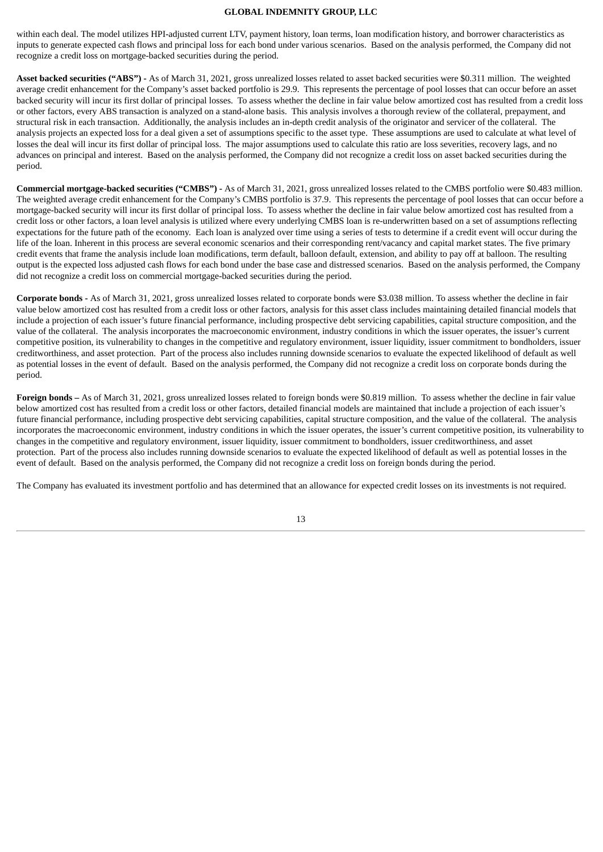within each deal. The model utilizes HPI-adjusted current LTV, payment history, loan terms, loan modification history, and borrower characteristics as inputs to generate expected cash flows and principal loss for each bond under various scenarios. Based on the analysis performed, the Company did not recognize a credit loss on mortgage-backed securities during the period.

**Asset backed securities ("ABS") -** As of March 31, 2021, gross unrealized losses related to asset backed securities were \$0.311 million. The weighted average credit enhancement for the Company's asset backed portfolio is 29.9. This represents the percentage of pool losses that can occur before an asset backed security will incur its first dollar of principal losses. To assess whether the decline in fair value below amortized cost has resulted from a credit loss or other factors, every ABS transaction is analyzed on a stand-alone basis. This analysis involves a thorough review of the collateral, prepayment, and structural risk in each transaction. Additionally, the analysis includes an in-depth credit analysis of the originator and servicer of the collateral. The analysis projects an expected loss for a deal given a set of assumptions specific to the asset type. These assumptions are used to calculate at what level of losses the deal will incur its first dollar of principal loss. The major assumptions used to calculate this ratio are loss severities, recovery lags, and no advances on principal and interest. Based on the analysis performed, the Company did not recognize a credit loss on asset backed securities during the period.

**Commercial mortgage-backed securities ("CMBS") -** As of March 31, 2021, gross unrealized losses related to the CMBS portfolio were \$0.483 million. The weighted average credit enhancement for the Company's CMBS portfolio is 37.9. This represents the percentage of pool losses that can occur before a mortgage-backed security will incur its first dollar of principal loss. To assess whether the decline in fair value below amortized cost has resulted from a credit loss or other factors, a loan level analysis is utilized where every underlying CMBS loan is re-underwritten based on a set of assumptions reflecting expectations for the future path of the economy. Each loan is analyzed over time using a series of tests to determine if a credit event will occur during the life of the loan. Inherent in this process are several economic scenarios and their corresponding rent/vacancy and capital market states. The five primary credit events that frame the analysis include loan modifications, term default, balloon default, extension, and ability to pay off at balloon. The resulting output is the expected loss adjusted cash flows for each bond under the base case and distressed scenarios. Based on the analysis performed, the Company did not recognize a credit loss on commercial mortgage-backed securities during the period.

**Corporate bonds -** As of March 31, 2021, gross unrealized losses related to corporate bonds were \$3.038 million. To assess whether the decline in fair value below amortized cost has resulted from a credit loss or other factors, analysis for this asset class includes maintaining detailed financial models that include a projection of each issuer's future financial performance, including prospective debt servicing capabilities, capital structure composition, and the value of the collateral. The analysis incorporates the macroeconomic environment, industry conditions in which the issuer operates, the issuer's current competitive position, its vulnerability to changes in the competitive and regulatory environment, issuer liquidity, issuer commitment to bondholders, issuer creditworthiness, and asset protection. Part of the process also includes running downside scenarios to evaluate the expected likelihood of default as well as potential losses in the event of default. Based on the analysis performed, the Company did not recognize a credit loss on corporate bonds during the period.

**Foreign bonds –** As of March 31, 2021, gross unrealized losses related to foreign bonds were \$0.819 million. To assess whether the decline in fair value below amortized cost has resulted from a credit loss or other factors, detailed financial models are maintained that include a projection of each issuer's future financial performance, including prospective debt servicing capabilities, capital structure composition, and the value of the collateral. The analysis incorporates the macroeconomic environment, industry conditions in which the issuer operates, the issuer's current competitive position, its vulnerability to changes in the competitive and regulatory environment, issuer liquidity, issuer commitment to bondholders, issuer creditworthiness, and asset protection. Part of the process also includes running downside scenarios to evaluate the expected likelihood of default as well as potential losses in the event of default. Based on the analysis performed, the Company did not recognize a credit loss on foreign bonds during the period.

The Company has evaluated its investment portfolio and has determined that an allowance for expected credit losses on its investments is not required.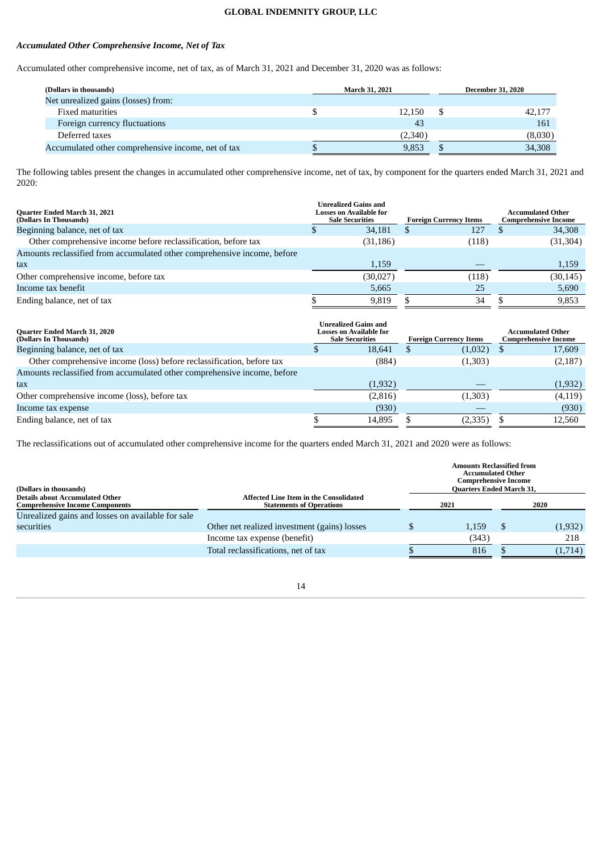# *Accumulated Other Comprehensive Income, Net of Tax*

Accumulated other comprehensive income, net of tax, as of March 31, 2021 and December 31, 2020 was as follows:

| (Dollars in thousands)                             | March 31, 2021 | <b>December 31, 2020</b> |
|----------------------------------------------------|----------------|--------------------------|
| Net unrealized gains (losses) from:                |                |                          |
| <b>Fixed maturities</b>                            | 12,150         | 42,177                   |
| Foreign currency fluctuations                      | 43             | 161                      |
| Deferred taxes                                     | (2,340)        | (8,030)                  |
| Accumulated other comprehensive income, net of tax | 9,853          | 34,308                   |

The following tables present the changes in accumulated other comprehensive income, net of tax, by component for the quarters ended March 31, 2021 and 2020:

| Quarter Ended March 31, 2021<br>(Dollars In Thousands)                   | <b>Unrealized Gains and</b><br>Losses on Available for<br><b>Sale Securities</b> |    | <b>Foreign Currency Items</b> | <b>Accumulated Other</b><br><b>Comprehensive Income</b> |
|--------------------------------------------------------------------------|----------------------------------------------------------------------------------|----|-------------------------------|---------------------------------------------------------|
| Beginning balance, net of tax                                            | 34,181                                                                           | -8 | 127                           | 34,308                                                  |
| Other comprehensive income before reclassification, before tax           | (31, 186)                                                                        |    | (118)                         | (31, 304)                                               |
| Amounts reclassified from accumulated other comprehensive income, before |                                                                                  |    |                               |                                                         |
| tax                                                                      | 1,159                                                                            |    |                               | 1,159                                                   |
| Other comprehensive income, before tax                                   | (30,027)                                                                         |    | (118)                         | (30, 145)                                               |
| Income tax benefit                                                       | 5,665                                                                            |    | 25                            | 5,690                                                   |
| Ending balance, net of tax                                               | 9,819                                                                            |    | 34                            | 9,853                                                   |

| Quarter Ended March 31, 2020<br>(Dollars In Thousands)                   | <b>Unrealized Gains and</b><br><b>Losses on Available for</b><br><b>Sale Securities</b> |    | <b>Foreign Currency Items</b> |      | <b>Accumulated Other</b><br><b>Comprehensive Income</b> |
|--------------------------------------------------------------------------|-----------------------------------------------------------------------------------------|----|-------------------------------|------|---------------------------------------------------------|
| Beginning balance, net of tax                                            | 18,641                                                                                  | -S | (1,032)                       | - \$ | 17,609                                                  |
| Other comprehensive income (loss) before reclassification, before tax    | (884)                                                                                   |    | (1,303)                       |      | (2,187)                                                 |
| Amounts reclassified from accumulated other comprehensive income, before |                                                                                         |    |                               |      |                                                         |
| tax                                                                      | (1,932)                                                                                 |    |                               |      | (1, 932)                                                |
| Other comprehensive income (loss), before tax                            | (2,816)                                                                                 |    | (1,303)                       |      | (4, 119)                                                |
| Income tax expense                                                       | (930)                                                                                   |    |                               |      | (930)                                                   |
| Ending balance, net of tax                                               | 14,895                                                                                  |    | (2,335)                       |      | 12,560                                                  |

The reclassifications out of accumulated other comprehensive income for the quarters ended March 31, 2021 and 2020 were as follows:

| (Dollars in thousands)                                                           |                                                                           |              | <b>Amounts Reclassified from</b><br><b>Accumulated Other</b><br><b>Comprehensive Income</b><br><b>Quarters Ended March 31,</b> |  |         |
|----------------------------------------------------------------------------------|---------------------------------------------------------------------------|--------------|--------------------------------------------------------------------------------------------------------------------------------|--|---------|
| <b>Details about Accumulated Other</b><br><b>Comprehensive Income Components</b> | Affected Line Item in the Consolidated<br><b>Statements of Operations</b> | 2020<br>2021 |                                                                                                                                |  |         |
| Unrealized gains and losses on available for sale                                |                                                                           |              |                                                                                                                                |  |         |
| securities                                                                       | Other net realized investment (gains) losses                              |              | 1.159                                                                                                                          |  | (1,932) |
|                                                                                  | Income tax expense (benefit)                                              |              | (343)                                                                                                                          |  | 218     |
|                                                                                  | Total reclassifications, net of tax                                       |              | 816                                                                                                                            |  | (1,714) |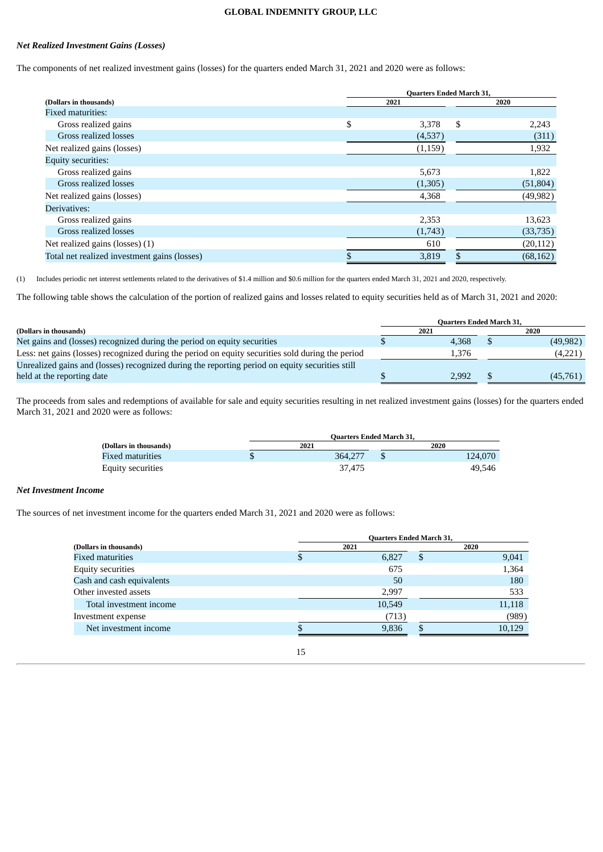# *Net Realized Investment Gains (Losses)*

The components of net realized investment gains (losses) for the quarters ended March 31, 2021 and 2020 were as follows:

|                                              | <b>Quarters Ended March 31,</b> |          |    |           |  |
|----------------------------------------------|---------------------------------|----------|----|-----------|--|
| (Dollars in thousands)                       |                                 | 2021     |    | 2020      |  |
| <b>Fixed maturities:</b>                     |                                 |          |    |           |  |
| Gross realized gains                         | \$                              | 3.378    | \$ | 2,243     |  |
| Gross realized losses                        |                                 | (4,537)  |    | (311)     |  |
| Net realized gains (losses)                  |                                 | (1, 159) |    | 1,932     |  |
| <b>Equity securities:</b>                    |                                 |          |    |           |  |
| Gross realized gains                         |                                 | 5,673    |    | 1,822     |  |
| Gross realized losses                        |                                 | (1,305)  |    | (51, 804) |  |
| Net realized gains (losses)                  |                                 | 4,368    |    | (49, 982) |  |
| Derivatives:                                 |                                 |          |    |           |  |
| Gross realized gains                         |                                 | 2,353    |    | 13,623    |  |
| Gross realized losses                        |                                 | (1,743)  |    | (33, 735) |  |
| Net realized gains (losses) (1)              |                                 | 610      |    | (20, 112) |  |
| Total net realized investment gains (losses) |                                 | 3,819    |    | (68, 162) |  |

(1) Includes periodic net interest settlements related to the derivatives of \$1.4 million and \$0.6 million for the quarters ended March 31, 2021 and 2020, respectively.

The following table shows the calculation of the portion of realized gains and losses related to equity securities held as of March 31, 2021 and 2020:

|                                                                                                   | <b>Quarters Ended March 31,</b> |       |  |           |
|---------------------------------------------------------------------------------------------------|---------------------------------|-------|--|-----------|
| (Dollars in thousands)                                                                            | 2021                            |       |  | 2020      |
| Net gains and (losses) recognized during the period on equity securities                          |                                 | 4.368 |  | (49, 982) |
| Less: net gains (losses) recognized during the period on equity securities sold during the period |                                 | 1,376 |  | (4,221)   |
| Unrealized gains and (losses) recognized during the reporting period on equity securities still   |                                 |       |  |           |
| held at the reporting date                                                                        |                                 | 2.992 |  | (45,761)  |

The proceeds from sales and redemptions of available for sale and equity securities resulting in net realized investment gains (losses) for the quarters ended March 31, 2021 and 2020 were as follows:

|                          | <b>Ouarters Ended March 31.</b> |  |         |  |  |  |  |
|--------------------------|---------------------------------|--|---------|--|--|--|--|
| (Dollars in thousands)   | 2021                            |  | 2020    |  |  |  |  |
| Fixed maturities         | 364,277                         |  | 124,070 |  |  |  |  |
| <b>Equity securities</b> | 37,475                          |  | 49.546  |  |  |  |  |

#### *Net Investment Income*

The sources of net investment income for the quarters ended March 31, 2021 and 2020 were as follows:

|                           |  | <b>Quarters Ended March 31,</b> |   |        |
|---------------------------|--|---------------------------------|---|--------|
| (Dollars in thousands)    |  | 2021                            |   |        |
| <b>Fixed maturities</b>   |  | 6,827                           | S | 9,041  |
| <b>Equity securities</b>  |  | 675                             |   | 1,364  |
| Cash and cash equivalents |  | 50                              |   | 180    |
| Other invested assets     |  | 2,997                           |   | 533    |
| Total investment income   |  | 10,549                          |   | 11,118 |
| Investment expense        |  | (713)                           |   | (989)  |
| Net investment income     |  | 9,836                           |   | 10.129 |
|                           |  |                                 |   |        |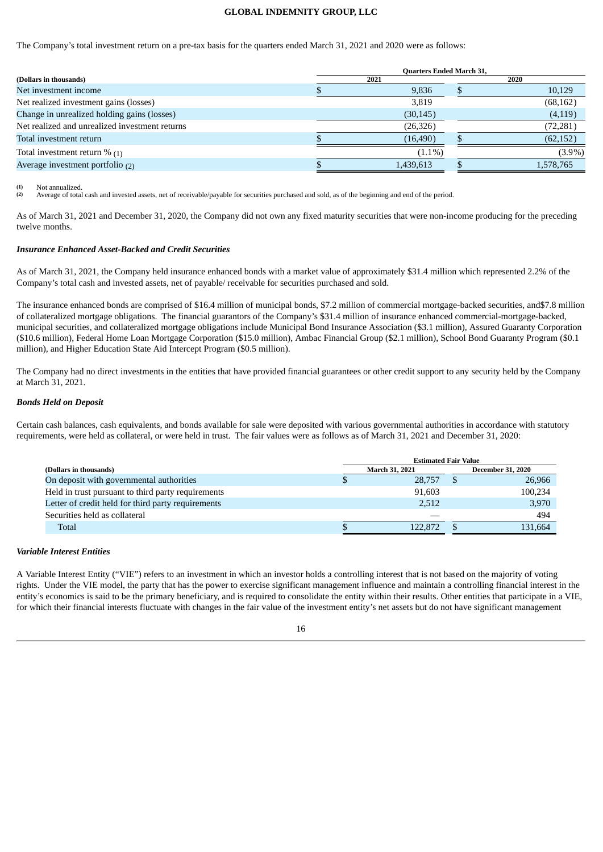The Company's total investment return on a pre-tax basis for the quarters ended March 31, 2021 and 2020 were as follows:

|                                                | <b>Quarters Ended March 31,</b> |      |           |  |
|------------------------------------------------|---------------------------------|------|-----------|--|
| (Dollars in thousands)                         | 2021                            | 2020 |           |  |
| Net investment income                          | 9,836                           |      | 10,129    |  |
| Net realized investment gains (losses)         | 3,819                           |      | (68, 162) |  |
| Change in unrealized holding gains (losses)    | (30, 145)                       |      | (4,119)   |  |
| Net realized and unrealized investment returns | (26, 326)                       |      | (72, 281) |  |
| Total investment return                        | (16, 490)                       |      | (62, 152) |  |
| Total investment return $\%$ (1)               | $(1.1\%)$                       |      | $(3.9\%)$ |  |
| Average investment portfolio (2)               | 1,439,613                       |      | 1,578,765 |  |

**(1)** Not annualized.

**(2)** Average of total cash and invested assets, net of receivable/payable for securities purchased and sold, as of the beginning and end of the period.

As of March 31, 2021 and December 31, 2020, the Company did not own any fixed maturity securities that were non-income producing for the preceding twelve months.

# *Insurance Enhanced Asset-Backed and Credit Securities*

As of March 31, 2021, the Company held insurance enhanced bonds with a market value of approximately \$31.4 million which represented 2.2% of the Company's total cash and invested assets, net of payable/ receivable for securities purchased and sold.

The insurance enhanced bonds are comprised of \$16.4 million of municipal bonds, \$7.2 million of commercial mortgage-backed securities, and\$7.8 million of collateralized mortgage obligations. The financial guarantors of the Company's \$31.4 million of insurance enhanced commercial-mortgage-backed, municipal securities, and collateralized mortgage obligations include Municipal Bond Insurance Association (\$3.1 million), Assured Guaranty Corporation (\$10.6 million), Federal Home Loan Mortgage Corporation (\$15.0 million), Ambac Financial Group (\$2.1 million), School Bond Guaranty Program (\$0.1 million), and Higher Education State Aid Intercept Program (\$0.5 million).

The Company had no direct investments in the entities that have provided financial guarantees or other credit support to any security held by the Company at March 31, 2021.

#### *Bonds Held on Deposit*

Certain cash balances, cash equivalents, and bonds available for sale were deposited with various governmental authorities in accordance with statutory requirements, were held as collateral, or were held in trust. The fair values were as follows as of March 31, 2021 and December 31, 2020:

|                                                    | <b>Estimated Fair Value</b> |                          |  |  |  |  |
|----------------------------------------------------|-----------------------------|--------------------------|--|--|--|--|
| (Dollars in thousands)                             | <b>March 31, 2021</b>       | <b>December 31, 2020</b> |  |  |  |  |
| On deposit with governmental authorities           | 28,757                      | 26,966                   |  |  |  |  |
| Held in trust pursuant to third party requirements | 91,603                      | 100,234                  |  |  |  |  |
| Letter of credit held for third party requirements | 2,512                       | 3,970                    |  |  |  |  |
| Securities held as collateral                      |                             | 494                      |  |  |  |  |
| Total                                              | 122,872                     | 131,664                  |  |  |  |  |

# *Variable Interest Entities*

A Variable Interest Entity ("VIE") refers to an investment in which an investor holds a controlling interest that is not based on the majority of voting rights. Under the VIE model, the party that has the power to exercise significant management influence and maintain a controlling financial interest in the entity's economics is said to be the primary beneficiary, and is required to consolidate the entity within their results. Other entities that participate in a VIE, for which their financial interests fluctuate with changes in the fair value of the investment entity's net assets but do not have significant management

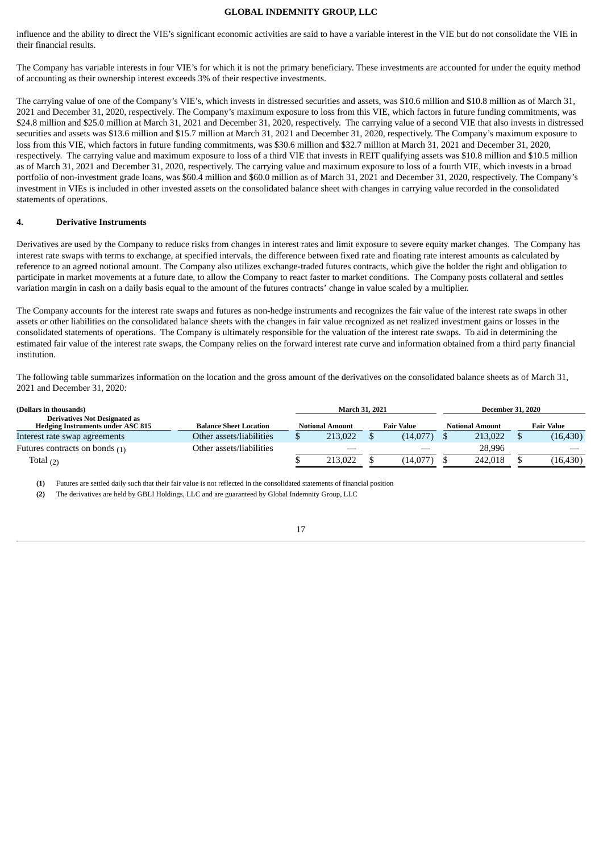influence and the ability to direct the VIE's significant economic activities are said to have a variable interest in the VIE but do not consolidate the VIE in their financial results.

The Company has variable interests in four VIE's for which it is not the primary beneficiary. These investments are accounted for under the equity method of accounting as their ownership interest exceeds 3% of their respective investments.

The carrying value of one of the Company's VIE's, which invests in distressed securities and assets, was \$10.6 million and \$10.8 million as of March 31, 2021 and December 31, 2020, respectively. The Company's maximum exposure to loss from this VIE, which factors in future funding commitments, was \$24.8 million and \$25.0 million at March 31, 2021 and December 31, 2020, respectively. The carrying value of a second VIE that also invests in distressed securities and assets was \$13.6 million and \$15.7 million at March 31, 2021 and December 31, 2020, respectively. The Company's maximum exposure to loss from this VIE, which factors in future funding commitments, was \$30.6 million and \$32.7 million at March 31, 2021 and December 31, 2020, respectively. The carrying value and maximum exposure to loss of a third VIE that invests in REIT qualifying assets was \$10.8 million and \$10.5 million as of March 31, 2021 and December 31, 2020, respectively. The carrying value and maximum exposure to loss of a fourth VIE, which invests in a broad portfolio of non-investment grade loans, was \$60.4 million and \$60.0 million as of March 31, 2021 and December 31, 2020, respectively. The Company's investment in VIEs is included in other invested assets on the consolidated balance sheet with changes in carrying value recorded in the consolidated statements of operations.

# **4. Derivative Instruments**

Derivatives are used by the Company to reduce risks from changes in interest rates and limit exposure to severe equity market changes. The Company has interest rate swaps with terms to exchange, at specified intervals, the difference between fixed rate and floating rate interest amounts as calculated by reference to an agreed notional amount. The Company also utilizes exchange-traded futures contracts, which give the holder the right and obligation to participate in market movements at a future date, to allow the Company to react faster to market conditions. The Company posts collateral and settles variation margin in cash on a daily basis equal to the amount of the futures contracts' change in value scaled by a multiplier.

The Company accounts for the interest rate swaps and futures as non-hedge instruments and recognizes the fair value of the interest rate swaps in other assets or other liabilities on the consolidated balance sheets with the changes in fair value recognized as net realized investment gains or losses in the consolidated statements of operations. The Company is ultimately responsible for the valuation of the interest rate swaps. To aid in determining the estimated fair value of the interest rate swaps, the Company relies on the forward interest rate curve and information obtained from a third party financial institution.

The following table summarizes information on the location and the gross amount of the derivatives on the consolidated balance sheets as of March 31, 2021 and December 31, 2020:

| (Dollars in thousands)                                                           | <b>March 31, 2021</b>         |                        | <b>December 31, 2020</b> |                        |         |  |                   |
|----------------------------------------------------------------------------------|-------------------------------|------------------------|--------------------------|------------------------|---------|--|-------------------|
| <b>Derivatives Not Designated as</b><br><b>Hedging Instruments under ASC 815</b> | <b>Balance Sheet Location</b> | <b>Notional Amount</b> | <b>Fair Value</b>        | <b>Notional Amount</b> |         |  | <b>Fair Value</b> |
| Interest rate swap agreements                                                    | Other assets/liabilities      | 213.022                | (14.077)                 |                        | 213,022 |  | (16, 430)         |
| Futures contracts on bonds $(1)$                                                 | Other assets/liabilities      |                        |                          |                        | 28.996  |  |                   |
| Total $(2)$                                                                      |                               | 213.022                | (14,077                  |                        | 242,018 |  | (16, 430)         |

**(1)** Futures are settled daily such that their fair value is not reflected in the consolidated statements of financial position

**(2)** The derivatives are held by GBLI Holdings, LLC and are guaranteed by Global Indemnity Group, LLC

| ш |  |
|---|--|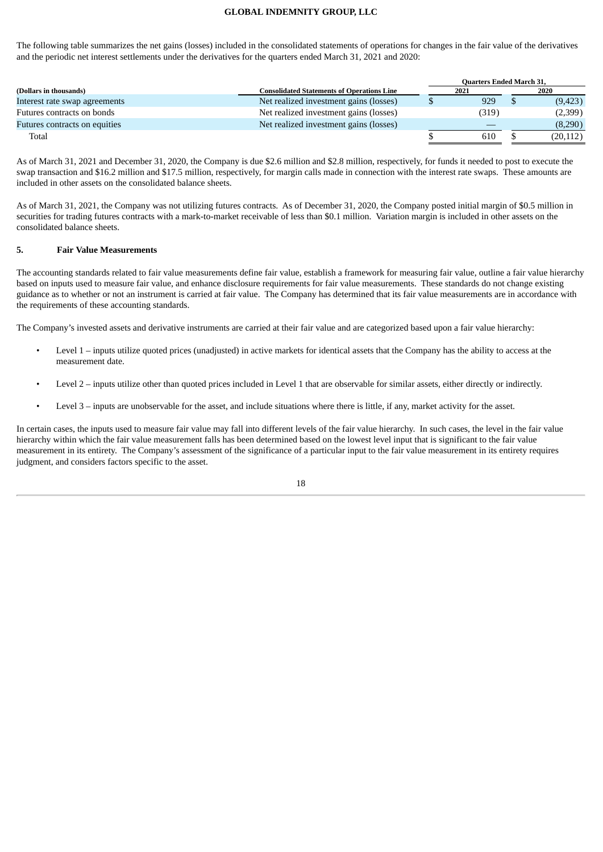The following table summarizes the net gains (losses) included in the consolidated statements of operations for changes in the fair value of the derivatives and the periodic net interest settlements under the derivatives for the quarters ended March 31, 2021 and 2020:

|                               |                                                   | <b>Quarters Ended March 31,</b> |  |           |  |  |
|-------------------------------|---------------------------------------------------|---------------------------------|--|-----------|--|--|
| (Dollars in thousands)        | <b>Consolidated Statements of Operations Line</b> | 2021                            |  | 2020      |  |  |
| Interest rate swap agreements | Net realized investment gains (losses)            | 929                             |  | (9,423)   |  |  |
| Futures contracts on bonds    | Net realized investment gains (losses)            | (319)                           |  | (2,399)   |  |  |
| Futures contracts on equities | Net realized investment gains (losses)            |                                 |  | (8,290)   |  |  |
| Total                         |                                                   | 610                             |  | (20, 112) |  |  |

As of March 31, 2021 and December 31, 2020, the Company is due \$2.6 million and \$2.8 million, respectively, for funds it needed to post to execute the swap transaction and \$16.2 million and \$17.5 million, respectively, for margin calls made in connection with the interest rate swaps. These amounts are included in other assets on the consolidated balance sheets.

As of March 31, 2021, the Company was not utilizing futures contracts. As of December 31, 2020, the Company posted initial margin of \$0.5 million in securities for trading futures contracts with a mark-to-market receivable of less than \$0.1 million. Variation margin is included in other assets on the consolidated balance sheets.

# **5. Fair Value Measurements**

The accounting standards related to fair value measurements define fair value, establish a framework for measuring fair value, outline a fair value hierarchy based on inputs used to measure fair value, and enhance disclosure requirements for fair value measurements. These standards do not change existing guidance as to whether or not an instrument is carried at fair value. The Company has determined that its fair value measurements are in accordance with the requirements of these accounting standards.

The Company's invested assets and derivative instruments are carried at their fair value and are categorized based upon a fair value hierarchy:

- Level 1 inputs utilize quoted prices (unadjusted) in active markets for identical assets that the Company has the ability to access at the measurement date.
- Level 2 inputs utilize other than quoted prices included in Level 1 that are observable for similar assets, either directly or indirectly.
- Level 3 inputs are unobservable for the asset, and include situations where there is little, if any, market activity for the asset.

In certain cases, the inputs used to measure fair value may fall into different levels of the fair value hierarchy. In such cases, the level in the fair value hierarchy within which the fair value measurement falls has been determined based on the lowest level input that is significant to the fair value measurement in its entirety. The Company's assessment of the significance of a particular input to the fair value measurement in its entirety requires judgment, and considers factors specific to the asset.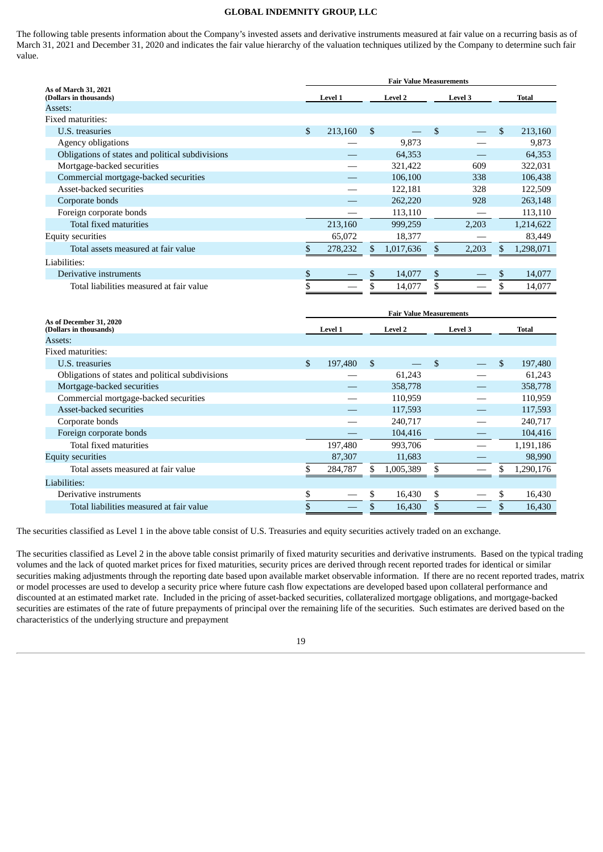The following table presents information about the Company's invested assets and derivative instruments measured at fair value on a recurring basis as of March 31, 2021 and December 31, 2020 and indicates the fair value hierarchy of the valuation techniques utilized by the Company to determine such fair value.

|                                                  | <b>Fair Value Measurements</b> |                |                |                |    |         |     |              |  |  |  |
|--------------------------------------------------|--------------------------------|----------------|----------------|----------------|----|---------|-----|--------------|--|--|--|
| As of March 31, 2021<br>(Dollars in thousands)   |                                | <b>Level 1</b> |                | <b>Level 2</b> |    | Level 3 |     | <b>Total</b> |  |  |  |
| Assets:                                          |                                |                |                |                |    |         |     |              |  |  |  |
| Fixed maturities:                                |                                |                |                |                |    |         |     |              |  |  |  |
| U.S. treasuries                                  | \$                             | 213,160        | $\mathfrak{S}$ |                | \$ |         | \$. | 213,160      |  |  |  |
| Agency obligations                               |                                |                |                | 9,873          |    |         |     | 9,873        |  |  |  |
| Obligations of states and political subdivisions |                                |                |                | 64,353         |    |         |     | 64,353       |  |  |  |
| Mortgage-backed securities                       |                                |                |                | 321,422        |    | 609     |     | 322,031      |  |  |  |
| Commercial mortgage-backed securities            |                                |                |                | 106,100        |    | 338     |     | 106,438      |  |  |  |
| Asset-backed securities                          |                                |                |                | 122,181        |    | 328     |     | 122,509      |  |  |  |
| Corporate bonds                                  |                                |                |                | 262,220        |    | 928     |     | 263,148      |  |  |  |
| Foreign corporate bonds                          |                                |                |                | 113,110        |    |         |     | 113,110      |  |  |  |
| Total fixed maturities                           |                                | 213,160        |                | 999,259        |    | 2,203   |     | 1,214,622    |  |  |  |
| <b>Equity securities</b>                         |                                | 65,072         |                | 18,377         |    |         |     | 83,449       |  |  |  |
| Total assets measured at fair value              | \$.                            | 278,232        | \$             | 1,017,636      | \$ | 2,203   | \$. | 1,298,071    |  |  |  |
| Liabilities:                                     |                                |                |                |                |    |         |     |              |  |  |  |
| Derivative instruments                           | \$                             |                | \$             | 14,077         | \$ |         | \$  | 14,077       |  |  |  |
| Total liabilities measured at fair value         | \$                             |                | \$             | 14,077         | \$ |         |     | 14,077       |  |  |  |
|                                                  |                                |                |                |                |    |         |     |              |  |  |  |

|                                                   | <b>Fair Value Measurements</b> |         |               |                |         |  |              |           |  |  |  |
|---------------------------------------------------|--------------------------------|---------|---------------|----------------|---------|--|--------------|-----------|--|--|--|
| As of December 31, 2020<br>(Dollars in thousands) | <b>Level 1</b>                 |         |               | <b>Level 2</b> | Level 3 |  | <b>Total</b> |           |  |  |  |
| Assets:                                           |                                |         |               |                |         |  |              |           |  |  |  |
| Fixed maturities:                                 |                                |         |               |                |         |  |              |           |  |  |  |
| U.S. treasuries                                   | \$                             | 197,480 | <sup>\$</sup> |                | \$      |  | \$           | 197,480   |  |  |  |
| Obligations of states and political subdivisions  |                                |         |               | 61,243         |         |  |              | 61,243    |  |  |  |
| Mortgage-backed securities                        |                                |         |               | 358,778        |         |  |              | 358,778   |  |  |  |
| Commercial mortgage-backed securities             |                                |         |               | 110,959        |         |  |              | 110,959   |  |  |  |
| Asset-backed securities                           |                                |         |               | 117,593        |         |  |              | 117,593   |  |  |  |
| Corporate bonds                                   |                                |         |               | 240,717        |         |  |              | 240,717   |  |  |  |
| Foreign corporate bonds                           |                                |         |               | 104,416        |         |  |              | 104,416   |  |  |  |
| Total fixed maturities                            |                                | 197,480 |               | 993,706        |         |  |              | 1,191,186 |  |  |  |
| <b>Equity securities</b>                          |                                | 87,307  |               | 11,683         |         |  |              | 98,990    |  |  |  |
| Total assets measured at fair value               |                                | 284,787 | \$            | 1,005,389      | \$      |  |              | 1,290,176 |  |  |  |
| Liabilities:                                      |                                |         |               |                |         |  |              |           |  |  |  |
| Derivative instruments                            | \$                             |         |               | 16,430         | \$      |  |              | 16,430    |  |  |  |
| Total liabilities measured at fair value          |                                |         |               | 16,430         | S       |  |              | 16,430    |  |  |  |
|                                                   |                                |         |               |                |         |  |              |           |  |  |  |

The securities classified as Level 1 in the above table consist of U.S. Treasuries and equity securities actively traded on an exchange.

The securities classified as Level 2 in the above table consist primarily of fixed maturity securities and derivative instruments. Based on the typical trading volumes and the lack of quoted market prices for fixed maturities, security prices are derived through recent reported trades for identical or similar securities making adjustments through the reporting date based upon available market observable information. If there are no recent reported trades, matrix or model processes are used to develop a security price where future cash flow expectations are developed based upon collateral performance and discounted at an estimated market rate. Included in the pricing of asset-backed securities, collateralized mortgage obligations, and mortgage-backed securities are estimates of the rate of future prepayments of principal over the remaining life of the securities. Such estimates are derived based on the characteristics of the underlying structure and prepayment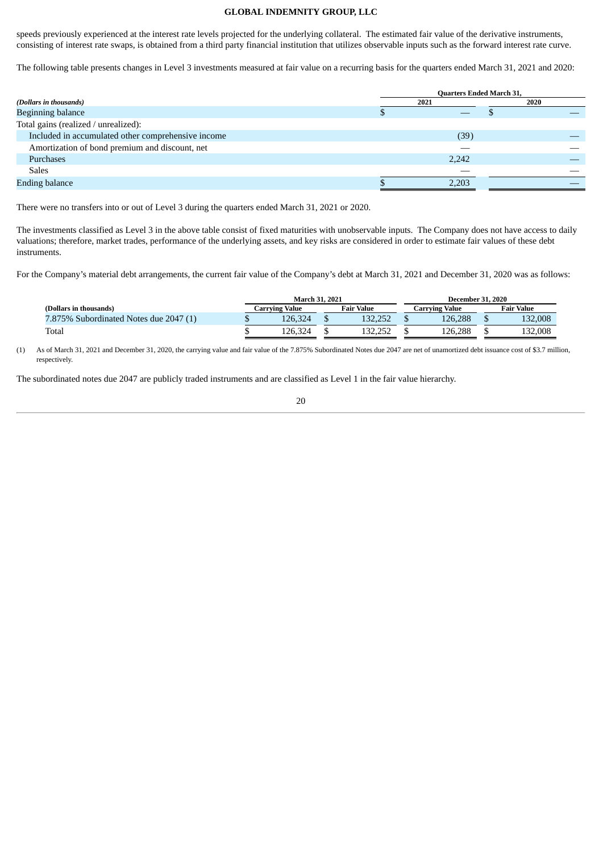speeds previously experienced at the interest rate levels projected for the underlying collateral. The estimated fair value of the derivative instruments, consisting of interest rate swaps, is obtained from a third party financial institution that utilizes observable inputs such as the forward interest rate curve.

The following table presents changes in Level 3 investments measured at fair value on a recurring basis for the quarters ended March 31, 2021 and 2020:

|                                                    | <b>Quarters Ended March 31,</b> |       |      |  |  |  |  |
|----------------------------------------------------|---------------------------------|-------|------|--|--|--|--|
| (Dollars in thousands)                             | 2021                            |       | 2020 |  |  |  |  |
| <b>Beginning balance</b>                           |                                 |       |      |  |  |  |  |
| Total gains (realized / unrealized):               |                                 |       |      |  |  |  |  |
| Included in accumulated other comprehensive income |                                 | (39)  |      |  |  |  |  |
| Amortization of bond premium and discount, net     |                                 |       |      |  |  |  |  |
| Purchases                                          |                                 | 2,242 |      |  |  |  |  |
| <b>Sales</b>                                       |                                 |       |      |  |  |  |  |
| <b>Ending balance</b>                              |                                 | 2,203 |      |  |  |  |  |

There were no transfers into or out of Level 3 during the quarters ended March 31, 2021 or 2020.

The investments classified as Level 3 in the above table consist of fixed maturities with unobservable inputs. The Company does not have access to daily valuations; therefore, market trades, performance of the underlying assets, and key risks are considered in order to estimate fair values of these debt instruments.

For the Company's material debt arrangements, the current fair value of the Company's debt at March 31, 2021 and December 31, 2020 was as follows:

|                                        | <b>March 31, 2021</b> |  | <b>December 31, 2020</b> |                       |                   |         |  |
|----------------------------------------|-----------------------|--|--------------------------|-----------------------|-------------------|---------|--|
| (Dollars in thousands)                 | Carrying Value        |  | <b>Fair Value</b>        | <b>Carrving Value</b> | <b>Fair Value</b> |         |  |
| 7.875% Subordinated Notes due 2047 (1) | 126.324               |  | 132.252                  | 126.288               |                   | 132,008 |  |
| Total                                  | 126.324               |  | 132.252                  | 126.288               |                   | 32,008  |  |

(1) As of March 31, 2021 and December 31, 2020, the carrying value and fair value of the 7.875% Subordinated Notes due 2047 are net of unamortized debt issuance cost of \$3.7 million, respectively.

The subordinated notes due 2047 are publicly traded instruments and are classified as Level 1 in the fair value hierarchy.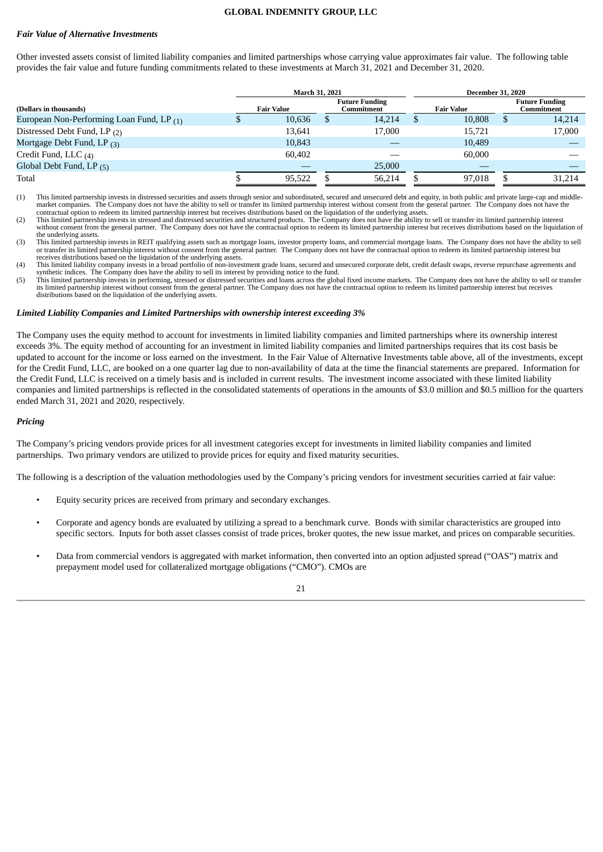#### *Fair Value of Alternative Investments*

Other invested assets consist of limited liability companies and limited partnerships whose carrying value approximates fair value. The following table provides the fair value and future funding commitments related to these investments at March 31, 2021 and December 31, 2020.

|                                             | March 31, 2021    |                                     |        | <b>December 31, 2020</b> |                   |                                     |        |  |  |
|---------------------------------------------|-------------------|-------------------------------------|--------|--------------------------|-------------------|-------------------------------------|--------|--|--|
| (Dollars in thousands)                      | <b>Fair Value</b> | <b>Future Funding</b><br>Commitment |        |                          | <b>Fair Value</b> | <b>Future Funding</b><br>Commitment |        |  |  |
| European Non-Performing Loan Fund, LP $(1)$ | 10,636            |                                     | 14.214 | - 55                     | 10,808            | S                                   | 14,214 |  |  |
| Distressed Debt Fund, LP $(2)$              | 13,641            |                                     | 17,000 |                          | 15.721            |                                     | 17,000 |  |  |
| Mortgage Debt Fund, LP $(3)$                | 10,843            |                                     |        |                          | 10,489            |                                     |        |  |  |
| Credit Fund, LLC $(4)$                      | 60.402            |                                     |        |                          | 60,000            |                                     |        |  |  |
| Global Debt Fund, LP $(5)$                  |                   |                                     | 25,000 |                          |                   |                                     |        |  |  |
| Total                                       | 95.522            |                                     | 56.214 |                          | 97.018            |                                     | 31.214 |  |  |

(1) This limited partnership invests in distressed securities and assets through senior and subordinated, secured and unsecured debt and equity, in both public and private large-cap and middlemarket companies. The Company does not have the ability to sell or transfer its limited partnership interest without consent from the general partner. The Company does not have the contractual option to redeem its limited partnership interest but receives distributions based on the liquidation of the underlying assets.

This limited partnership invests in stressed and distressed securities and structured products. The Company does not have the ability to sell or transfer its limited partnership interest without consent from the general partner. The Company does not have the contractual option to redeem its limited partnership interest but receives distributions based on the liquidation of the underlying assets.

(3) This limited partnership invests in REIT qualifying assets such as mortgage loans, investor property loans, and commercial mortgage loans. The Company does not have the ability to sell or transfer its limited partnersh

synthetic indices. The Company does have the ability to sell its interest by providing notice to the fund.

(5) This limited partnership invests in performing, stressed or distressed securities and loans across the global fixed income markets. The Company does not have the ability to sell or transfer Interest partnership interest without consent from the general partner. The Company does not have the contractual option to redeem its limited partnership interest but receives its limited partnership interest but receives distributions based on the liquidation of the underlying assets.

#### *Limited Liability Companies and Limited Partnerships with ownership interest exceeding 3%*

The Company uses the equity method to account for investments in limited liability companies and limited partnerships where its ownership interest exceeds 3%. The equity method of accounting for an investment in limited liability companies and limited partnerships requires that its cost basis be updated to account for the income or loss earned on the investment. In the Fair Value of Alternative Investments table above, all of the investments, except for the Credit Fund, LLC, are booked on a one quarter lag due to non-availability of data at the time the financial statements are prepared. Information for the Credit Fund, LLC is received on a timely basis and is included in current results. The investment income associated with these limited liability companies and limited partnerships is reflected in the consolidated statements of operations in the amounts of \$3.0 million and \$0.5 million for the quarters ended March 31, 2021 and 2020, respectively.

# *Pricing*

The Company's pricing vendors provide prices for all investment categories except for investments in limited liability companies and limited partnerships. Two primary vendors are utilized to provide prices for equity and fixed maturity securities.

The following is a description of the valuation methodologies used by the Company's pricing vendors for investment securities carried at fair value:

- Equity security prices are received from primary and secondary exchanges.
- Corporate and agency bonds are evaluated by utilizing a spread to a benchmark curve. Bonds with similar characteristics are grouped into specific sectors. Inputs for both asset classes consist of trade prices, broker quotes, the new issue market, and prices on comparable securities.
- Data from commercial vendors is aggregated with market information, then converted into an option adjusted spread ("OAS") matrix and prepayment model used for collateralized mortgage obligations ("CMO"). CMOs are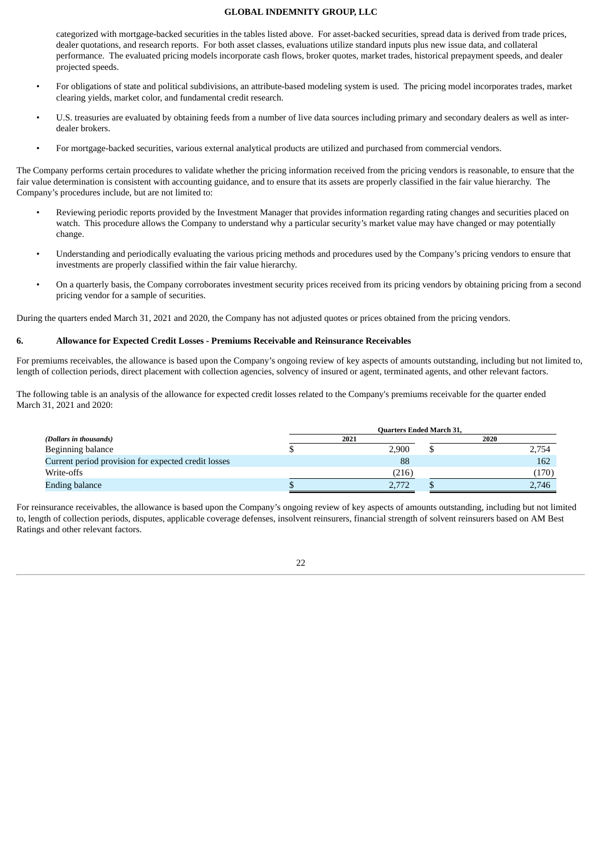categorized with mortgage-backed securities in the tables listed above. For asset-backed securities, spread data is derived from trade prices, dealer quotations, and research reports. For both asset classes, evaluations utilize standard inputs plus new issue data, and collateral performance. The evaluated pricing models incorporate cash flows, broker quotes, market trades, historical prepayment speeds, and dealer projected speeds.

- For obligations of state and political subdivisions, an attribute-based modeling system is used. The pricing model incorporates trades, market clearing yields, market color, and fundamental credit research.
- U.S. treasuries are evaluated by obtaining feeds from a number of live data sources including primary and secondary dealers as well as interdealer brokers.
- For mortgage-backed securities, various external analytical products are utilized and purchased from commercial vendors.

The Company performs certain procedures to validate whether the pricing information received from the pricing vendors is reasonable, to ensure that the fair value determination is consistent with accounting guidance, and to ensure that its assets are properly classified in the fair value hierarchy. The Company's procedures include, but are not limited to:

- Reviewing periodic reports provided by the Investment Manager that provides information regarding rating changes and securities placed on watch. This procedure allows the Company to understand why a particular security's market value may have changed or may potentially change.
- Understanding and periodically evaluating the various pricing methods and procedures used by the Company's pricing vendors to ensure that investments are properly classified within the fair value hierarchy.
- On a quarterly basis, the Company corroborates investment security prices received from its pricing vendors by obtaining pricing from a second pricing vendor for a sample of securities.

During the quarters ended March 31, 2021 and 2020, the Company has not adjusted quotes or prices obtained from the pricing vendors.

# **6. Allowance for Expected Credit Losses - Premiums Receivable and Reinsurance Receivables**

For premiums receivables, the allowance is based upon the Company's ongoing review of key aspects of amounts outstanding, including but not limited to, length of collection periods, direct placement with collection agencies, solvency of insured or agent, terminated agents, and other relevant factors.

The following table is an analysis of the allowance for expected credit losses related to the Company's premiums receivable for the quarter ended March 31, 2021 and 2020:

|                                                     | <b>Quarters Ended March 31,</b> |       |      |       |  |  |  |  |  |
|-----------------------------------------------------|---------------------------------|-------|------|-------|--|--|--|--|--|
| (Dollars in thousands)                              |                                 | 2021  | 2020 |       |  |  |  |  |  |
| Beginning balance                                   |                                 | 2.900 |      | 2,754 |  |  |  |  |  |
| Current period provision for expected credit losses |                                 | 88    |      | 162   |  |  |  |  |  |
| Write-offs                                          |                                 | (216) |      | (170) |  |  |  |  |  |
| Ending balance                                      |                                 | 2.772 |      | 2,746 |  |  |  |  |  |

For reinsurance receivables, the allowance is based upon the Company's ongoing review of key aspects of amounts outstanding, including but not limited to, length of collection periods, disputes, applicable coverage defenses, insolvent reinsurers, financial strength of solvent reinsurers based on AM Best Ratings and other relevant factors.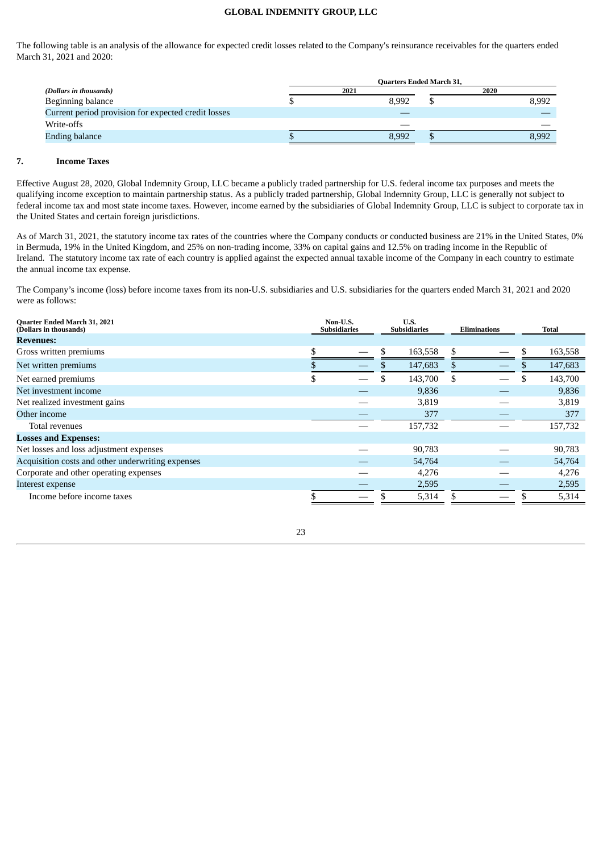The following table is an analysis of the allowance for expected credit losses related to the Company's reinsurance receivables for the quarters ended March 31, 2021 and 2020:

|                                                     | <b>Quarters Ended March 31,</b> |       |  |       |  |  |  |  |  |
|-----------------------------------------------------|---------------------------------|-------|--|-------|--|--|--|--|--|
| (Dollars in thousands)                              |                                 | 2021  |  | 2020  |  |  |  |  |  |
| Beginning balance                                   |                                 | 8.992 |  | 8,992 |  |  |  |  |  |
| Current period provision for expected credit losses |                                 |       |  |       |  |  |  |  |  |
| Write-offs                                          |                                 |       |  |       |  |  |  |  |  |
| <b>Ending balance</b>                               |                                 | 8.992 |  | 8,992 |  |  |  |  |  |

# **7. Income Taxes**

Effective August 28, 2020, Global Indemnity Group, LLC became a publicly traded partnership for U.S. federal income tax purposes and meets the qualifying income exception to maintain partnership status. As a publicly traded partnership, Global Indemnity Group, LLC is generally not subject to federal income tax and most state income taxes. However, income earned by the subsidiaries of Global Indemnity Group, LLC is subject to corporate tax in the United States and certain foreign jurisdictions.

As of March 31, 2021, the statutory income tax rates of the countries where the Company conducts or conducted business are 21% in the United States, 0% in Bermuda, 19% in the United Kingdom, and 25% on non-trading income, 33% on capital gains and 12.5% on trading income in the Republic of Ireland. The statutory income tax rate of each country is applied against the expected annual taxable income of the Company in each country to estimate the annual income tax expense.

The Company's income (loss) before income taxes from its non-U.S. subsidiaries and U.S. subsidiaries for the quarters ended March 31, 2021 and 2020 were as follows:

| Quarter Ended March 31, 2021<br>(Dollars in thousands) | Non-U.S.<br><b>Subsidiaries</b> |  | U.S.<br><b>Subsidiaries</b> | <b>Eliminations</b> |  | <b>Total</b> |         |
|--------------------------------------------------------|---------------------------------|--|-----------------------------|---------------------|--|--------------|---------|
| <b>Revenues:</b>                                       |                                 |  |                             |                     |  |              |         |
| Gross written premiums                                 |                                 |  | \$<br>163,558               |                     |  |              | 163,558 |
| Net written premiums                                   |                                 |  | 147,683                     |                     |  |              | 147,683 |
| Net earned premiums                                    |                                 |  | 143,700                     | S                   |  |              | 143,700 |
| Net investment income                                  |                                 |  | 9,836                       |                     |  |              | 9,836   |
| Net realized investment gains                          |                                 |  | 3,819                       |                     |  |              | 3,819   |
| Other income                                           |                                 |  | 377                         |                     |  |              | 377     |
| Total revenues                                         |                                 |  | 157,732                     |                     |  |              | 157,732 |
| <b>Losses and Expenses:</b>                            |                                 |  |                             |                     |  |              |         |
| Net losses and loss adjustment expenses                |                                 |  | 90,783                      |                     |  |              | 90,783  |
| Acquisition costs and other underwriting expenses      |                                 |  | 54,764                      |                     |  |              | 54,764  |
| Corporate and other operating expenses                 |                                 |  | 4,276                       |                     |  |              | 4,276   |
| Interest expense                                       |                                 |  | 2,595                       |                     |  |              | 2,595   |
| Income before income taxes                             |                                 |  | 5,314                       |                     |  |              | 5,314   |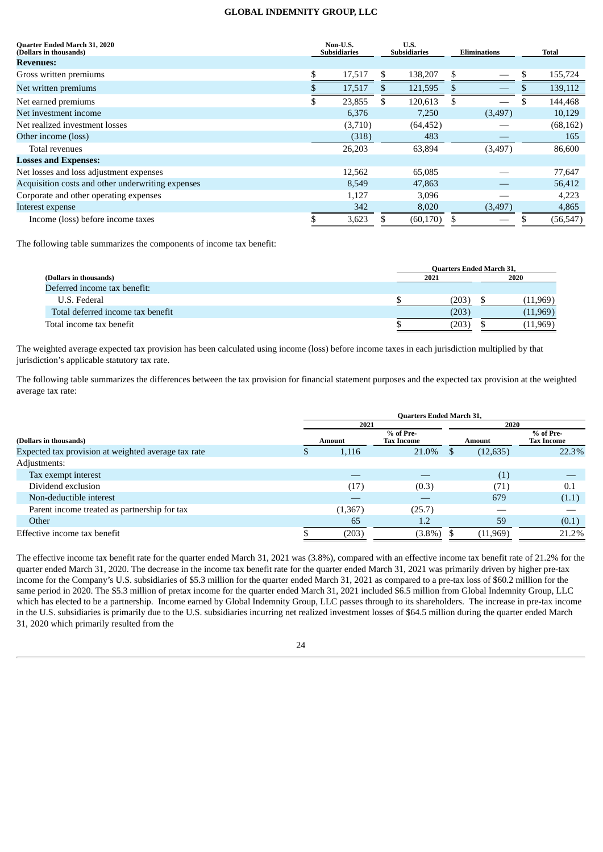| Quarter Ended March 31, 2020<br>(Dollars in thousands) | U.S.<br>Non-U.S.<br><b>Subsidiaries</b><br><b>Subsidiaries</b> |         |     | <b>Eliminations</b> |     | <b>Total</b> |    |           |
|--------------------------------------------------------|----------------------------------------------------------------|---------|-----|---------------------|-----|--------------|----|-----------|
| <b>Revenues:</b>                                       |                                                                |         |     |                     |     |              |    |           |
| Gross written premiums                                 | S.                                                             | 17,517  | \$. | 138,207             | \$  |              | .S | 155,724   |
| Net written premiums                                   |                                                                | 17,517  |     | 121,595             |     |              |    | 139,112   |
| Net earned premiums                                    |                                                                | 23,855  | \$. | 120,613             | \$. |              |    | 144,468   |
| Net investment income                                  |                                                                | 6,376   |     | 7,250               |     | (3, 497)     |    | 10,129    |
| Net realized investment losses                         |                                                                | (3,710) |     | (64, 452)           |     |              |    | (68, 162) |
| Other income (loss)                                    |                                                                | (318)   |     | 483                 |     |              |    | 165       |
| Total revenues                                         |                                                                | 26,203  |     | 63,894              |     | (3, 497)     |    | 86,600    |
| <b>Losses and Expenses:</b>                            |                                                                |         |     |                     |     |              |    |           |
| Net losses and loss adjustment expenses                |                                                                | 12,562  |     | 65,085              |     |              |    | 77,647    |
| Acquisition costs and other underwriting expenses      |                                                                | 8,549   |     | 47,863              |     |              |    | 56,412    |
| Corporate and other operating expenses                 |                                                                | 1,127   |     | 3,096               |     |              |    | 4,223     |
| Interest expense                                       |                                                                | 342     |     | 8,020               |     | (3, 497)     |    | 4,865     |
| Income (loss) before income taxes                      |                                                                | 3,623   |     | (60, 170)           |     |              |    | (56, 547) |

The following table summarizes the components of income tax benefit:

|                                   |      | <b>Quarters Ended March 31,</b> |  |          |  |  |  |
|-----------------------------------|------|---------------------------------|--|----------|--|--|--|
| (Dollars in thousands)            | 2021 |                                 |  | 2020     |  |  |  |
| Deferred income tax benefit:      |      |                                 |  |          |  |  |  |
| U.S. Federal                      |      | (203)                           |  | (11,969) |  |  |  |
| Total deferred income tax benefit |      | (203)                           |  | (11,969) |  |  |  |
| Total income tax benefit          |      | (203)                           |  | (11,969) |  |  |  |

The weighted average expected tax provision has been calculated using income (loss) before income taxes in each jurisdiction multiplied by that jurisdiction's applicable statutory tax rate.

The following table summarizes the differences between the tax provision for financial statement purposes and the expected tax provision at the weighted average tax rate:

|                                                     | <b>Quarters Ended March 31,</b> |         |                                |  |           |                                |  |  |  |  |
|-----------------------------------------------------|---------------------------------|---------|--------------------------------|--|-----------|--------------------------------|--|--|--|--|
|                                                     |                                 | 2021    |                                |  | 2020      |                                |  |  |  |  |
| (Dollars in thousands)                              |                                 | Amount  | % of Pre-<br><b>Tax Income</b> |  | Amount    | % of Pre-<br><b>Tax Income</b> |  |  |  |  |
| Expected tax provision at weighted average tax rate | ۰D.                             | 1,116   | 21.0%                          |  | (12, 635) | 22.3%                          |  |  |  |  |
| Adjustments:                                        |                                 |         |                                |  |           |                                |  |  |  |  |
| Tax exempt interest                                 |                                 |         |                                |  | (1)       |                                |  |  |  |  |
| Dividend exclusion                                  |                                 | (17)    | (0.3)                          |  | (71)      | 0.1                            |  |  |  |  |
| Non-deductible interest                             |                                 |         |                                |  | 679       | (1.1)                          |  |  |  |  |
| Parent income treated as partnership for tax        |                                 | (1,367) | (25.7)                         |  |           |                                |  |  |  |  |
| Other                                               |                                 | 65      | 1.2                            |  | 59        | (0.1)                          |  |  |  |  |
| Effective income tax benefit                        |                                 | (203)   | $(3.8\%)$                      |  | (11,969)  | 21.2%                          |  |  |  |  |

The effective income tax benefit rate for the quarter ended March 31, 2021 was (3.8%), compared with an effective income tax benefit rate of 21.2% for the quarter ended March 31, 2020. The decrease in the income tax benefit rate for the quarter ended March 31, 2021 was primarily driven by higher pre-tax income for the Company's U.S. subsidiaries of \$5.3 million for the quarter ended March 31, 2021 as compared to a pre-tax loss of \$60.2 million for the same period in 2020. The \$5.3 million of pretax income for the quarter ended March 31, 2021 included \$6.5 million from Global Indemnity Group, LLC which has elected to be a partnership. Income earned by Global Indemnity Group, LLC passes through to its shareholders. The increase in pre-tax income in the U.S. subsidiaries is primarily due to the U.S. subsidiaries incurring net realized investment losses of \$64.5 million during the quarter ended March 31, 2020 which primarily resulted from the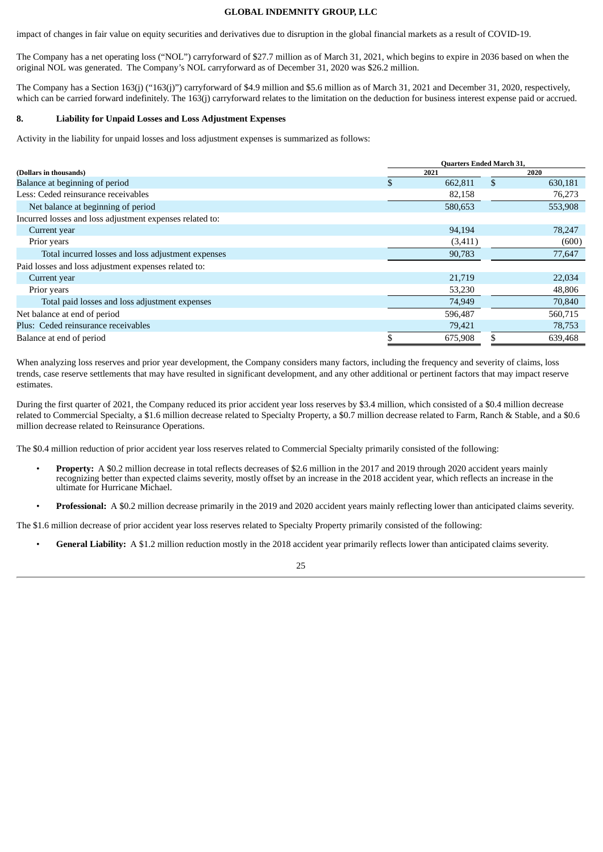impact of changes in fair value on equity securities and derivatives due to disruption in the global financial markets as a result of COVID-19.

The Company has a net operating loss ("NOL") carryforward of \$27.7 million as of March 31, 2021, which begins to expire in 2036 based on when the original NOL was generated. The Company's NOL carryforward as of December 31, 2020 was \$26.2 million.

The Company has a Section 163(j) ("163(j)") carryforward of \$4.9 million and \$5.6 million as of March 31, 2021 and December 31, 2020, respectively, which can be carried forward indefinitely. The 163(j) carryforward relates to the limitation on the deduction for business interest expense paid or accrued.

# **8. Liability for Unpaid Losses and Loss Adjustment Expenses**

Activity in the liability for unpaid losses and loss adjustment expenses is summarized as follows:

|                                                          | <b>Quarters Ended March 31,</b> |         |    |         |  |  |
|----------------------------------------------------------|---------------------------------|---------|----|---------|--|--|
| (Dollars in thousands)                                   |                                 | 2021    |    | 2020    |  |  |
| Balance at beginning of period                           |                                 | 662,811 | \$ | 630,181 |  |  |
| Less: Ceded reinsurance receivables                      |                                 | 82,158  |    | 76,273  |  |  |
| Net balance at beginning of period                       |                                 | 580,653 |    | 553,908 |  |  |
| Incurred losses and loss adjustment expenses related to: |                                 |         |    |         |  |  |
| Current year                                             |                                 | 94,194  |    | 78,247  |  |  |
| Prior years                                              |                                 | (3,411) |    | (600)   |  |  |
| Total incurred losses and loss adjustment expenses       |                                 | 90,783  |    | 77,647  |  |  |
| Paid losses and loss adjustment expenses related to:     |                                 |         |    |         |  |  |
| Current year                                             |                                 | 21,719  |    | 22,034  |  |  |
| Prior years                                              |                                 | 53,230  |    | 48,806  |  |  |
| Total paid losses and loss adjustment expenses           |                                 | 74,949  |    | 70,840  |  |  |
| Net balance at end of period                             |                                 | 596,487 |    | 560,715 |  |  |
| Plus: Ceded reinsurance receivables                      |                                 | 79,421  |    | 78,753  |  |  |
| Balance at end of period                                 |                                 | 675,908 |    | 639,468 |  |  |

When analyzing loss reserves and prior year development, the Company considers many factors, including the frequency and severity of claims, loss trends, case reserve settlements that may have resulted in significant development, and any other additional or pertinent factors that may impact reserve estimates.

During the first quarter of 2021, the Company reduced its prior accident year loss reserves by \$3.4 million, which consisted of a \$0.4 million decrease related to Commercial Specialty, a \$1.6 million decrease related to Specialty Property, a \$0.7 million decrease related to Farm, Ranch & Stable, and a \$0.6 million decrease related to Reinsurance Operations.

The \$0.4 million reduction of prior accident year loss reserves related to Commercial Specialty primarily consisted of the following:

- **Property:** A \$0.2 million decrease in total reflects decreases of \$2.6 million in the 2017 and 2019 through 2020 accident years mainly recognizing better than expected claims severity, mostly offset by an increase in the 2018 accident year, which reflects an increase in the ultimate for Hurricane Michael.
- **Professional:** A \$0.2 million decrease primarily in the 2019 and 2020 accident years mainly reflecting lower than anticipated claims severity.

The \$1.6 million decrease of prior accident year loss reserves related to Specialty Property primarily consisted of the following:

• **General Liability:** A \$1.2 million reduction mostly in the 2018 accident year primarily reflects lower than anticipated claims severity.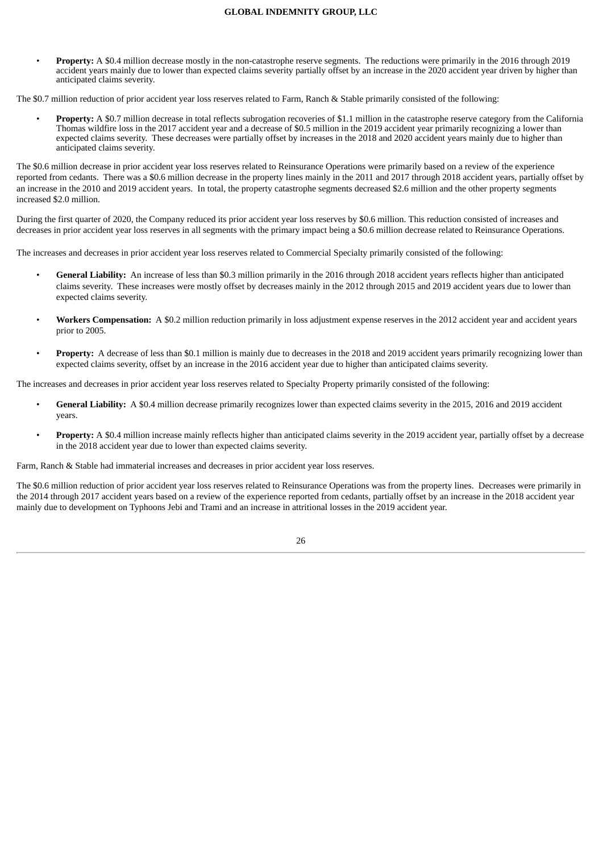• **Property:** A \$0.4 million decrease mostly in the non-catastrophe reserve segments. The reductions were primarily in the 2016 through 2019 accident years mainly due to lower than expected claims severity partially offset by an increase in the 2020 accident year driven by higher than anticipated claims severity.

The \$0.7 million reduction of prior accident year loss reserves related to Farm, Ranch & Stable primarily consisted of the following:

• **Property:** A \$0.7 million decrease in total reflects subrogation recoveries of \$1.1 million in the catastrophe reserve category from the California Thomas wildfire loss in the 2017 accident year and a decrease of \$0.5 million in the 2019 accident year primarily recognizing a lower than expected claims severity. These decreases were partially offset by increases in the 2018 and 2020 accident years mainly due to higher than anticipated claims severity.

The \$0.6 million decrease in prior accident year loss reserves related to Reinsurance Operations were primarily based on a review of the experience reported from cedants. There was a \$0.6 million decrease in the property lines mainly in the 2011 and 2017 through 2018 accident years, partially offset by an increase in the 2010 and 2019 accident years. In total, the property catastrophe segments decreased \$2.6 million and the other property segments increased \$2.0 million.

During the first quarter of 2020, the Company reduced its prior accident year loss reserves by \$0.6 million. This reduction consisted of increases and decreases in prior accident year loss reserves in all segments with the primary impact being a \$0.6 million decrease related to Reinsurance Operations.

The increases and decreases in prior accident year loss reserves related to Commercial Specialty primarily consisted of the following:

- **General Liability:** An increase of less than \$0.3 million primarily in the 2016 through 2018 accident years reflects higher than anticipated claims severity. These increases were mostly offset by decreases mainly in the 2012 through 2015 and 2019 accident years due to lower than expected claims severity.
- **Workers Compensation:** A \$0.2 million reduction primarily in loss adjustment expense reserves in the 2012 accident year and accident years prior to 2005.
- **Property:** A decrease of less than \$0.1 million is mainly due to decreases in the 2018 and 2019 accident years primarily recognizing lower than expected claims severity, offset by an increase in the 2016 accident year due to higher than anticipated claims severity.

The increases and decreases in prior accident year loss reserves related to Specialty Property primarily consisted of the following:

- **General Liability:** A \$0.4 million decrease primarily recognizes lower than expected claims severity in the 2015, 2016 and 2019 accident years.
- **Property:** A \$0.4 million increase mainly reflects higher than anticipated claims severity in the 2019 accident year, partially offset by a decrease in the 2018 accident year due to lower than expected claims severity.

Farm, Ranch & Stable had immaterial increases and decreases in prior accident year loss reserves.

The \$0.6 million reduction of prior accident year loss reserves related to Reinsurance Operations was from the property lines. Decreases were primarily in the 2014 through 2017 accident years based on a review of the experience reported from cedants, partially offset by an increase in the 2018 accident year mainly due to development on Typhoons Jebi and Trami and an increase in attritional losses in the 2019 accident year.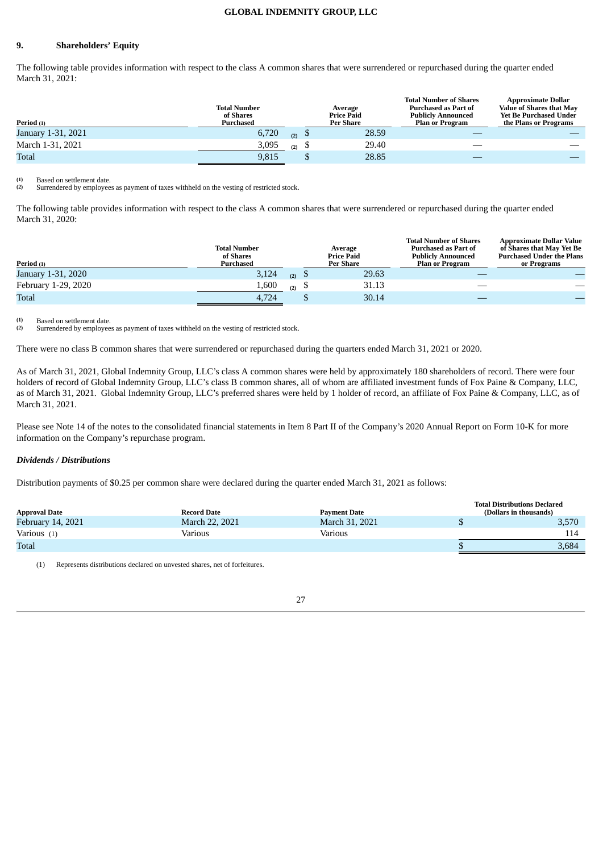## **9. Shareholders' Equity**

The following table provides information with respect to the class A common shares that were surrendered or repurchased during the quarter ended March 31, 2021:

| Period $(1)$       | <b>Total Number</b><br>of Shares<br>Purchased |     | Average<br><b>Price Paid</b><br><b>Per Share</b> | <b>Total Number of Shares</b><br>Purchased as Part of<br><b>Publicly Announced</b><br>Plan or Program | <b>Approximate Dollar</b><br><b>Value of Shares that May</b><br><b>Yet Be Purchased Under</b><br>the Plans or Programs |
|--------------------|-----------------------------------------------|-----|--------------------------------------------------|-------------------------------------------------------------------------------------------------------|------------------------------------------------------------------------------------------------------------------------|
| January 1-31, 2021 | 6,720                                         | (2) | 28.59                                            |                                                                                                       |                                                                                                                        |
| March 1-31, 2021   | 3,095                                         | (2) | 29.40                                            |                                                                                                       |                                                                                                                        |
| Total              | 9,815                                         |     | 28.85                                            |                                                                                                       |                                                                                                                        |

**(1)** Based on settlement date.

Surrendered by employees as payment of taxes withheld on the vesting of restricted stock.

The following table provides information with respect to the class A common shares that were surrendered or repurchased during the quarter ended March 31, 2020:

| Period (1)          | <b>Total Number</b><br>of Shares<br>Purchased |     | Average<br><b>Price Paid</b><br><b>Per Share</b> |       | <b>Total Number of Shares</b><br><b>Purchased as Part of</b><br><b>Publicly Announced</b><br><b>Plan or Program</b> | <b>Approximate Dollar Value</b><br>of Shares that May Yet Be<br><b>Purchased Under the Plans</b><br>or Programs |
|---------------------|-----------------------------------------------|-----|--------------------------------------------------|-------|---------------------------------------------------------------------------------------------------------------------|-----------------------------------------------------------------------------------------------------------------|
| January 1-31, 2020  | 3,124                                         | (2) |                                                  | 29.63 |                                                                                                                     |                                                                                                                 |
| February 1-29, 2020 | L,600                                         | (2) |                                                  | 31.13 |                                                                                                                     |                                                                                                                 |
| <b>Total</b>        | 4.724                                         |     |                                                  | 30.14 |                                                                                                                     |                                                                                                                 |

**(1)** Based on settlement date.

**(2)** Surrendered by employees as payment of taxes withheld on the vesting of restricted stock.

There were no class B common shares that were surrendered or repurchased during the quarters ended March 31, 2021 or 2020.

As of March 31, 2021, Global Indemnity Group, LLC's class A common shares were held by approximately 180 shareholders of record. There were four holders of record of Global Indemnity Group, LLC's class B common shares, all of whom are affiliated investment funds of Fox Paine & Company, LLC, as of March 31, 2021. Global Indemnity Group, LLC's preferred shares were held by 1 holder of record, an affiliate of Fox Paine & Company, LLC, as of March 31, 2021.

Please see Note 14 of the notes to the consolidated financial statements in Item 8 Part II of the Company's 2020 Annual Report on Form 10-K for more information on the Company's repurchase program.

# *Dividends / Distributions*

Distribution payments of \$0.25 per common share were declared during the quarter ended March 31, 2021 as follows:

| <b>Approval Date</b> | <b>Record Date</b> | <b>Payment Date</b> | <b>Total Distributions Declared</b><br>(Dollars in thousands) |
|----------------------|--------------------|---------------------|---------------------------------------------------------------|
| February 14, 2021    | March 22, 2021     | March 31, 2021      | 3,570                                                         |
| Various $(1)$        | Various            | Various             | 114                                                           |
| Total                |                    |                     | 3.684                                                         |

(1) Represents distributions declared on unvested shares, net of forfeitures.

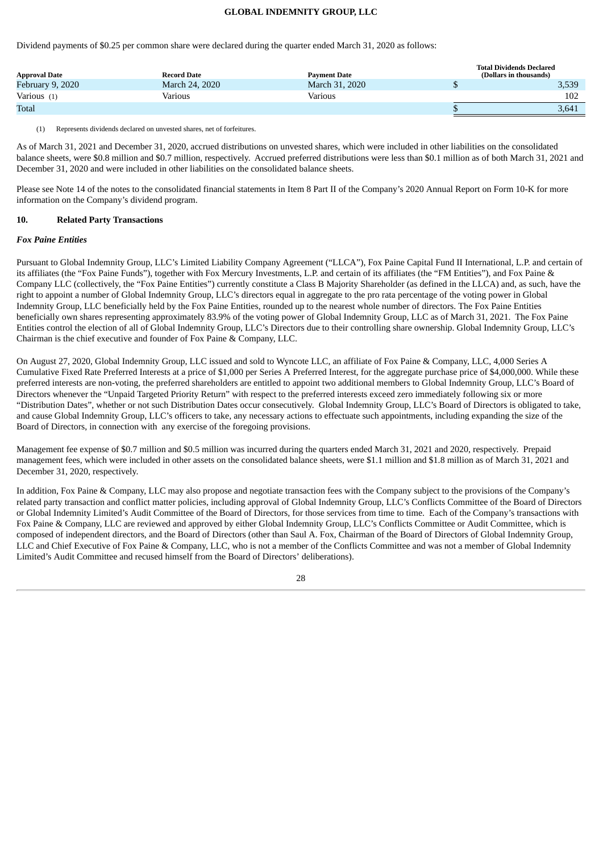Dividend payments of \$0.25 per common share were declared during the quarter ended March 31, 2020 as follows:

| Approval Date    | <b>Record Date</b> | <b>Payment Date</b> | <b>Total Dividends Declared</b><br>(Dollars in thousands) |
|------------------|--------------------|---------------------|-----------------------------------------------------------|
| February 9, 2020 | March 24, 2020     | March 31, 2020      | 3,539                                                     |
| Various (1)      | Various            | Various             | 102                                                       |
| <b>Total</b>     |                    |                     | 3,641                                                     |

(1) Represents dividends declared on unvested shares, net of forfeitures.

As of March 31, 2021 and December 31, 2020, accrued distributions on unvested shares, which were included in other liabilities on the consolidated balance sheets, were \$0.8 million and \$0.7 million, respectively. Accrued preferred distributions were less than \$0.1 million as of both March 31, 2021 and December 31, 2020 and were included in other liabilities on the consolidated balance sheets.

Please see Note 14 of the notes to the consolidated financial statements in Item 8 Part II of the Company's 2020 Annual Report on Form 10-K for more information on the Company's dividend program.

# **10. Related Party Transactions**

# *Fox Paine Entities*

Pursuant to Global Indemnity Group, LLC's Limited Liability Company Agreement ("LLCA"), Fox Paine Capital Fund II International, L.P. and certain of its affiliates (the "Fox Paine Funds"), together with Fox Mercury Investments, L.P. and certain of its affiliates (the "FM Entities"), and Fox Paine & Company LLC (collectively, the "Fox Paine Entities") currently constitute a Class B Majority Shareholder (as defined in the LLCA) and, as such, have the right to appoint a number of Global Indemnity Group, LLC's directors equal in aggregate to the pro rata percentage of the voting power in Global Indemnity Group, LLC beneficially held by the Fox Paine Entities, rounded up to the nearest whole number of directors. The Fox Paine Entities beneficially own shares representing approximately 83.9% of the voting power of Global Indemnity Group, LLC as of March 31, 2021. The Fox Paine Entities control the election of all of Global Indemnity Group, LLC's Directors due to their controlling share ownership. Global Indemnity Group, LLC's Chairman is the chief executive and founder of Fox Paine & Company, LLC.

On August 27, 2020, Global Indemnity Group, LLC issued and sold to Wyncote LLC, an affiliate of Fox Paine & Company, LLC, 4,000 Series A Cumulative Fixed Rate Preferred Interests at a price of \$1,000 per Series A Preferred Interest, for the aggregate purchase price of \$4,000,000. While these preferred interests are non-voting, the preferred shareholders are entitled to appoint two additional members to Global Indemnity Group, LLC's Board of Directors whenever the "Unpaid Targeted Priority Return" with respect to the preferred interests exceed zero immediately following six or more "Distribution Dates", whether or not such Distribution Dates occur consecutively. Global Indemnity Group, LLC's Board of Directors is obligated to take, and cause Global Indemnity Group, LLC's officers to take, any necessary actions to effectuate such appointments, including expanding the size of the Board of Directors, in connection with any exercise of the foregoing provisions.

Management fee expense of \$0.7 million and \$0.5 million was incurred during the quarters ended March 31, 2021 and 2020, respectively. Prepaid management fees, which were included in other assets on the consolidated balance sheets, were \$1.1 million and \$1.8 million as of March 31, 2021 and December 31, 2020, respectively.

In addition, Fox Paine & Company, LLC may also propose and negotiate transaction fees with the Company subject to the provisions of the Company's related party transaction and conflict matter policies, including approval of Global Indemnity Group, LLC's Conflicts Committee of the Board of Directors or Global Indemnity Limited's Audit Committee of the Board of Directors, for those services from time to time. Each of the Company's transactions with Fox Paine & Company, LLC are reviewed and approved by either Global Indemnity Group, LLC's Conflicts Committee or Audit Committee, which is composed of independent directors, and the Board of Directors (other than Saul A. Fox, Chairman of the Board of Directors of Global Indemnity Group, LLC and Chief Executive of Fox Paine & Company, LLC, who is not a member of the Conflicts Committee and was not a member of Global Indemnity Limited's Audit Committee and recused himself from the Board of Directors' deliberations).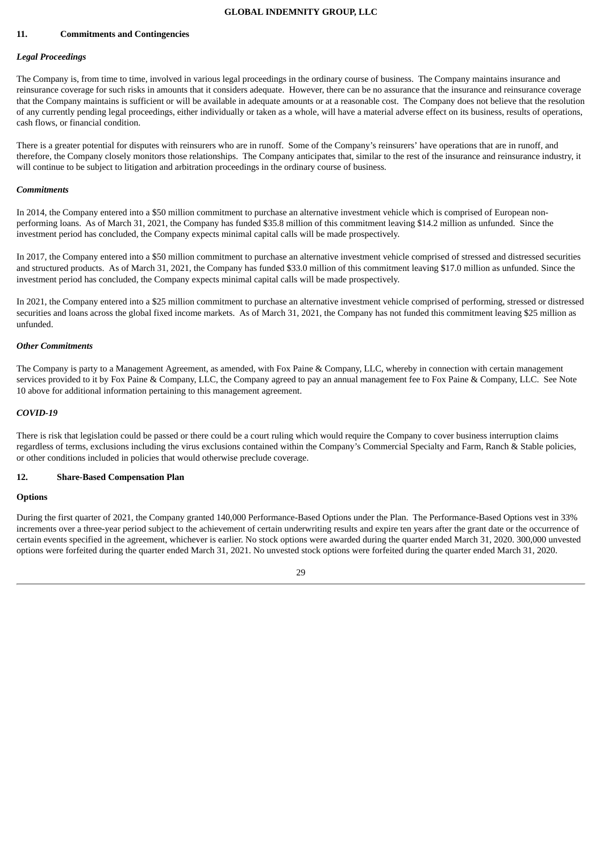# **11. Commitments and Contingencies**

#### *Legal Proceedings*

The Company is, from time to time, involved in various legal proceedings in the ordinary course of business. The Company maintains insurance and reinsurance coverage for such risks in amounts that it considers adequate. However, there can be no assurance that the insurance and reinsurance coverage that the Company maintains is sufficient or will be available in adequate amounts or at a reasonable cost. The Company does not believe that the resolution of any currently pending legal proceedings, either individually or taken as a whole, will have a material adverse effect on its business, results of operations, cash flows, or financial condition.

There is a greater potential for disputes with reinsurers who are in runoff. Some of the Company's reinsurers' have operations that are in runoff, and therefore, the Company closely monitors those relationships. The Company anticipates that, similar to the rest of the insurance and reinsurance industry, it will continue to be subject to litigation and arbitration proceedings in the ordinary course of business.

#### *Commitments*

In 2014, the Company entered into a \$50 million commitment to purchase an alternative investment vehicle which is comprised of European nonperforming loans. As of March 31, 2021, the Company has funded \$35.8 million of this commitment leaving \$14.2 million as unfunded. Since the investment period has concluded, the Company expects minimal capital calls will be made prospectively.

In 2017, the Company entered into a \$50 million commitment to purchase an alternative investment vehicle comprised of stressed and distressed securities and structured products. As of March 31, 2021, the Company has funded \$33.0 million of this commitment leaving \$17.0 million as unfunded. Since the investment period has concluded, the Company expects minimal capital calls will be made prospectively.

In 2021, the Company entered into a \$25 million commitment to purchase an alternative investment vehicle comprised of performing, stressed or distressed securities and loans across the global fixed income markets. As of March 31, 2021, the Company has not funded this commitment leaving \$25 million as unfunded.

#### *Other Commitments*

The Company is party to a Management Agreement, as amended, with Fox Paine & Company, LLC, whereby in connection with certain management services provided to it by Fox Paine & Company, LLC, the Company agreed to pay an annual management fee to Fox Paine & Company, LLC. See Note 10 above for additional information pertaining to this management agreement.

# *COVID-19*

There is risk that legislation could be passed or there could be a court ruling which would require the Company to cover business interruption claims regardless of terms, exclusions including the virus exclusions contained within the Company's Commercial Specialty and Farm, Ranch & Stable policies, or other conditions included in policies that would otherwise preclude coverage.

#### **12. Share-Based Compensation Plan**

# **Options**

During the first quarter of 2021, the Company granted 140,000 Performance-Based Options under the Plan. The Performance-Based Options vest in 33% increments over a three-year period subject to the achievement of certain underwriting results and expire ten years after the grant date or the occurrence of certain events specified in the agreement, whichever is earlier. No stock options were awarded during the quarter ended March 31, 2020. 300,000 unvested options were forfeited during the quarter ended March 31, 2021. No unvested stock options were forfeited during the quarter ended March 31, 2020.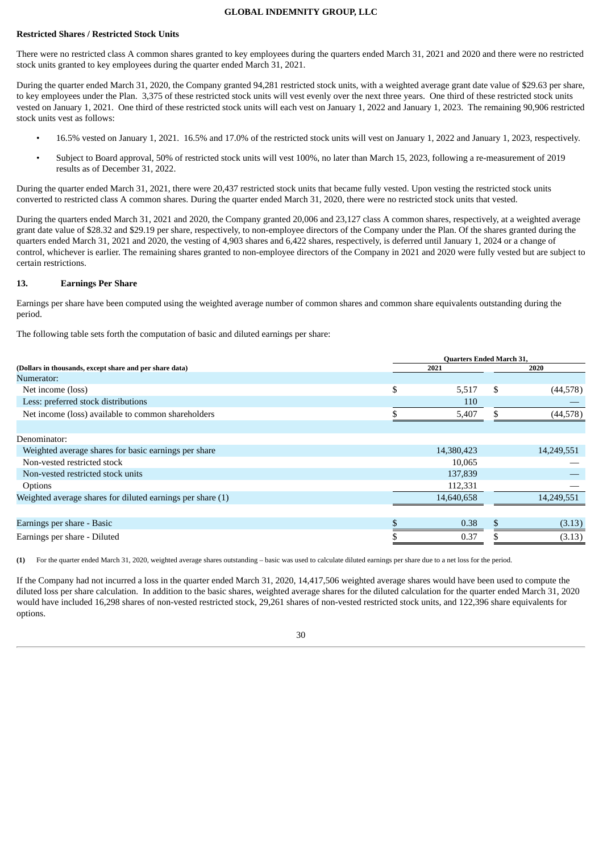# **Restricted Shares / Restricted Stock Units**

There were no restricted class A common shares granted to key employees during the quarters ended March 31, 2021 and 2020 and there were no restricted stock units granted to key employees during the quarter ended March 31, 2021.

During the quarter ended March 31, 2020, the Company granted 94,281 restricted stock units, with a weighted average grant date value of \$29.63 per share, to key employees under the Plan. 3,375 of these restricted stock units will vest evenly over the next three years. One third of these restricted stock units vested on January 1, 2021. One third of these restricted stock units will each vest on January 1, 2022 and January 1, 2023. The remaining 90,906 restricted stock units vest as follows:

- 16.5% vested on January 1, 2021. 16.5% and 17.0% of the restricted stock units will vest on January 1, 2022 and January 1, 2023, respectively.
- Subject to Board approval, 50% of restricted stock units will vest 100%, no later than March 15, 2023, following a re-measurement of 2019 results as of December 31, 2022.

During the quarter ended March 31, 2021, there were 20,437 restricted stock units that became fully vested. Upon vesting the restricted stock units converted to restricted class A common shares. During the quarter ended March 31, 2020, there were no restricted stock units that vested.

During the quarters ended March 31, 2021 and 2020, the Company granted 20,006 and 23,127 class A common shares, respectively, at a weighted average grant date value of \$28.32 and \$29.19 per share, respectively, to non-employee directors of the Company under the Plan. Of the shares granted during the quarters ended March 31, 2021 and 2020, the vesting of 4,903 shares and 6,422 shares, respectively, is deferred until January 1, 2024 or a change of control, whichever is earlier. The remaining shares granted to non-employee directors of the Company in 2021 and 2020 were fully vested but are subject to certain restrictions.

# **13. Earnings Per Share**

Earnings per share have been computed using the weighted average number of common shares and common share equivalents outstanding during the period.

The following table sets forth the computation of basic and diluted earnings per share:

|                                                            | <b>Quarters Ended March 31,</b> |    |            |  |  |  |  |  |
|------------------------------------------------------------|---------------------------------|----|------------|--|--|--|--|--|
| (Dollars in thousands, except share and per share data)    | 2021                            |    | 2020       |  |  |  |  |  |
| Numerator:                                                 |                                 |    |            |  |  |  |  |  |
| Net income (loss)                                          | \$<br>5,517                     | \$ | (44, 578)  |  |  |  |  |  |
| Less: preferred stock distributions                        | 110                             |    |            |  |  |  |  |  |
| Net income (loss) available to common shareholders         | 5,407                           |    | (44, 578)  |  |  |  |  |  |
|                                                            |                                 |    |            |  |  |  |  |  |
| Denominator:                                               |                                 |    |            |  |  |  |  |  |
| Weighted average shares for basic earnings per share       | 14,380,423                      |    | 14,249,551 |  |  |  |  |  |
| Non-vested restricted stock                                | 10,065                          |    |            |  |  |  |  |  |
| Non-vested restricted stock units                          | 137,839                         |    |            |  |  |  |  |  |
| Options                                                    | 112,331                         |    |            |  |  |  |  |  |
| Weighted average shares for diluted earnings per share (1) | 14,640,658                      |    | 14,249,551 |  |  |  |  |  |
|                                                            |                                 |    |            |  |  |  |  |  |
| Earnings per share - Basic                                 | 0.38                            |    | (3.13)     |  |  |  |  |  |
| Earnings per share - Diluted                               | 0.37                            |    | (3.13)     |  |  |  |  |  |

**(1)** For the quarter ended March 31, 2020, weighted average shares outstanding – basic was used to calculate diluted earnings per share due to a net loss for the period.

If the Company had not incurred a loss in the quarter ended March 31, 2020, 14,417,506 weighted average shares would have been used to compute the diluted loss per share calculation. In addition to the basic shares, weighted average shares for the diluted calculation for the quarter ended March 31, 2020 would have included 16,298 shares of non-vested restricted stock, 29,261 shares of non-vested restricted stock units, and 122,396 share equivalents for options.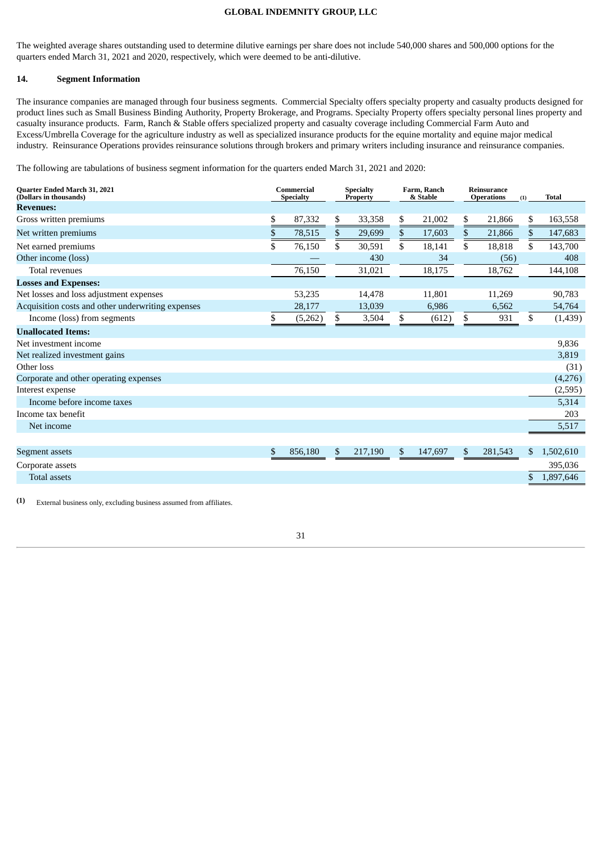The weighted average shares outstanding used to determine dilutive earnings per share does not include 540,000 shares and 500,000 options for the quarters ended March 31, 2021 and 2020, respectively, which were deemed to be anti-dilutive.

# **14. Segment Information**

The insurance companies are managed through four business segments. Commercial Specialty offers specialty property and casualty products designed for product lines such as Small Business Binding Authority, Property Brokerage, and Programs. Specialty Property offers specialty personal lines property and casualty insurance products. Farm, Ranch & Stable offers specialized property and casualty coverage including Commercial Farm Auto and Excess/Umbrella Coverage for the agriculture industry as well as specialized insurance products for the equine mortality and equine major medical industry. Reinsurance Operations provides reinsurance solutions through brokers and primary writers including insurance and reinsurance companies.

The following are tabulations of business segment information for the quarters ended March 31, 2021 and 2020:

| Quarter Ended March 31, 2021<br>(Dollars in thousands) | Commercial<br><b>Specialty</b><br><b>Specialty</b><br>Property |    | Farm, Ranch<br>& Stable |    | Reinsurance<br><b>Operations</b><br>(1) |    |         | <b>Total</b> |           |
|--------------------------------------------------------|----------------------------------------------------------------|----|-------------------------|----|-----------------------------------------|----|---------|--------------|-----------|
| <b>Revenues:</b>                                       |                                                                |    |                         |    |                                         |    |         |              |           |
| Gross written premiums                                 | \$<br>87,332                                                   | \$ | 33,358                  | \$ | 21,002                                  | \$ | 21,866  | \$           | 163,558   |
| Net written premiums                                   | \$<br>78,515                                                   | \$ | 29,699                  | \$ | 17,603                                  | \$ | 21,866  | \$           | 147,683   |
| Net earned premiums                                    | \$<br>76,150                                                   | \$ | 30,591                  | \$ | 18,141                                  | \$ | 18,818  | \$           | 143,700   |
| Other income (loss)                                    |                                                                |    | 430                     |    | 34                                      |    | (56)    |              | 408       |
| <b>Total revenues</b>                                  | 76,150                                                         |    | 31,021                  |    | 18,175                                  |    | 18,762  |              | 144,108   |
| <b>Losses and Expenses:</b>                            |                                                                |    |                         |    |                                         |    |         |              |           |
| Net losses and loss adjustment expenses                | 53,235                                                         |    | 14,478                  |    | 11,801                                  |    | 11,269  |              | 90,783    |
| Acquisition costs and other underwriting expenses      | 28,177                                                         |    | 13,039                  |    | 6,986                                   |    | 6,562   |              | 54,764    |
| Income (loss) from segments                            | \$<br>(5,262)                                                  | \$ | 3,504                   | \$ | (612)                                   | \$ | 931     | \$           | (1, 439)  |
| <b>Unallocated Items:</b>                              |                                                                |    |                         |    |                                         |    |         |              |           |
| Net investment income                                  |                                                                |    |                         |    |                                         |    |         |              | 9,836     |
| Net realized investment gains                          |                                                                |    |                         |    |                                         |    |         |              | 3,819     |
| Other loss                                             |                                                                |    |                         |    |                                         |    |         |              | (31)      |
| Corporate and other operating expenses                 |                                                                |    |                         |    |                                         |    |         |              | (4,276)   |
| Interest expense                                       |                                                                |    |                         |    |                                         |    |         |              | (2,595)   |
| Income before income taxes                             |                                                                |    |                         |    |                                         |    |         |              | 5,314     |
| Income tax benefit                                     |                                                                |    |                         |    |                                         |    |         |              | 203       |
| Net income                                             |                                                                |    |                         |    |                                         |    |         |              | 5,517     |
|                                                        |                                                                |    |                         |    |                                         |    |         |              |           |
| Segment assets                                         | \$<br>856,180                                                  | \$ | 217,190                 | \$ | 147,697                                 | \$ | 281,543 | \$           | 1,502,610 |
| Corporate assets                                       |                                                                |    |                         |    |                                         |    |         |              | 395,036   |
| <b>Total assets</b>                                    |                                                                |    |                         |    |                                         |    |         | S            | 1,897,646 |
|                                                        |                                                                |    |                         |    |                                         |    |         |              |           |

**(1)** External business only, excluding business assumed from affiliates.

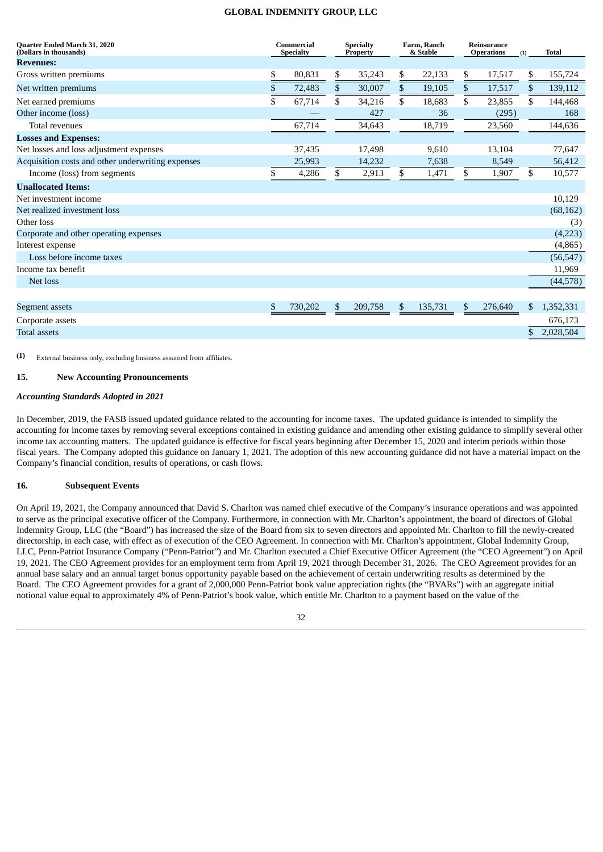| Quarter Ended March 31, 2020<br>(Dollars in thousands) |    | Commercial<br><b>Specialty</b> | <b>Specialty</b><br>Property | Farm, Ranch<br>& Stable | Reinsurance<br><b>Operations</b> | (1) | <b>Total</b> |
|--------------------------------------------------------|----|--------------------------------|------------------------------|-------------------------|----------------------------------|-----|--------------|
| <b>Revenues:</b>                                       |    |                                |                              |                         |                                  |     |              |
| Gross written premiums                                 | S  | 80,831                         | \$<br>35,243                 | \$<br>22,133            | \$<br>17,517                     | \$  | 155,724      |
| Net written premiums                                   | \$ | 72,483                         | \$<br>30,007                 | \$<br>19,105            | \$<br>17,517                     | \$  | 139,112      |
| Net earned premiums                                    | \$ | 67,714                         | \$<br>34,216                 | \$<br>18,683            | \$<br>23,855                     | \$  | 144,468      |
| Other income (loss)                                    |    |                                | 427                          | 36                      | (295)                            |     | 168          |
| <b>Total revenues</b>                                  |    | 67,714                         | 34,643                       | 18,719                  | 23,560                           |     | 144,636      |
| <b>Losses and Expenses:</b>                            |    |                                |                              |                         |                                  |     |              |
| Net losses and loss adjustment expenses                |    | 37,435                         | 17,498                       | 9,610                   | 13,104                           |     | 77,647       |
| Acquisition costs and other underwriting expenses      |    | 25,993                         | 14,232                       | 7,638                   | 8,549                            |     | 56,412       |
| Income (loss) from segments                            | \$ | 4,286                          | \$<br>2,913                  | \$<br>1,471             | \$<br>1,907                      | \$  | 10,577       |
| <b>Unallocated Items:</b>                              |    |                                |                              |                         |                                  |     |              |
| Net investment income                                  |    |                                |                              |                         |                                  |     | 10,129       |
| Net realized investment loss                           |    |                                |                              |                         |                                  |     | (68, 162)    |
| Other loss                                             |    |                                |                              |                         |                                  |     | (3)          |
| Corporate and other operating expenses                 |    |                                |                              |                         |                                  |     | (4,223)      |
| Interest expense                                       |    |                                |                              |                         |                                  |     | (4,865)      |
| Loss before income taxes                               |    |                                |                              |                         |                                  |     | (56, 547)    |
| Income tax benefit                                     |    |                                |                              |                         |                                  |     | 11,969       |
| Net loss                                               |    |                                |                              |                         |                                  |     | (44, 578)    |
|                                                        |    |                                |                              |                         |                                  |     |              |
| Segment assets                                         | \$ | 730,202                        | \$<br>209,758                | \$<br>135,731           | \$<br>276,640                    | \$  | 1,352,331    |
| Corporate assets                                       |    |                                |                              |                         |                                  |     | 676,173      |
| <b>Total assets</b>                                    |    |                                |                              |                         |                                  | \$  | 2,028,504    |

**(1)** External business only, excluding business assumed from affiliates.

#### **15. New Accounting Pronouncements**

#### *Accounting Standards Adopted in 2021*

In December, 2019, the FASB issued updated guidance related to the accounting for income taxes. The updated guidance is intended to simplify the accounting for income taxes by removing several exceptions contained in existing guidance and amending other existing guidance to simplify several other income tax accounting matters. The updated guidance is effective for fiscal years beginning after December 15, 2020 and interim periods within those fiscal years. The Company adopted this guidance on January 1, 2021. The adoption of this new accounting guidance did not have a material impact on the Company's financial condition, results of operations, or cash flows.

# **16. Subsequent Events**

On April 19, 2021, the Company announced that David S. Charlton was named chief executive of the Company's insurance operations and was appointed to serve as the principal executive officer of the Company. Furthermore, in connection with Mr. Charlton's appointment, the board of directors of Global Indemnity Group, LLC (the "Board") has increased the size of the Board from six to seven directors and appointed Mr. Charlton to fill the newly-created directorship, in each case, with effect as of execution of the CEO Agreement. In connection with Mr. Charlton's appointment, Global Indemnity Group, LLC, Penn-Patriot Insurance Company ("Penn-Patriot") and Mr. Charlton executed a Chief Executive Officer Agreement (the "CEO Agreement") on April 19, 2021. The CEO Agreement provides for an employment term from April 19, 2021 through December 31, 2026. The CEO Agreement provides for an annual base salary and an annual target bonus opportunity payable based on the achievement of certain underwriting results as determined by the Board. The CEO Agreement provides for a grant of 2,000,000 Penn-Patriot book value appreciation rights (the "BVARs") with an aggregate initial notional value equal to approximately 4% of Penn-Patriot's book value, which entitle Mr. Charlton to a payment based on the value of the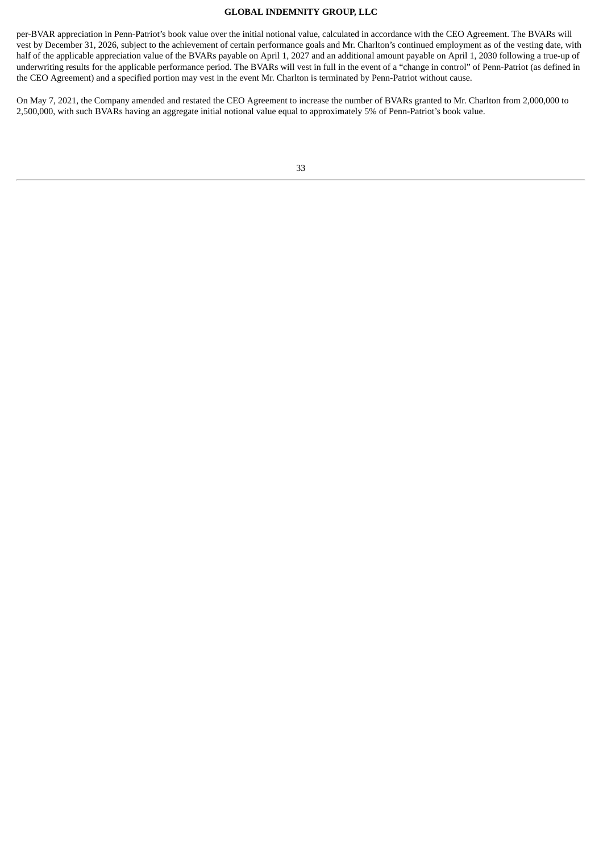per-BVAR appreciation in Penn-Patriot's book value over the initial notional value, calculated in accordance with the CEO Agreement. The BVARs will vest by December 31, 2026, subject to the achievement of certain performance goals and Mr. Charlton's continued employment as of the vesting date, with half of the applicable appreciation value of the BVARs payable on April 1, 2027 and an additional amount payable on April 1, 2030 following a true-up of underwriting results for the applicable performance period. The BVARs will vest in full in the event of a "change in control" of Penn-Patriot (as defined in the CEO Agreement) and a specified portion may vest in the event Mr. Charlton is terminated by Penn-Patriot without cause.

On May 7, 2021, the Company amended and restated the CEO Agreement to increase the number of BVARs granted to Mr. Charlton from 2,000,000 to 2,500,000, with such BVARs having an aggregate initial notional value equal to approximately 5% of Penn-Patriot's book value.

<sup>33</sup>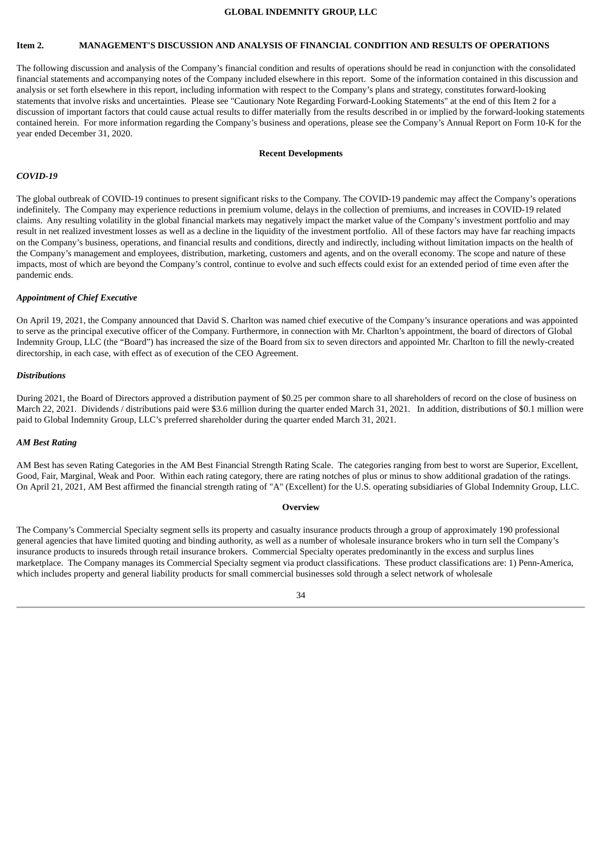## <span id="page-33-0"></span>**Item 2. MANAGEMENT'S DISCUSSION AND ANALYSIS OF FINANCIAL CONDITION AND RESULTS OF OPERATIONS**

The following discussion and analysis of the Company's financial condition and results of operations should be read in conjunction with the consolidated financial statements and accompanying notes of the Company included elsewhere in this report. Some of the information contained in this discussion and analysis or set forth elsewhere in this report, including information with respect to the Company's plans and strategy, constitutes forward-looking statements that involve risks and uncertainties. Please see "Cautionary Note Regarding Forward-Looking Statements" at the end of this Item 2 for a discussion of important factors that could cause actual results to differ materially from the results described in or implied by the forward-looking statements contained herein. For more information regarding the Company's business and operations, please see the Company's Annual Report on Form 10-K for the year ended December 31, 2020.

#### **Recent Developments**

# *COVID-19*

The global outbreak of COVID-19 continues to present significant risks to the Company. The COVID-19 pandemic may affect the Company's operations indefinitely. The Company may experience reductions in premium volume, delays in the collection of premiums, and increases in COVID-19 related claims. Any resulting volatility in the global financial markets may negatively impact the market value of the Company's investment portfolio and may result in net realized investment losses as well as a decline in the liquidity of the investment portfolio. All of these factors may have far reaching impacts on the Company's business, operations, and financial results and conditions, directly and indirectly, including without limitation impacts on the health of the Company's management and employees, distribution, marketing, customers and agents, and on the overall economy. The scope and nature of these impacts, most of which are beyond the Company's control, continue to evolve and such effects could exist for an extended period of time even after the pandemic ends.

#### *Appointment of Chief Executive*

On April 19, 2021, the Company announced that David S. Charlton was named chief executive of the Company's insurance operations and was appointed to serve as the principal executive officer of the Company. Furthermore, in connection with Mr. Charlton's appointment, the board of directors of Global Indemnity Group, LLC (the "Board") has increased the size of the Board from six to seven directors and appointed Mr. Charlton to fill the newly-created directorship, in each case, with effect as of execution of the CEO Agreement.

# *Distributions*

During 2021, the Board of Directors approved a distribution payment of \$0.25 per common share to all shareholders of record on the close of business on March 22, 2021. Dividends / distributions paid were \$3.6 million during the quarter ended March 31, 2021. In addition, distributions of \$0.1 million were paid to Global Indemnity Group, LLC's preferred shareholder during the quarter ended March 31, 2021.

#### *AM Best Rating*

AM Best has seven Rating Categories in the AM Best Financial Strength Rating Scale. The categories ranging from best to worst are Superior, Excellent, Good, Fair, Marginal, Weak and Poor. Within each rating category, there are rating notches of plus or minus to show additional gradation of the ratings. On April 21, 2021, AM Best affirmed the financial strength rating of "A" (Excellent) for the U.S. operating subsidiaries of Global Indemnity Group, LLC.

#### **Overview**

The Company's Commercial Specialty segment sells its property and casualty insurance products through a group of approximately 190 professional general agencies that have limited quoting and binding authority, as well as a number of wholesale insurance brokers who in turn sell the Company's insurance products to insureds through retail insurance brokers. Commercial Specialty operates predominantly in the excess and surplus lines marketplace. The Company manages its Commercial Specialty segment via product classifications. These product classifications are: 1) Penn-America, which includes property and general liability products for small commercial businesses sold through a select network of wholesale

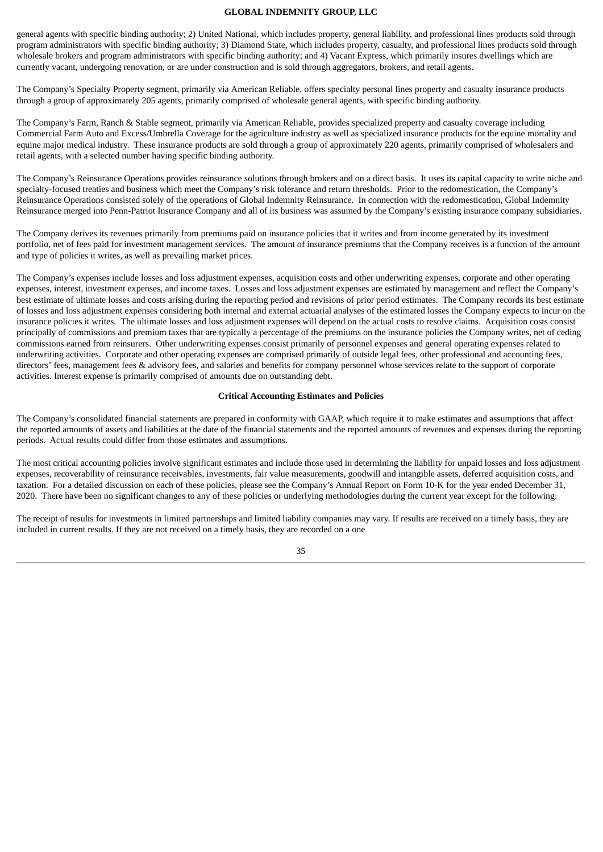general agents with specific binding authority; 2) United National, which includes property, general liability, and professional lines products sold through program administrators with specific binding authority; 3) Diamond State, which includes property, casualty, and professional lines products sold through wholesale brokers and program administrators with specific binding authority; and 4) Vacant Express, which primarily insures dwellings which are currently vacant, undergoing renovation, or are under construction and is sold through aggregators, brokers, and retail agents.

The Company's Specialty Property segment, primarily via American Reliable, offers specialty personal lines property and casualty insurance products through a group of approximately 205 agents, primarily comprised of wholesale general agents, with specific binding authority.

The Company's Farm, Ranch & Stable segment, primarily via American Reliable, provides specialized property and casualty coverage including Commercial Farm Auto and Excess/Umbrella Coverage for the agriculture industry as well as specialized insurance products for the equine mortality and equine major medical industry. These insurance products are sold through a group of approximately 220 agents, primarily comprised of wholesalers and retail agents, with a selected number having specific binding authority.

The Company's Reinsurance Operations provides reinsurance solutions through brokers and on a direct basis. It uses its capital capacity to write niche and specialty-focused treaties and business which meet the Company's risk tolerance and return thresholds. Prior to the redomestication, the Company's Reinsurance Operations consisted solely of the operations of Global Indemnity Reinsurance. In connection with the redomestication, Global Indemnity Reinsurance merged into Penn-Patriot Insurance Company and all of its business was assumed by the Company's existing insurance company subsidiaries.

The Company derives its revenues primarily from premiums paid on insurance policies that it writes and from income generated by its investment portfolio, net of fees paid for investment management services. The amount of insurance premiums that the Company receives is a function of the amount and type of policies it writes, as well as prevailing market prices.

The Company's expenses include losses and loss adjustment expenses, acquisition costs and other underwriting expenses, corporate and other operating expenses, interest, investment expenses, and income taxes. Losses and loss adjustment expenses are estimated by management and reflect the Company's best estimate of ultimate losses and costs arising during the reporting period and revisions of prior period estimates. The Company records its best estimate of losses and loss adjustment expenses considering both internal and external actuarial analyses of the estimated losses the Company expects to incur on the insurance policies it writes. The ultimate losses and loss adjustment expenses will depend on the actual costs to resolve claims. Acquisition costs consist principally of commissions and premium taxes that are typically a percentage of the premiums on the insurance policies the Company writes, net of ceding commissions earned from reinsurers. Other underwriting expenses consist primarily of personnel expenses and general operating expenses related to underwriting activities. Corporate and other operating expenses are comprised primarily of outside legal fees, other professional and accounting fees, directors' fees, management fees & advisory fees, and salaries and benefits for company personnel whose services relate to the support of corporate activities. Interest expense is primarily comprised of amounts due on outstanding debt.

#### **Critical Accounting Estimates and Policies**

The Company's consolidated financial statements are prepared in conformity with GAAP, which require it to make estimates and assumptions that affect the reported amounts of assets and liabilities at the date of the financial statements and the reported amounts of revenues and expenses during the reporting periods. Actual results could differ from those estimates and assumptions.

The most critical accounting policies involve significant estimates and include those used in determining the liability for unpaid losses and loss adjustment expenses, recoverability of reinsurance receivables, investments, fair value measurements, goodwill and intangible assets, deferred acquisition costs, and taxation. For a detailed discussion on each of these policies, please see the Company's Annual Report on Form 10-K for the year ended December 31, 2020. There have been no significant changes to any of these policies or underlying methodologies during the current year except for the following:

The receipt of results for investments in limited partnerships and limited liability companies may vary. If results are received on a timely basis, they are included in current results. If they are not received on a timely basis, they are recorded on a one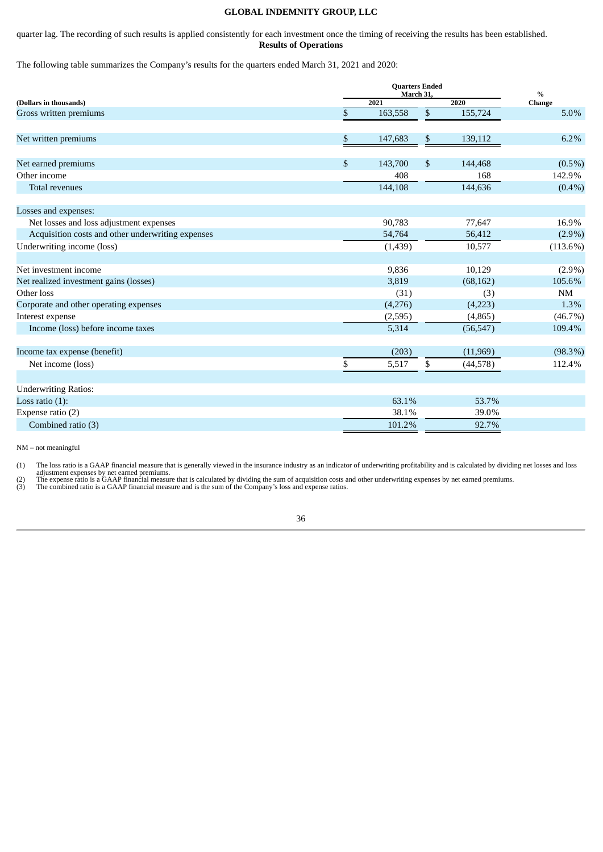quarter lag. The recording of such results is applied consistently for each investment once the timing of receiving the results has been established. **Results of Operations**

The following table summarizes the Company's results for the quarters ended March 31, 2021 and 2020:

|                                                   |                | <b>Ouarters Ended</b><br>March 31, |              |           |             |  |  |  |  |
|---------------------------------------------------|----------------|------------------------------------|--------------|-----------|-------------|--|--|--|--|
| (Dollars in thousands)                            |                | 2021                               |              | 2020      | Change      |  |  |  |  |
| Gross written premiums                            | $\mathbb{S}$   | 163,558                            | \$           | 155,724   | 5.0%        |  |  |  |  |
| Net written premiums                              | \$             | 147,683                            | \$           | 139,112   | 6.2%        |  |  |  |  |
| Net earned premiums                               | $\mathfrak{s}$ | 143,700                            | $\mathbb{S}$ | 144,468   | $(0.5\%)$   |  |  |  |  |
| Other income                                      |                | 408                                |              | 168       | 142.9%      |  |  |  |  |
| <b>Total revenues</b>                             |                | 144,108                            |              | 144,636   | $(0.4\%)$   |  |  |  |  |
| Losses and expenses:                              |                |                                    |              |           |             |  |  |  |  |
| Net losses and loss adjustment expenses           |                | 90,783                             |              | 77,647    | 16.9%       |  |  |  |  |
| Acquisition costs and other underwriting expenses |                | 54,764                             |              | 56,412    | $(2.9\%)$   |  |  |  |  |
| Underwriting income (loss)                        |                | (1, 439)                           |              | 10,577    | $(113.6\%)$ |  |  |  |  |
| Net investment income                             |                | 9,836                              |              | 10,129    | $(2.9\%)$   |  |  |  |  |
| Net realized investment gains (losses)            |                | 3,819                              |              | (68, 162) | 105.6%      |  |  |  |  |
| Other loss                                        |                | (31)                               |              | (3)       | NM          |  |  |  |  |
| Corporate and other operating expenses            |                | (4,276)                            |              | (4,223)   | 1.3%        |  |  |  |  |
| Interest expense                                  |                | (2,595)                            |              | (4,865)   | $(46.7\%)$  |  |  |  |  |
| Income (loss) before income taxes                 |                | 5,314                              |              | (56, 547) | 109.4%      |  |  |  |  |
| Income tax expense (benefit)                      |                | (203)                              |              | (11,969)  | (98.3%)     |  |  |  |  |
| Net income (loss)                                 | \$             | 5,517                              | \$           | (44,578)  | 112.4%      |  |  |  |  |
| <b>Underwriting Ratios:</b>                       |                |                                    |              |           |             |  |  |  |  |
| Loss ratio $(1)$ :                                |                | 63.1%                              |              | 53.7%     |             |  |  |  |  |
| Expense ratio (2)                                 |                | 38.1%                              |              | 39.0%     |             |  |  |  |  |
| Combined ratio (3)                                |                | 101.2%                             |              | 92.7%     |             |  |  |  |  |

NM – not meaningful

(1) The loss ratio is a GAAP financial measure that is generally viewed in the insurance industry as an indicator of underwriting profitability and is calculated by dividing net losses and loss

adjustment expenses by net earned premiums.<br>(2) The expense ratio is a GAAP financial measure that is calculated by dividing the sum of acquisition costs and other underwriting expenses by net earned premiums.<br>(3) The comb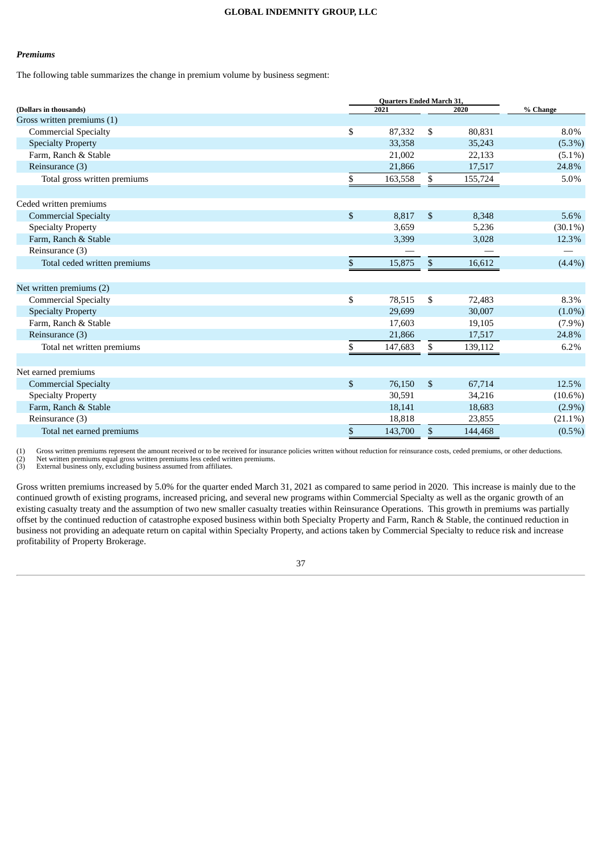# *Premiums*

The following table summarizes the change in premium volume by business segment:

| Quarters Ended March 31,  |         |    |         |            |
|---------------------------|---------|----|---------|------------|
|                           | 2021    |    | 2020    | % Change   |
|                           |         |    |         |            |
|                           | 87,332  | \$ | 80,831  | 8.0%       |
|                           | 33,358  |    | 35,243  | $(5.3\%)$  |
|                           | 21,002  |    | 22,133  | $(5.1\%)$  |
|                           | 21,866  |    | 17,517  | 24.8%      |
| \$                        | 163,558 | \$ | 155,724 | 5.0%       |
|                           |         |    |         |            |
|                           |         |    |         |            |
| $\boldsymbol{\mathsf{S}}$ | 8,817   | \$ | 8,348   | 5.6%       |
|                           | 3,659   |    | 5,236   | $(30.1\%)$ |
|                           | 3,399   |    | 3,028   | 12.3%      |
|                           |         |    |         |            |
| $$\mathbb{S}$$            | 15,875  | \$ | 16,612  | $(4.4\%)$  |
|                           |         |    |         |            |
|                           |         |    |         |            |
| \$                        | 78,515  | \$ | 72,483  | 8.3%       |
|                           | 29,699  |    | 30,007  | $(1.0\%)$  |
|                           | 17,603  |    | 19,105  | $(7.9\%)$  |
|                           | 21,866  |    | 17,517  | 24.8%      |
| \$                        | 147,683 | \$ | 139,112 | 6.2%       |
|                           |         |    |         |            |
|                           |         |    |         |            |
| \$                        | 76,150  | \$ | 67,714  | 12.5%      |
|                           | 30,591  |    | 34,216  | $(10.6\%)$ |
|                           | 18,141  |    | 18,683  | $(2.9\%)$  |
|                           | 18,818  |    | 23,855  | $(21.1\%)$ |
| \$                        | 143,700 | \$ | 144,468 | $(0.5\%)$  |
|                           | \$      |    |         |            |

(1) Gross written premiums represent the amount received or to be received for insurance policies written without reduction for reinsurance costs, ceded premiums, or other deductions.<br>
(2) Net written premiums equal gross

(2) Net written premiums equal gross written premiums less ceded written premiums. (3) External business only, excluding business assumed from affiliates.

Gross written premiums increased by 5.0% for the quarter ended March 31, 2021 as compared to same period in 2020. This increase is mainly due to the continued growth of existing programs, increased pricing, and several new programs within Commercial Specialty as well as the organic growth of an existing casualty treaty and the assumption of two new smaller casualty treaties within Reinsurance Operations. This growth in premiums was partially offset by the continued reduction of catastrophe exposed business within both Specialty Property and Farm, Ranch & Stable, the continued reduction in business not providing an adequate return on capital within Specialty Property, and actions taken by Commercial Specialty to reduce risk and increase profitability of Property Brokerage.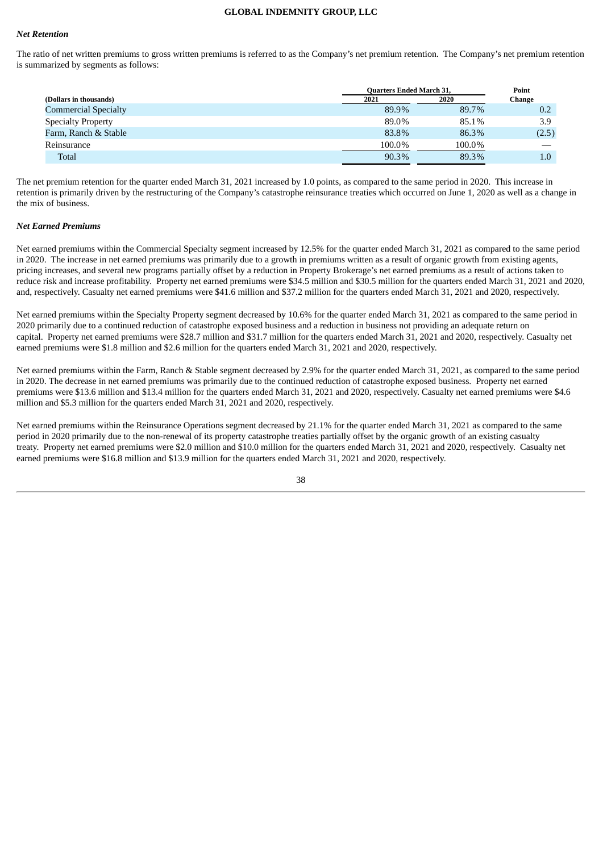# *Net Retention*

The ratio of net written premiums to gross written premiums is referred to as the Company's net premium retention. The Company's net premium retention is summarized by segments as follows:

|                             | <b>Quarters Ended March 31,</b> | Point  |         |
|-----------------------------|---------------------------------|--------|---------|
| (Dollars in thousands)      | 2021                            | 2020   | Change  |
| <b>Commercial Specialty</b> | 89.9%                           | 89.7%  | 0.2     |
| <b>Specialty Property</b>   | 89.0%                           | 85.1%  | 3.9     |
| Farm, Ranch & Stable        | 83.8%                           | 86.3%  | (2.5)   |
| Reinsurance                 | 100.0%                          | 100.0% |         |
| Total                       | 90.3%                           | 89.3%  | $1.0\,$ |

The net premium retention for the quarter ended March 31, 2021 increased by 1.0 points, as compared to the same period in 2020. This increase in retention is primarily driven by the restructuring of the Company's catastrophe reinsurance treaties which occurred on June 1, 2020 as well as a change in the mix of business.

#### *Net Earned Premiums*

Net earned premiums within the Commercial Specialty segment increased by 12.5% for the quarter ended March 31, 2021 as compared to the same period in 2020. The increase in net earned premiums was primarily due to a growth in premiums written as a result of organic growth from existing agents, pricing increases, and several new programs partially offset by a reduction in Property Brokerage's net earned premiums as a result of actions taken to reduce risk and increase profitability. Property net earned premiums were \$34.5 million and \$30.5 million for the quarters ended March 31, 2021 and 2020, and, respectively. Casualty net earned premiums were \$41.6 million and \$37.2 million for the quarters ended March 31, 2021 and 2020, respectively.

Net earned premiums within the Specialty Property segment decreased by 10.6% for the quarter ended March 31, 2021 as compared to the same period in 2020 primarily due to a continued reduction of catastrophe exposed business and a reduction in business not providing an adequate return on capital. Property net earned premiums were \$28.7 million and \$31.7 million for the quarters ended March 31, 2021 and 2020, respectively. Casualty net earned premiums were \$1.8 million and \$2.6 million for the quarters ended March 31, 2021 and 2020, respectively.

Net earned premiums within the Farm, Ranch & Stable segment decreased by 2.9% for the quarter ended March 31, 2021, as compared to the same period in 2020. The decrease in net earned premiums was primarily due to the continued reduction of catastrophe exposed business. Property net earned premiums were \$13.6 million and \$13.4 million for the quarters ended March 31, 2021 and 2020, respectively. Casualty net earned premiums were \$4.6 million and \$5.3 million for the quarters ended March 31, 2021 and 2020, respectively.

Net earned premiums within the Reinsurance Operations segment decreased by 21.1% for the quarter ended March 31, 2021 as compared to the same period in 2020 primarily due to the non-renewal of its property catastrophe treaties partially offset by the organic growth of an existing casualty treaty. Property net earned premiums were \$2.0 million and \$10.0 million for the quarters ended March 31, 2021 and 2020, respectively. Casualty net earned premiums were \$16.8 million and \$13.9 million for the quarters ended March 31, 2021 and 2020, respectively.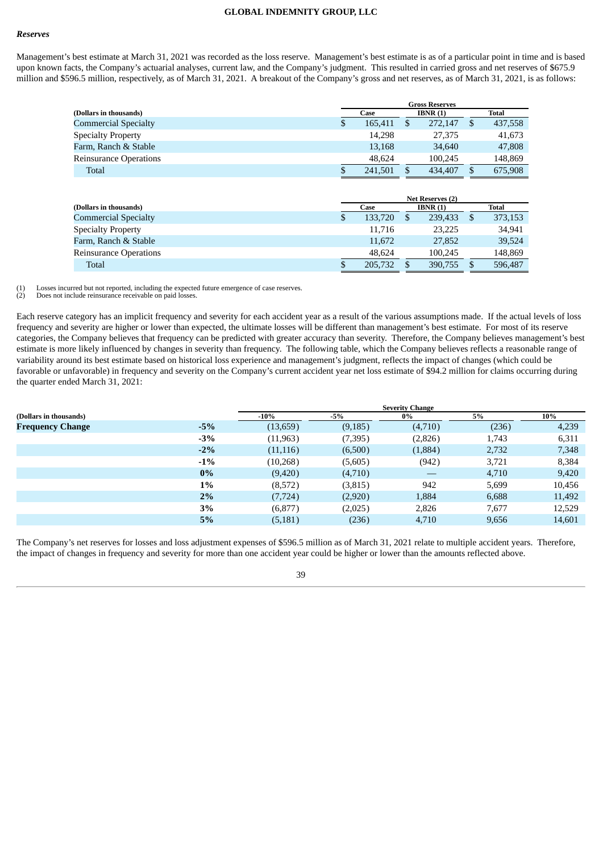#### *Reserves*

Management's best estimate at March 31, 2021 was recorded as the loss reserve. Management's best estimate is as of a particular point in time and is based upon known facts, the Company's actuarial analyses, current law, and the Company's judgment. This resulted in carried gross and net reserves of \$675.9 million and \$596.5 million, respectively, as of March 31, 2021. A breakout of the Company's gross and net reserves, as of March 31, 2021, is as follows:

|                               | <b>Gross Reserves</b> |         |    |                  |    |              |
|-------------------------------|-----------------------|---------|----|------------------|----|--------------|
| (Dollars in thousands)        |                       | Case    |    | IBNR(1)          |    | Total        |
| <b>Commercial Specialty</b>   | \$                    | 165,411 | \$ | 272,147          | \$ | 437,558      |
| <b>Specialty Property</b>     |                       | 14.298  |    | 27,375           |    | 41,673       |
| Farm, Ranch & Stable          |                       | 13,168  |    | 34,640           |    | 47,808       |
| <b>Reinsurance Operations</b> |                       | 48,624  |    | 100,245          |    | 148,869      |
| Total                         | \$                    | 241,501 |    | 434,407          | \$ | 675,908      |
|                               |                       |         |    |                  |    |              |
|                               |                       |         |    | Net Reserves (2) |    |              |
| (Dollars in thousands)        |                       | Case    |    | IBNR(1)          |    | <b>Total</b> |
| <b>Commercial Specialty</b>   | \$                    | 133,720 | \$ | 239,433          | \$ | 373,153      |
| <b>Specialty Property</b>     |                       | 11.716  |    | 23.225           |    | 34,941       |
| Farm, Ranch & Stable          |                       | 11,672  |    | 27,852           |    | 39,524       |
| <b>Reinsurance Operations</b> |                       | 48,624  |    | 100,245          |    | 148,869      |
| Total                         | \$                    | 205,732 |    | 390,755          | \$ | 596,487      |
|                               |                       |         |    |                  |    |              |

(1) Losses incurred but not reported, including the expected future emergence of case reserves.

(2) Does not include reinsurance receivable on paid losses.

Each reserve category has an implicit frequency and severity for each accident year as a result of the various assumptions made. If the actual levels of loss frequency and severity are higher or lower than expected, the ultimate losses will be different than management's best estimate. For most of its reserve categories, the Company believes that frequency can be predicted with greater accuracy than severity. Therefore, the Company believes management's best estimate is more likely influenced by changes in severity than frequency. The following table, which the Company believes reflects a reasonable range of variability around its best estimate based on historical loss experience and management's judgment, reflects the impact of changes (which could be favorable or unfavorable) in frequency and severity on the Company's current accident year net loss estimate of \$94.2 million for claims occurring during the quarter ended March 31, 2021:

|                         |        | <b>Severity Change</b> |          |         |       |        |  |
|-------------------------|--------|------------------------|----------|---------|-------|--------|--|
| (Dollars in thousands)  |        | $-10%$                 | -5%      | 0%      | 5%    | 10%    |  |
| <b>Frequency Change</b> | $-5%$  | (13, 659)              | (9, 185) | (4,710) | (236) | 4,239  |  |
|                         | $-3%$  | (11, 963)              | (7,395)  | (2,826) | 1,743 | 6,311  |  |
|                         | $-2\%$ | (11, 116)              | (6,500)  | (1,884) | 2,732 | 7,348  |  |
|                         | $-1\%$ | (10, 268)              | (5,605)  | (942)   | 3,721 | 8,384  |  |
|                         | $0\%$  | (9,420)                | (4,710)  |         | 4,710 | 9,420  |  |
|                         | $1\%$  | (8,572)                | (3,815)  | 942     | 5,699 | 10,456 |  |
|                         | 2%     | (7, 724)               | (2,920)  | 1,884   | 6,688 | 11,492 |  |
|                         | 3%     | (6, 877)               | (2,025)  | 2,826   | 7,677 | 12,529 |  |
|                         | 5%     | (5, 181)               | (236)    | 4,710   | 9,656 | 14,601 |  |

The Company's net reserves for losses and loss adjustment expenses of \$596.5 million as of March 31, 2021 relate to multiple accident years. Therefore, the impact of changes in frequency and severity for more than one accident year could be higher or lower than the amounts reflected above.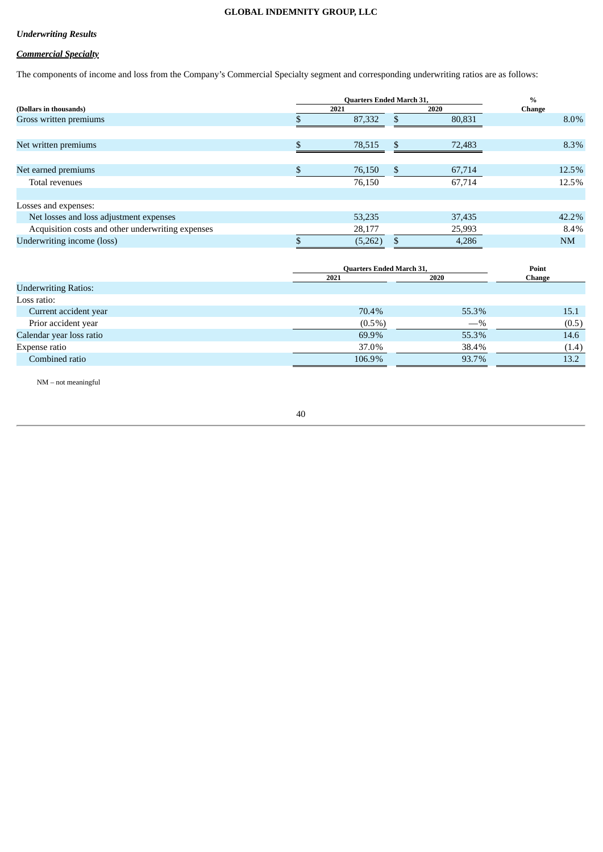# *Underwriting Results*

# *Commercial Specialty*

The components of income and loss from the Company's Commercial Specialty segment and corresponding underwriting ratios are as follows:

| (Dollars in thousands)                            |  | $\frac{0}{0}$<br><b>Change</b> |               |                |           |
|---------------------------------------------------|--|--------------------------------|---------------|----------------|-----------|
| Gross written premiums                            |  | 2021<br>87,332                 |               | 2020<br>80,831 | $8.0\%$   |
|                                                   |  |                                |               |                |           |
| Net written premiums                              |  | 78,515                         | <sup>\$</sup> | 72,483         | 8.3%      |
|                                                   |  |                                |               |                |           |
| Net earned premiums                               |  | 76,150                         | <sup>\$</sup> | 67,714         | 12.5%     |
| Total revenues                                    |  | 76,150                         |               | 67,714         | 12.5%     |
|                                                   |  |                                |               |                |           |
| Losses and expenses:                              |  |                                |               |                |           |
| Net losses and loss adjustment expenses           |  | 53,235                         |               | 37,435         | 42.2%     |
| Acquisition costs and other underwriting expenses |  | 28,177                         |               | 25,993         | 8.4%      |
| Underwriting income (loss)                        |  | (5,262)                        |               | 4,286          | <b>NM</b> |

|                             |           | <b>Quarters Ended March 31,</b> |        |  |  |
|-----------------------------|-----------|---------------------------------|--------|--|--|
|                             | 2021      | 2020                            | Change |  |  |
| <b>Underwriting Ratios:</b> |           |                                 |        |  |  |
| Loss ratio:                 |           |                                 |        |  |  |
| Current accident year       | 70.4%     | 55.3%                           | 15.1   |  |  |
| Prior accident year         | $(0.5\%)$ | $-$ %                           | (0.5)  |  |  |
| Calendar year loss ratio    | 69.9%     | 55.3%                           | 14.6   |  |  |
| Expense ratio               | 37.0%     | 38.4%                           | (1.4)  |  |  |
| Combined ratio              | 106.9%    | 93.7%                           | 13.2   |  |  |
|                             |           |                                 |        |  |  |

40

NM – not meaningful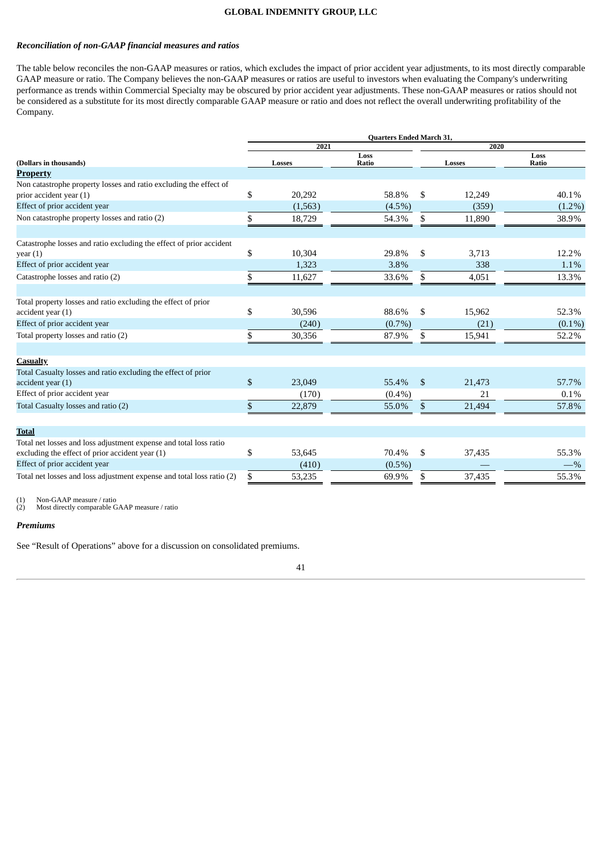# *Reconciliation of non-GAAP financial measures and ratios*

The table below reconciles the non-GAAP measures or ratios, which excludes the impact of prior accident year adjustments, to its most directly comparable GAAP measure or ratio. The Company believes the non-GAAP measures or ratios are useful to investors when evaluating the Company's underwriting performance as trends within Commercial Specialty may be obscured by prior accident year adjustments. These non-GAAP measures or ratios should not be considered as a substitute for its most directly comparable GAAP measure or ratio and does not reflect the overall underwriting profitability of the Company.

|                                                                                                                      | Quarters Ended March 31, |         |               |                |        |               |  |  |
|----------------------------------------------------------------------------------------------------------------------|--------------------------|---------|---------------|----------------|--------|---------------|--|--|
|                                                                                                                      |                          | 2021    |               |                | 2020   |               |  |  |
| (Dollars in thousands)                                                                                               |                          | Losses  | Loss<br>Ratio |                | Losses | Loss<br>Ratio |  |  |
| <b>Property</b>                                                                                                      |                          |         |               |                |        |               |  |  |
| Non catastrophe property losses and ratio excluding the effect of                                                    |                          |         |               |                |        |               |  |  |
| prior accident year (1)                                                                                              | \$                       | 20,292  | 58.8%         | \$             | 12,249 | 40.1%         |  |  |
| Effect of prior accident year                                                                                        |                          | (1,563) | $(4.5\%)$     |                | (359)  | $(1.2\%)$     |  |  |
| Non catastrophe property losses and ratio (2)                                                                        | \$                       | 18,729  | 54.3%         | \$             | 11,890 | 38.9%         |  |  |
| Catastrophe losses and ratio excluding the effect of prior accident                                                  |                          |         |               |                |        |               |  |  |
| year(1)                                                                                                              | \$                       | 10,304  | 29.8%         | \$             | 3,713  | 12.2%         |  |  |
| Effect of prior accident year                                                                                        |                          | 1,323   | 3.8%          |                | 338    | 1.1%          |  |  |
| Catastrophe losses and ratio (2)                                                                                     | \$                       | 11,627  | 33.6%         | \$             | 4,051  | 13.3%         |  |  |
|                                                                                                                      |                          |         |               |                |        |               |  |  |
| Total property losses and ratio excluding the effect of prior                                                        |                          |         |               |                |        |               |  |  |
| accident year (1)                                                                                                    | \$                       | 30,596  | 88.6%         | \$             | 15,962 | 52.3%         |  |  |
| Effect of prior accident year                                                                                        |                          | (240)   | $(0.7\%)$     |                | (21)   | $(0.1\%)$     |  |  |
| Total property losses and ratio (2)                                                                                  | \$                       | 30,356  | 87.9%         | \$             | 15,941 | 52.2%         |  |  |
| <b>Casualty</b>                                                                                                      |                          |         |               |                |        |               |  |  |
| Total Casualty losses and ratio excluding the effect of prior                                                        |                          |         |               |                |        |               |  |  |
| accident year (1)                                                                                                    | $\mathbb{S}$             | 23.049  | 55.4%         | $\mathfrak{S}$ | 21,473 | 57.7%         |  |  |
| Effect of prior accident year                                                                                        |                          | (170)   | $(0.4\%)$     |                | 21     | 0.1%          |  |  |
| Total Casualty losses and ratio (2)                                                                                  | \$                       | 22,879  | 55.0%         | $\mathfrak{S}$ | 21,494 | 57.8%         |  |  |
|                                                                                                                      |                          |         |               |                |        |               |  |  |
| <b>Total</b>                                                                                                         |                          |         |               |                |        |               |  |  |
| Total net losses and loss adjustment expense and total loss ratio<br>excluding the effect of prior accident year (1) | \$                       | 53,645  | 70.4%         | \$             | 37,435 | 55.3%         |  |  |
| Effect of prior accident year                                                                                        |                          | (410)   | $(0.5\%)$     |                |        | $-$ %         |  |  |
| Total net losses and loss adjustment expense and total loss ratio (2)                                                | \$                       | 53,235  | 69.9%         | \$             | 37,435 | 55.3%         |  |  |

(1) Non-GAAP measure / ratio<br>(2) Most directly comparable G

Most directly comparable GAAP measure / ratio

## *Premiums*

See "Result of Operations" above for a discussion on consolidated premiums.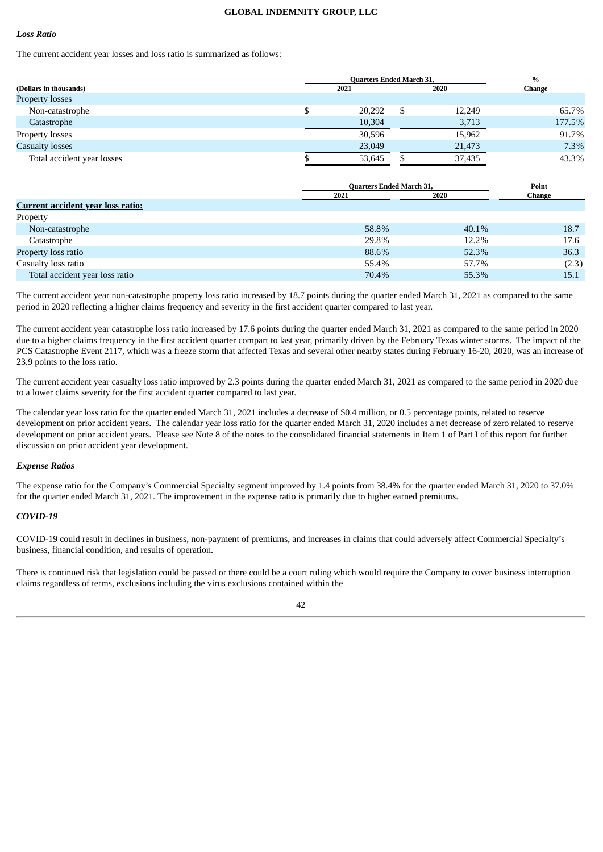#### *Loss Ratio*

The current accident year losses and loss ratio is summarized as follows:

|                            | <b>Quarters Ended March 31,</b> |        |  |        | $\frac{9}{6}$ |  |
|----------------------------|---------------------------------|--------|--|--------|---------------|--|
| (Dollars in thousands)     |                                 | 2021   |  | 2020   | Change        |  |
| Property losses            |                                 |        |  |        |               |  |
| Non-catastrophe            |                                 | 20,292 |  | 12,249 | 65.7%         |  |
| Catastrophe                |                                 | 10,304 |  | 3,713  | 177.5%        |  |
| Property losses            |                                 | 30,596 |  | 15,962 | 91.7%         |  |
| Casualty losses            |                                 | 23,049 |  | 21,473 | 7.3%          |  |
| Total accident year losses |                                 | 53,645 |  | 37,435 | 43.3%         |  |

|                                          |       | <b>Quarters Ended March 31,</b> |        |  |  |  |
|------------------------------------------|-------|---------------------------------|--------|--|--|--|
|                                          | 2021  | 2020                            | Change |  |  |  |
| <b>Current accident year loss ratio:</b> |       |                                 |        |  |  |  |
| Property                                 |       |                                 |        |  |  |  |
| Non-catastrophe                          | 58.8% | 40.1%                           | 18.7   |  |  |  |
| Catastrophe                              | 29.8% | 12.2%                           | 17.6   |  |  |  |
| Property loss ratio                      | 88.6% | 52.3%                           | 36.3   |  |  |  |
| Casualty loss ratio                      | 55.4% | 57.7%                           | (2.3)  |  |  |  |
| Total accident year loss ratio           | 70.4% | 55.3%                           | 15.1   |  |  |  |

The current accident year non-catastrophe property loss ratio increased by 18.7 points during the quarter ended March 31, 2021 as compared to the same period in 2020 reflecting a higher claims frequency and severity in the first accident quarter compared to last year.

The current accident year catastrophe loss ratio increased by 17.6 points during the quarter ended March 31, 2021 as compared to the same period in 2020 due to a higher claims frequency in the first accident quarter compart to last year, primarily driven by the February Texas winter storms. The impact of the PCS Catastrophe Event 2117, which was a freeze storm that affected Texas and several other nearby states during February 16-20, 2020, was an increase of 23.9 points to the loss ratio.

The current accident year casualty loss ratio improved by 2.3 points during the quarter ended March 31, 2021 as compared to the same period in 2020 due to a lower claims severity for the first accident quarter compared to last year.

The calendar year loss ratio for the quarter ended March 31, 2021 includes a decrease of \$0.4 million, or 0.5 percentage points, related to reserve development on prior accident years. The calendar year loss ratio for the quarter ended March 31, 2020 includes a net decrease of zero related to reserve development on prior accident years. Please see Note 8 of the notes to the consolidated financial statements in Item 1 of Part I of this report for further discussion on prior accident year development.

#### *Expense Ratios*

The expense ratio for the Company's Commercial Specialty segment improved by 1.4 points from 38.4% for the quarter ended March 31, 2020 to 37.0% for the quarter ended March 31, 2021. The improvement in the expense ratio is primarily due to higher earned premiums.

## *COVID-19*

COVID-19 could result in declines in business, non-payment of premiums, and increases in claims that could adversely affect Commercial Specialty's business, financial condition, and results of operation.

There is continued risk that legislation could be passed or there could be a court ruling which would require the Company to cover business interruption claims regardless of terms, exclusions including the virus exclusions contained within the

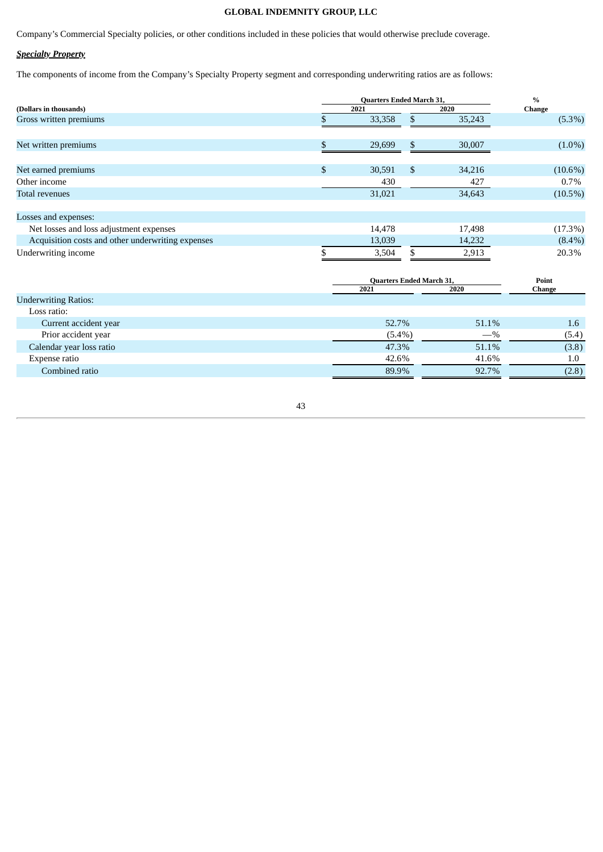Company's Commercial Specialty policies, or other conditions included in these policies that would otherwise preclude coverage.

# *Specialty Property*

The components of income from the Company's Specialty Property segment and corresponding underwriting ratios are as follows:

|                                                   |    | <b>Quarters Ended March 31,</b> | $\%$ |        |               |
|---------------------------------------------------|----|---------------------------------|------|--------|---------------|
| (Dollars in thousands)                            |    | 2021                            |      | 2020   | <b>Change</b> |
| Gross written premiums                            |    | 33,358                          |      | 35,243 | $(5.3\%)$     |
|                                                   |    |                                 |      |        |               |
| Net written premiums                              | \$ | 29,699                          | \$   | 30,007 | $(1.0\%)$     |
|                                                   |    |                                 |      |        |               |
| Net earned premiums                               | \$ | 30,591                          | \$   | 34,216 | $(10.6\%)$    |
| Other income                                      |    | 430                             |      | 427    | $0.7\%$       |
| Total revenues                                    |    | 31,021                          |      | 34,643 | $(10.5\%)$    |
|                                                   |    |                                 |      |        |               |
| Losses and expenses:                              |    |                                 |      |        |               |
| Net losses and loss adjustment expenses           |    | 14,478                          |      | 17,498 | (17.3%)       |
| Acquisition costs and other underwriting expenses |    | 13,039                          |      | 14,232 | $(8.4\%)$     |
| Underwriting income                               |    | 3,504                           |      | 2,913  | 20.3%         |

|                             |           | <b>Quarters Ended March 31,</b> |               |  |  |
|-----------------------------|-----------|---------------------------------|---------------|--|--|
|                             | 2021      | 2020                            | <b>Change</b> |  |  |
| <b>Underwriting Ratios:</b> |           |                                 |               |  |  |
| Loss ratio:                 |           |                                 |               |  |  |
| Current accident year       | 52.7%     | 51.1%                           | 1.6           |  |  |
| Prior accident year         | $(5.4\%)$ | $-$ %                           | (5.4)         |  |  |
| Calendar year loss ratio    | 47.3%     | 51.1%                           | (3.8)         |  |  |
| Expense ratio               | 42.6%     | 41.6%                           | 1.0           |  |  |
| Combined ratio              | 89.9%     | 92.7%                           | (2.8)         |  |  |
|                             |           |                                 |               |  |  |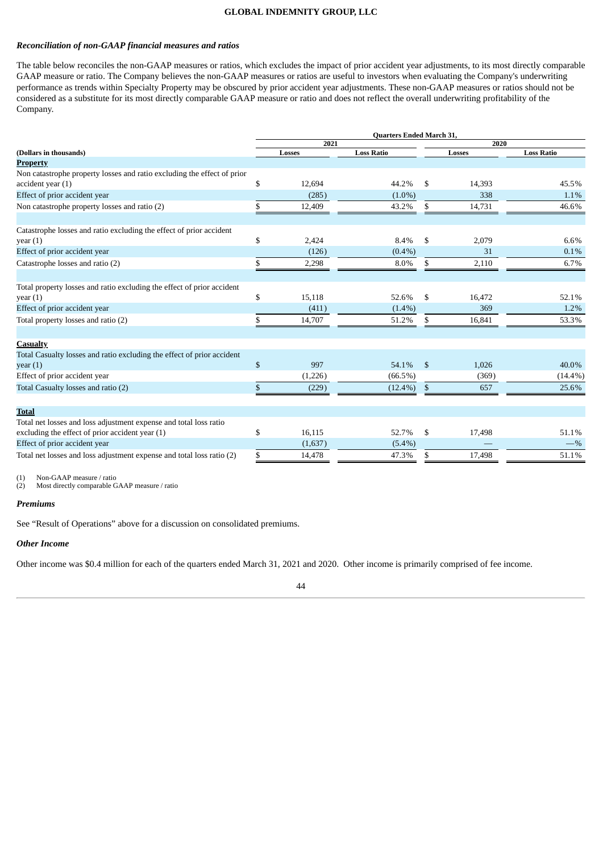# *Reconciliation of non-GAAP financial measures and ratios*

The table below reconciles the non-GAAP measures or ratios, which excludes the impact of prior accident year adjustments, to its most directly comparable GAAP measure or ratio. The Company believes the non-GAAP measures or ratios are useful to investors when evaluating the Company's underwriting performance as trends within Specialty Property may be obscured by prior accident year adjustments. These non-GAAP measures or ratios should not be considered as a substitute for its most directly comparable GAAP measure or ratio and does not reflect the overall underwriting profitability of the Company.

|                                                                         | <b>Quarters Ended March 31,</b> |         |                   |                |        |                   |  |  |
|-------------------------------------------------------------------------|---------------------------------|---------|-------------------|----------------|--------|-------------------|--|--|
|                                                                         | 2021                            |         |                   |                | 2020   |                   |  |  |
| (Dollars in thousands)                                                  |                                 | Losses  | <b>Loss Ratio</b> |                | Losses | <b>Loss Ratio</b> |  |  |
| <b>Property</b>                                                         |                                 |         |                   |                |        |                   |  |  |
| Non catastrophe property losses and ratio excluding the effect of prior |                                 |         |                   |                |        |                   |  |  |
| accident year (1)                                                       | \$                              | 12,694  | 44.2%             | \$             | 14,393 | 45.5%             |  |  |
| Effect of prior accident year                                           |                                 | (285)   | $(1.0\%)$         |                | 338    | 1.1%              |  |  |
| Non catastrophe property losses and ratio (2)                           | \$                              | 12,409  | 43.2%             | \$             | 14,731 | 46.6%             |  |  |
| Catastrophe losses and ratio excluding the effect of prior accident     |                                 |         |                   |                |        |                   |  |  |
| year(1)                                                                 | \$                              | 2,424   | 8.4%              | \$             | 2,079  | 6.6%              |  |  |
| Effect of prior accident year                                           |                                 | (126)   | $(0.4\%)$         |                | 31     | 0.1%              |  |  |
| Catastrophe losses and ratio (2)                                        | \$                              | 2,298   | 8.0%              | \$             | 2,110  | 6.7%              |  |  |
| Total property losses and ratio excluding the effect of prior accident  |                                 |         |                   |                |        |                   |  |  |
| year(1)                                                                 | \$                              | 15,118  | 52.6%             | \$             | 16,472 | 52.1%             |  |  |
| Effect of prior accident year                                           |                                 | (411)   | $(1.4\%)$         |                | 369    | 1.2%              |  |  |
| Total property losses and ratio (2)                                     | \$                              | 14,707  | 51.2%             | \$             | 16,841 | 53.3%             |  |  |
| <b>Casualty</b>                                                         |                                 |         |                   |                |        |                   |  |  |
| Total Casualty losses and ratio excluding the effect of prior accident  |                                 |         |                   |                |        |                   |  |  |
| year(1)                                                                 | \$                              | 997     | 54.1%             | \$             | 1,026  | 40.0%             |  |  |
| Effect of prior accident year                                           |                                 | (1,226) | $(66.5\%)$        |                | (369)  | $(14.4\%)$        |  |  |
| Total Casualty losses and ratio (2)                                     | \$                              | (229)   | $(12.4\%)$        | $\mathfrak{S}$ | 657    | 25.6%             |  |  |
| <b>Total</b>                                                            |                                 |         |                   |                |        |                   |  |  |
| Total net losses and loss adjustment expense and total loss ratio       |                                 |         |                   |                |        |                   |  |  |
| excluding the effect of prior accident year (1)                         | \$                              | 16,115  | 52.7%             | \$             | 17,498 | 51.1%             |  |  |
| Effect of prior accident year                                           |                                 | (1,637) | $(5.4\%)$         |                |        | $-$ %             |  |  |
| Total net losses and loss adjustment expense and total loss ratio (2)   | \$                              | 14,478  | 47.3%             | \$             | 17,498 | 51.1%             |  |  |

(1) Non-GAAP measure / ratio<br>(2) Most directly comparable G

Most directly comparable GAAP measure / ratio

## *Premiums*

See "Result of Operations" above for a discussion on consolidated premiums.

#### *Other Income*

Other income was \$0.4 million for each of the quarters ended March 31, 2021 and 2020. Other income is primarily comprised of fee income.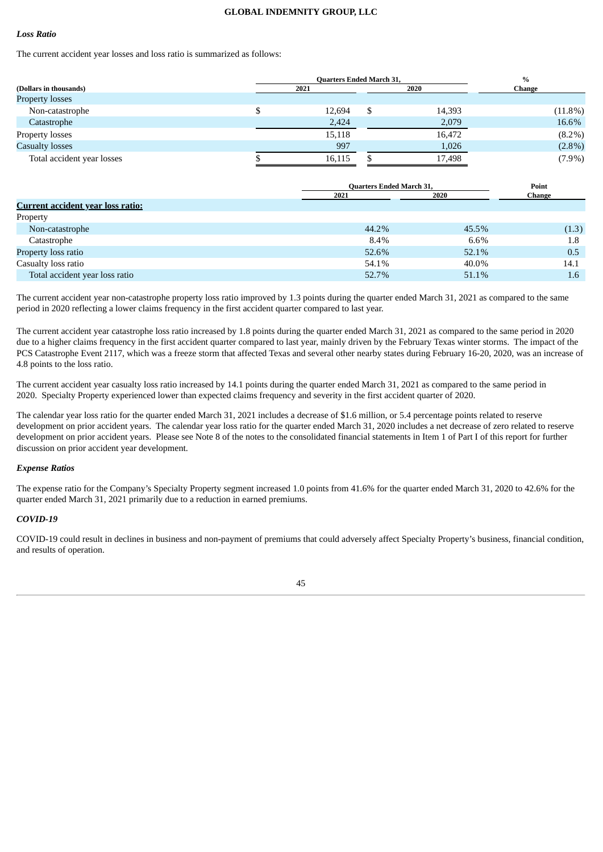## *Loss Ratio*

The current accident year losses and loss ratio is summarized as follows:

|                            | <b>Quarters Ended March 31,</b> | $\%$ |        |            |
|----------------------------|---------------------------------|------|--------|------------|
| (Dollars in thousands)     | 2021                            |      | 2020   | Change     |
| Property losses            |                                 |      |        |            |
| Non-catastrophe            | 12,694                          | - \$ | 14,393 | $(11.8\%)$ |
| Catastrophe                | 2,424                           |      | 2,079  | 16.6%      |
| Property losses            | 15,118                          |      | 16,472 | $(8.2\%)$  |
| <b>Casualty losses</b>     | 997                             |      | 1,026  | $(2.8\%)$  |
| Total accident year losses | 16,115                          |      | 17,498 | $(7.9\%)$  |
|                            |                                 |      |        |            |

|                                          |       | <b>Quarters Ended March 31,</b> |        |  |
|------------------------------------------|-------|---------------------------------|--------|--|
|                                          | 2021  | 2020                            | Change |  |
| <b>Current accident year loss ratio:</b> |       |                                 |        |  |
| Property                                 |       |                                 |        |  |
| Non-catastrophe                          | 44.2% | 45.5%                           | (1.3)  |  |
| Catastrophe                              | 8.4%  | 6.6%                            | 1.8    |  |
| Property loss ratio                      | 52.6% | 52.1%                           | 0.5    |  |
| Casualty loss ratio                      | 54.1% | 40.0%                           | 14.1   |  |
| Total accident year loss ratio           | 52.7% | 51.1%                           | 1.6    |  |

The current accident year non-catastrophe property loss ratio improved by 1.3 points during the quarter ended March 31, 2021 as compared to the same period in 2020 reflecting a lower claims frequency in the first accident quarter compared to last year.

The current accident year catastrophe loss ratio increased by 1.8 points during the quarter ended March 31, 2021 as compared to the same period in 2020 due to a higher claims frequency in the first accident quarter compared to last year, mainly driven by the February Texas winter storms. The impact of the PCS Catastrophe Event 2117, which was a freeze storm that affected Texas and several other nearby states during February 16-20, 2020, was an increase of 4.8 points to the loss ratio.

The current accident year casualty loss ratio increased by 14.1 points during the quarter ended March 31, 2021 as compared to the same period in 2020. Specialty Property experienced lower than expected claims frequency and severity in the first accident quarter of 2020.

The calendar year loss ratio for the quarter ended March 31, 2021 includes a decrease of \$1.6 million, or 5.4 percentage points related to reserve development on prior accident years. The calendar year loss ratio for the quarter ended March 31, 2020 includes a net decrease of zero related to reserve development on prior accident years. Please see Note 8 of the notes to the consolidated financial statements in Item 1 of Part I of this report for further discussion on prior accident year development.

#### *Expense Ratios*

The expense ratio for the Company's Specialty Property segment increased 1.0 points from 41.6% for the quarter ended March 31, 2020 to 42.6% for the quarter ended March 31, 2021 primarily due to a reduction in earned premiums.

#### *COVID-19*

COVID-19 could result in declines in business and non-payment of premiums that could adversely affect Specialty Property's business, financial condition, and results of operation.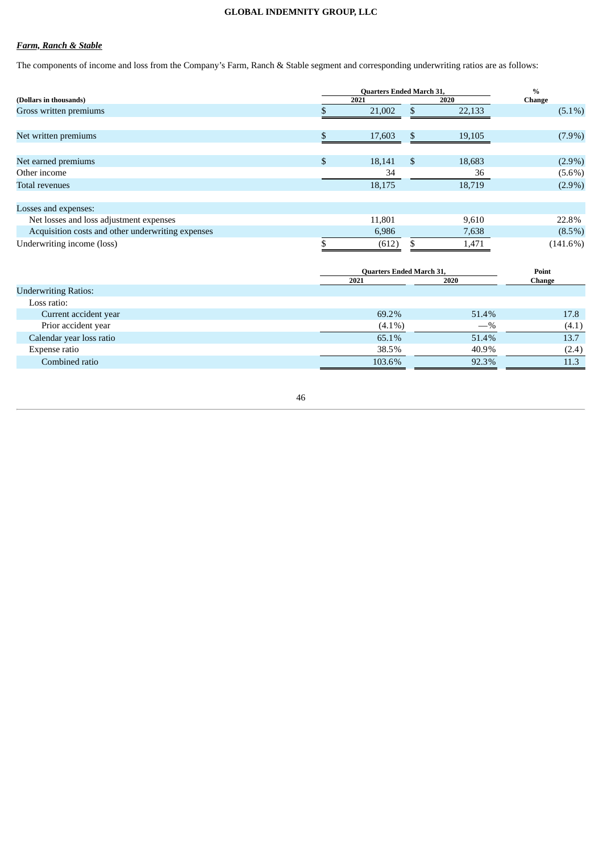# *Farm, Ranch & Stable*

The components of income and loss from the Company's Farm, Ranch & Stable segment and corresponding underwriting ratios are as follows:

|                                                   |    | <b>Quarters Ended March 31,</b> | $\frac{0}{0}$ |        |               |
|---------------------------------------------------|----|---------------------------------|---------------|--------|---------------|
| (Dollars in thousands)                            |    | 2021                            |               | 2020   | <b>Change</b> |
| Gross written premiums                            |    | 21,002                          | \$.           | 22,133 | $(5.1\%)$     |
|                                                   |    |                                 |               |        |               |
| Net written premiums                              | \$ | 17,603                          | \$            | 19,105 | $(7.9\%)$     |
|                                                   |    |                                 |               |        |               |
| Net earned premiums                               | \$ | 18.141                          | \$            | 18,683 | $(2.9\%)$     |
| Other income                                      |    | 34                              |               | 36     | $(5.6\%)$     |
| <b>Total revenues</b>                             |    | 18,175                          |               | 18,719 | $(2.9\%)$     |
|                                                   |    |                                 |               |        |               |
| Losses and expenses:                              |    |                                 |               |        |               |
| Net losses and loss adjustment expenses           |    | 11,801                          |               | 9,610  | 22.8%         |
| Acquisition costs and other underwriting expenses |    | 6,986                           |               | 7,638  | (8.5%)        |
| Underwriting income (loss)                        |    | (612)                           | ٦b            | 1,471  | $(141.6\%)$   |

|                             | <b>Quarters Ended March 31,</b><br>2021 | Point<br>Change |       |
|-----------------------------|-----------------------------------------|-----------------|-------|
| <b>Underwriting Ratios:</b> |                                         | 2020            |       |
| Loss ratio:                 |                                         |                 |       |
| Current accident year       | 69.2%                                   | 51.4%           | 17.8  |
| Prior accident year         | $(4.1\%)$                               | $-$ %           | (4.1) |
| Calendar year loss ratio    | 65.1%                                   | 51.4%           | 13.7  |
| Expense ratio               | 38.5%                                   | 40.9%           | (2.4) |
| Combined ratio              | 103.6%                                  | 92.3%           | 11.3  |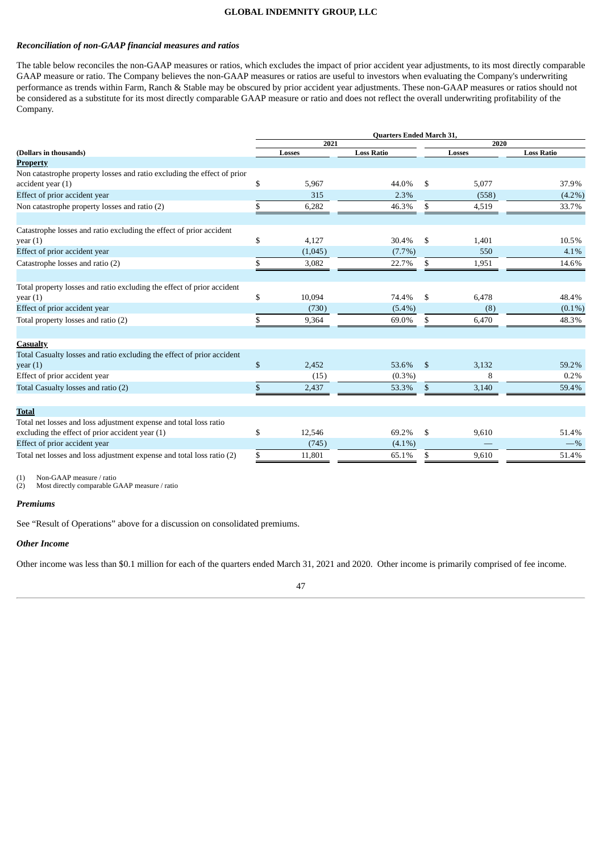# *Reconciliation of non-GAAP financial measures and ratios*

The table below reconciles the non-GAAP measures or ratios, which excludes the impact of prior accident year adjustments, to its most directly comparable GAAP measure or ratio. The Company believes the non-GAAP measures or ratios are useful to investors when evaluating the Company's underwriting performance as trends within Farm, Ranch & Stable may be obscured by prior accident year adjustments. These non-GAAP measures or ratios should not be considered as a substitute for its most directly comparable GAAP measure or ratio and does not reflect the overall underwriting profitability of the Company.

|                                                                                  | Quarters Ended March 31, |                 |                    |                |        |                   |  |  |  |
|----------------------------------------------------------------------------------|--------------------------|-----------------|--------------------|----------------|--------|-------------------|--|--|--|
|                                                                                  |                          | 2021            |                    |                | 2020   |                   |  |  |  |
| (Dollars in thousands)                                                           |                          | Losses          | <b>Loss Ratio</b>  |                | Losses | <b>Loss Ratio</b> |  |  |  |
| <b>Property</b>                                                                  |                          |                 |                    |                |        |                   |  |  |  |
| Non catastrophe property losses and ratio excluding the effect of prior          |                          |                 |                    |                |        |                   |  |  |  |
| accident year (1)                                                                | \$                       | 5,967           | 44.0%              | \$             | 5,077  | 37.9%             |  |  |  |
| Effect of prior accident year                                                    |                          | 315             | 2.3%               |                | (558)  | $(4.2\%)$         |  |  |  |
| Non catastrophe property losses and ratio (2)                                    | \$                       | 6,282           | 46.3%              | \$             | 4,519  | 33.7%             |  |  |  |
| Catastrophe losses and ratio excluding the effect of prior accident              |                          |                 |                    |                |        |                   |  |  |  |
| year(1)                                                                          | \$                       | 4,127           | 30.4%              | -S             | 1,401  | 10.5%             |  |  |  |
| Effect of prior accident year                                                    |                          | (1,045)         | $(7.7\%)$          |                | 550    | 4.1%              |  |  |  |
| Catastrophe losses and ratio (2)                                                 | \$                       | 3,082           | 22.7%              | \$             | 1,951  | 14.6%             |  |  |  |
| Total property losses and ratio excluding the effect of prior accident           |                          |                 |                    |                |        |                   |  |  |  |
| year(1)                                                                          | \$                       | 10,094          | 74.4%              | \$             | 6,478  | 48.4%             |  |  |  |
| Effect of prior accident year                                                    |                          | (730)           | $(5.4\%)$          |                | (8)    | $(0.1\%)$         |  |  |  |
| Total property losses and ratio (2)                                              | \$                       | 9,364           | 69.0%              | \$             | 6,470  | 48.3%             |  |  |  |
| <b>Casualty</b>                                                                  |                          |                 |                    |                |        |                   |  |  |  |
| Total Casualty losses and ratio excluding the effect of prior accident           |                          |                 |                    |                |        |                   |  |  |  |
| year(1)                                                                          | \$                       | 2,452           | 53.6%              | $\mathfrak{S}$ | 3,132  | 59.2%             |  |  |  |
| Effect of prior accident year                                                    |                          | (15)            | $(0.3\%)$          |                | 8      | 0.2%              |  |  |  |
| Total Casualty losses and ratio (2)                                              | \$                       | 2,437           | 53.3%              | \$             | 3,140  | 59.4%             |  |  |  |
| <b>Total</b>                                                                     |                          |                 |                    |                |        |                   |  |  |  |
| Total net losses and loss adjustment expense and total loss ratio                | \$                       | 12,546          | 69.2%              |                |        | 51.4%             |  |  |  |
| excluding the effect of prior accident year (1)<br>Effect of prior accident year |                          |                 |                    | \$             | 9,610  | $-$ %             |  |  |  |
| Total net losses and loss adjustment expense and total loss ratio (2)            | \$                       | (745)<br>11,801 | $(4.1\%)$<br>65.1% | \$             | 9,610  | 51.4%             |  |  |  |
|                                                                                  |                          |                 |                    |                |        |                   |  |  |  |

(1) Non-GAAP measure / ratio<br>(2) Most directly comparable G

Most directly comparable GAAP measure / ratio

## *Premiums*

See "Result of Operations" above for a discussion on consolidated premiums.

#### *Other Income*

Other income was less than \$0.1 million for each of the quarters ended March 31, 2021 and 2020. Other income is primarily comprised of fee income.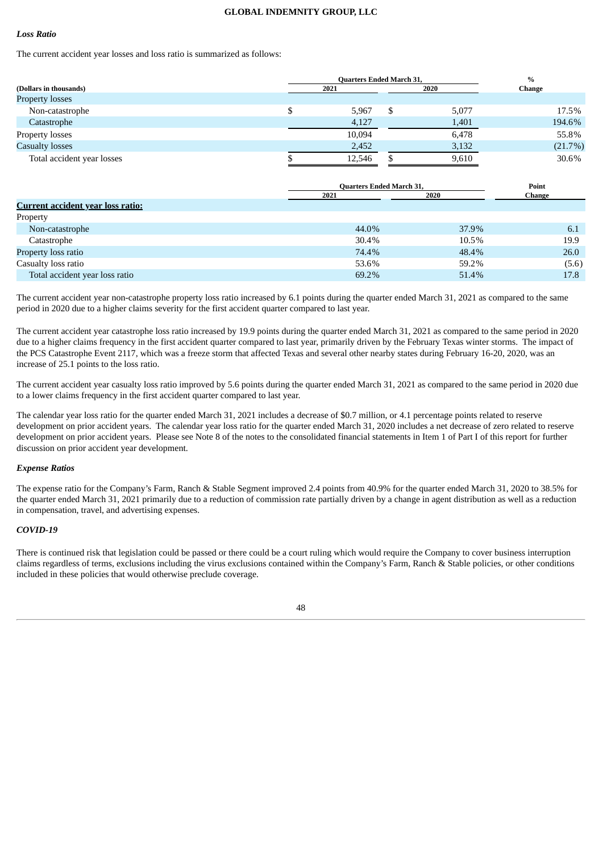## *Loss Ratio*

The current accident year losses and loss ratio is summarized as follows:

|                            |  | <b>Quarters Ended March 31,</b> |  | $\%$  |         |  |
|----------------------------|--|---------------------------------|--|-------|---------|--|
| (Dollars in thousands)     |  | 2021                            |  | 2020  | Change  |  |
| <b>Property losses</b>     |  |                                 |  |       |         |  |
| Non-catastrophe            |  | 5,967                           |  | 5,077 | 17.5%   |  |
| Catastrophe                |  | 4,127                           |  | 1,401 | 194.6%  |  |
| Property losses            |  | 10,094                          |  | 6,478 | 55.8%   |  |
| <b>Casualty losses</b>     |  | 2,452                           |  | 3,132 | (21.7%) |  |
| Total accident year losses |  | 12,546                          |  | 9,610 | 30.6%   |  |

|                                          | <b>Quarters Ended March 31,</b> |       | Point  |  |
|------------------------------------------|---------------------------------|-------|--------|--|
|                                          | 2021                            | 2020  | Change |  |
| <b>Current accident year loss ratio:</b> |                                 |       |        |  |
| Property                                 |                                 |       |        |  |
| Non-catastrophe                          | 44.0%                           | 37.9% | 6.1    |  |
| Catastrophe                              | 30.4%                           | 10.5% | 19.9   |  |
| Property loss ratio                      | 74.4%                           | 48.4% | 26.0   |  |
| Casualty loss ratio                      | 53.6%                           | 59.2% | (5.6)  |  |
| Total accident year loss ratio           | 69.2%                           | 51.4% | 17.8   |  |

The current accident year non-catastrophe property loss ratio increased by 6.1 points during the quarter ended March 31, 2021 as compared to the same period in 2020 due to a higher claims severity for the first accident quarter compared to last year.

The current accident year catastrophe loss ratio increased by 19.9 points during the quarter ended March 31, 2021 as compared to the same period in 2020 due to a higher claims frequency in the first accident quarter compared to last year, primarily driven by the February Texas winter storms. The impact of the PCS Catastrophe Event 2117, which was a freeze storm that affected Texas and several other nearby states during February 16-20, 2020, was an increase of 25.1 points to the loss ratio.

The current accident year casualty loss ratio improved by 5.6 points during the quarter ended March 31, 2021 as compared to the same period in 2020 due to a lower claims frequency in the first accident quarter compared to last year.

The calendar year loss ratio for the quarter ended March 31, 2021 includes a decrease of \$0.7 million, or 4.1 percentage points related to reserve development on prior accident years. The calendar year loss ratio for the quarter ended March 31, 2020 includes a net decrease of zero related to reserve development on prior accident years. Please see Note 8 of the notes to the consolidated financial statements in Item 1 of Part I of this report for further discussion on prior accident year development.

#### *Expense Ratios*

The expense ratio for the Company's Farm, Ranch & Stable Segment improved 2.4 points from 40.9% for the quarter ended March 31, 2020 to 38.5% for the quarter ended March 31, 2021 primarily due to a reduction of commission rate partially driven by a change in agent distribution as well as a reduction in compensation, travel, and advertising expenses.

# *COVID-19*

There is continued risk that legislation could be passed or there could be a court ruling which would require the Company to cover business interruption claims regardless of terms, exclusions including the virus exclusions contained within the Company's Farm, Ranch & Stable policies, or other conditions included in these policies that would otherwise preclude coverage.

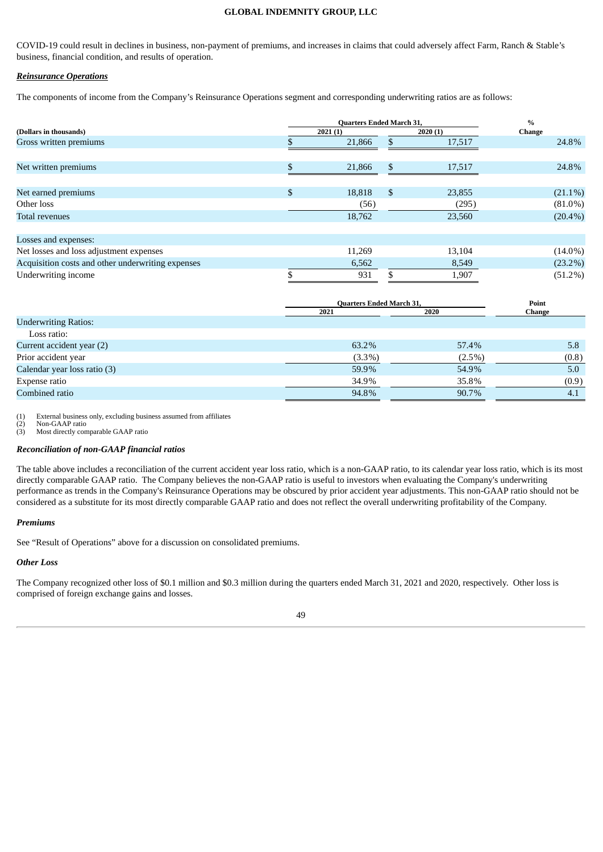COVID-19 could result in declines in business, non-payment of premiums, and increases in claims that could adversely affect Farm, Ranch & Stable's business, financial condition, and results of operation.

# *Reinsurance Operations*

The components of income from the Company's Reinsurance Operations segment and corresponding underwriting ratios are as follows:

|                                                   | <b>Quarters Ended March 31,</b> |    | $\frac{0}{0}$ |               |
|---------------------------------------------------|---------------------------------|----|---------------|---------------|
| (Dollars in thousands)                            | 2021(1)                         |    | 2020(1)       | <b>Change</b> |
| Gross written premiums                            | 21,866                          |    | 17,517        | 24.8%         |
|                                                   |                                 |    |               |               |
| Net written premiums                              | 21,866                          | \$ | 17,517        | 24.8%         |
|                                                   |                                 |    |               |               |
| Net earned premiums                               | \$<br>18,818                    | \$ | 23,855        | $(21.1\%)$    |
| Other loss                                        | (56)                            |    | (295)         | $(81.0\%)$    |
| <b>Total revenues</b>                             | 18,762                          |    | 23,560        | $(20.4\%)$    |
|                                                   |                                 |    |               |               |
| Losses and expenses:                              |                                 |    |               |               |
| Net losses and loss adjustment expenses           | 11,269                          |    | 13,104        | $(14.0\%)$    |
| Acquisition costs and other underwriting expenses | 6,562                           |    | 8,549         | $(23.2\%)$    |
| Underwriting income                               | 931                             |    | 1,907         | $(51.2\%)$    |
|                                                   |                                 |    |               |               |

|           | Point     |                                 |  |  |
|-----------|-----------|---------------------------------|--|--|
| 2021      | 2020      | Change                          |  |  |
|           |           |                                 |  |  |
|           |           |                                 |  |  |
| 63.2%     | 57.4%     | 5.8                             |  |  |
| $(3.3\%)$ | $(2.5\%)$ | (0.8)                           |  |  |
| 59.9%     | 54.9%     | 5.0                             |  |  |
| 34.9%     | 35.8%     | (0.9)                           |  |  |
| 94.8%     | 90.7%     | 4.1                             |  |  |
|           |           | <b>Quarters Ended March 31,</b> |  |  |

(1) External business only, excluding business assumed from affiliates<br>
(2) Non-GAAP ratio<br>
(3) Most directly comparable GAAP ratio

Non-GAAP ratio Most directly comparable GAAP ratio

#### *Reconciliation of non-GAAP financial ratios*

The table above includes a reconciliation of the current accident year loss ratio, which is a non-GAAP ratio, to its calendar year loss ratio, which is its most directly comparable GAAP ratio. The Company believes the non-GAAP ratio is useful to investors when evaluating the Company's underwriting performance as trends in the Company's Reinsurance Operations may be obscured by prior accident year adjustments. This non-GAAP ratio should not be considered as a substitute for its most directly comparable GAAP ratio and does not reflect the overall underwriting profitability of the Company.

#### *Premiums*

See "Result of Operations" above for a discussion on consolidated premiums.

## *Other Loss*

The Company recognized other loss of \$0.1 million and \$0.3 million during the quarters ended March 31, 2021 and 2020, respectively. Other loss is comprised of foreign exchange gains and losses.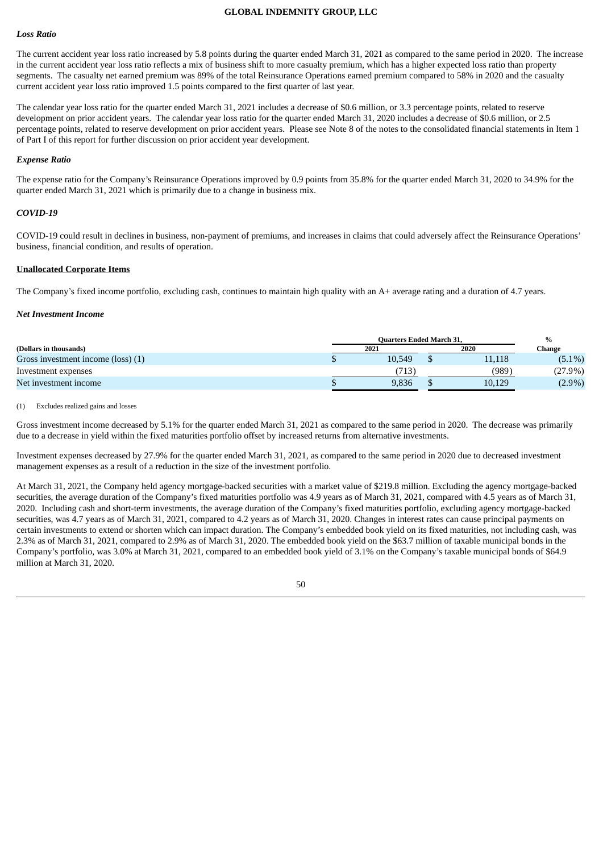#### *Loss Ratio*

The current accident year loss ratio increased by 5.8 points during the quarter ended March 31, 2021 as compared to the same period in 2020. The increase in the current accident year loss ratio reflects a mix of business shift to more casualty premium, which has a higher expected loss ratio than property segments. The casualty net earned premium was 89% of the total Reinsurance Operations earned premium compared to 58% in 2020 and the casualty current accident year loss ratio improved 1.5 points compared to the first quarter of last year.

The calendar year loss ratio for the quarter ended March 31, 2021 includes a decrease of \$0.6 million, or 3.3 percentage points, related to reserve development on prior accident years. The calendar year loss ratio for the quarter ended March 31, 2020 includes a decrease of \$0.6 million, or 2.5 percentage points, related to reserve development on prior accident years. Please see Note 8 of the notes to the consolidated financial statements in Item 1 of Part I of this report for further discussion on prior accident year development.

#### *Expense Ratio*

The expense ratio for the Company's Reinsurance Operations improved by 0.9 points from 35.8% for the quarter ended March 31, 2020 to 34.9% for the quarter ended March 31, 2021 which is primarily due to a change in business mix.

#### *COVID-19*

COVID-19 could result in declines in business, non-payment of premiums, and increases in claims that could adversely affect the Reinsurance Operations' business, financial condition, and results of operation.

#### **Unallocated Corporate Items**

The Company's fixed income portfolio, excluding cash, continues to maintain high quality with an A+ average rating and a duration of 4.7 years.

#### *Net Investment Income*

|                                    |  | %      |        |           |
|------------------------------------|--|--------|--------|-----------|
| (Dollars in thousands)             |  | 2021   | 2020   | Change    |
| Gross investment income (loss) (1) |  | 10,549 | 11,118 | $(5.1\%)$ |
| Investment expenses                |  | (713)  | (989)  | (27.9%)   |
| Net investment income              |  | 9,836  | 10,129 | $(2.9\%)$ |

#### (1) Excludes realized gains and losses

Gross investment income decreased by 5.1% for the quarter ended March 31, 2021 as compared to the same period in 2020. The decrease was primarily due to a decrease in yield within the fixed maturities portfolio offset by increased returns from alternative investments.

Investment expenses decreased by 27.9% for the quarter ended March 31, 2021, as compared to the same period in 2020 due to decreased investment management expenses as a result of a reduction in the size of the investment portfolio.

At March 31, 2021, the Company held agency mortgage-backed securities with a market value of \$219.8 million. Excluding the agency mortgage-backed securities, the average duration of the Company's fixed maturities portfolio was 4.9 years as of March 31, 2021, compared with 4.5 years as of March 31, 2020. Including cash and short-term investments, the average duration of the Company's fixed maturities portfolio, excluding agency mortgage-backed securities, was 4.7 years as of March 31, 2021, compared to 4.2 years as of March 31, 2020. Changes in interest rates can cause principal payments on certain investments to extend or shorten which can impact duration. The Company's embedded book yield on its fixed maturities, not including cash, was 2.3% as of March 31, 2021, compared to 2.9% as of March 31, 2020. The embedded book yield on the \$63.7 million of taxable municipal bonds in the Company's portfolio, was 3.0% at March 31, 2021, compared to an embedded book yield of 3.1% on the Company's taxable municipal bonds of \$64.9 million at March 31, 2020.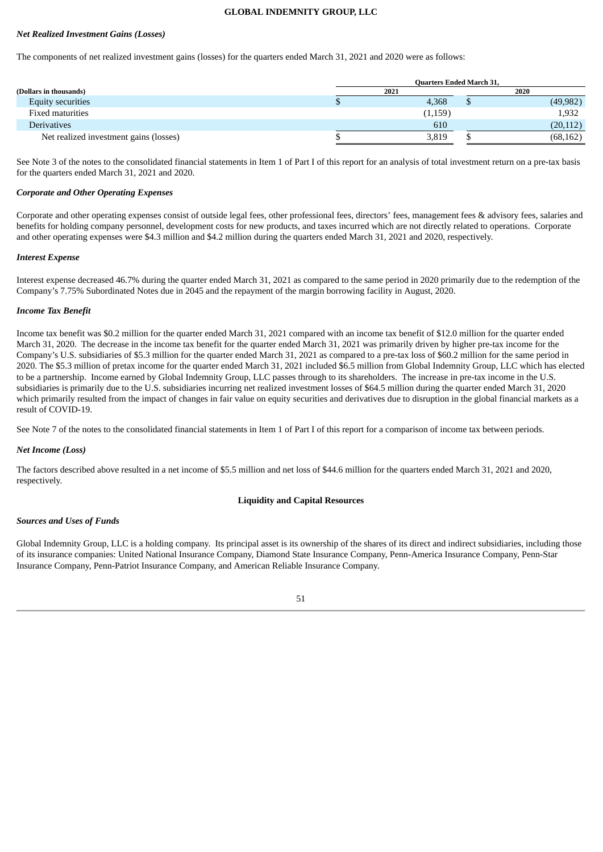#### *Net Realized Investment Gains (Losses)*

The components of net realized investment gains (losses) for the quarters ended March 31, 2021 and 2020 were as follows:

|                                        |      | <b>Quarters Ended March 31,</b> |  |           |  |  |  |
|----------------------------------------|------|---------------------------------|--|-----------|--|--|--|
| (Dollars in thousands)                 | 2021 |                                 |  | 2020      |  |  |  |
| <b>Equity securities</b>               | Ψ    | 4,368                           |  | (49, 982) |  |  |  |
| Fixed maturities                       |      | (1, 159)                        |  | 1,932     |  |  |  |
| <b>Derivatives</b>                     |      | 610                             |  | (20, 112) |  |  |  |
| Net realized investment gains (losses) |      | 3,819                           |  | (68,162)  |  |  |  |

See Note 3 of the notes to the consolidated financial statements in Item 1 of Part I of this report for an analysis of total investment return on a pre-tax basis for the quarters ended March 31, 2021 and 2020.

## *Corporate and Other Operating Expenses*

Corporate and other operating expenses consist of outside legal fees, other professional fees, directors' fees, management fees & advisory fees, salaries and benefits for holding company personnel, development costs for new products, and taxes incurred which are not directly related to operations. Corporate and other operating expenses were \$4.3 million and \$4.2 million during the quarters ended March 31, 2021 and 2020, respectively.

#### *Interest Expense*

Interest expense decreased 46.7% during the quarter ended March 31, 2021 as compared to the same period in 2020 primarily due to the redemption of the Company's 7.75% Subordinated Notes due in 2045 and the repayment of the margin borrowing facility in August, 2020.

#### *Income Tax Benefit*

Income tax benefit was \$0.2 million for the quarter ended March 31, 2021 compared with an income tax benefit of \$12.0 million for the quarter ended March 31, 2020. The decrease in the income tax benefit for the quarter ended March 31, 2021 was primarily driven by higher pre-tax income for the Company's U.S. subsidiaries of \$5.3 million for the quarter ended March 31, 2021 as compared to a pre-tax loss of \$60.2 million for the same period in 2020. The \$5.3 million of pretax income for the quarter ended March 31, 2021 included \$6.5 million from Global Indemnity Group, LLC which has elected to be a partnership. Income earned by Global Indemnity Group, LLC passes through to its shareholders. The increase in pre-tax income in the U.S. subsidiaries is primarily due to the U.S. subsidiaries incurring net realized investment losses of \$64.5 million during the quarter ended March 31, 2020 which primarily resulted from the impact of changes in fair value on equity securities and derivatives due to disruption in the global financial markets as a result of COVID-19.

See Note 7 of the notes to the consolidated financial statements in Item 1 of Part I of this report for a comparison of income tax between periods.

#### *Net Income (Loss)*

The factors described above resulted in a net income of \$5.5 million and net loss of \$44.6 million for the quarters ended March 31, 2021 and 2020, respectively.

# **Liquidity and Capital Resources**

#### *Sources and Uses of Funds*

Global Indemnity Group, LLC is a holding company. Its principal asset is its ownership of the shares of its direct and indirect subsidiaries, including those of its insurance companies: United National Insurance Company, Diamond State Insurance Company, Penn-America Insurance Company, Penn-Star Insurance Company, Penn-Patriot Insurance Company, and American Reliable Insurance Company.

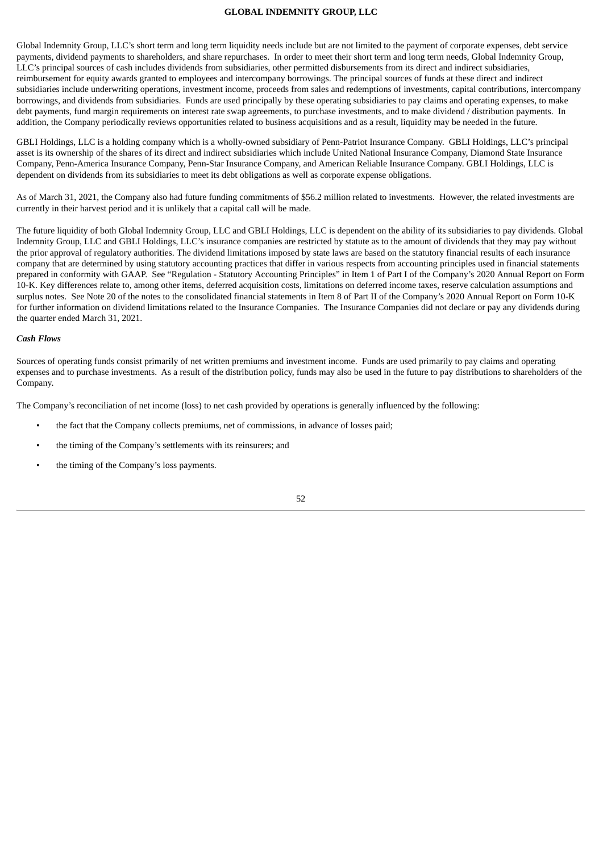Global Indemnity Group, LLC's short term and long term liquidity needs include but are not limited to the payment of corporate expenses, debt service payments, dividend payments to shareholders, and share repurchases. In order to meet their short term and long term needs, Global Indemnity Group, LLC's principal sources of cash includes dividends from subsidiaries, other permitted disbursements from its direct and indirect subsidiaries, reimbursement for equity awards granted to employees and intercompany borrowings. The principal sources of funds at these direct and indirect subsidiaries include underwriting operations, investment income, proceeds from sales and redemptions of investments, capital contributions, intercompany borrowings, and dividends from subsidiaries. Funds are used principally by these operating subsidiaries to pay claims and operating expenses, to make debt payments, fund margin requirements on interest rate swap agreements, to purchase investments, and to make dividend / distribution payments. In addition, the Company periodically reviews opportunities related to business acquisitions and as a result, liquidity may be needed in the future.

GBLI Holdings, LLC is a holding company which is a wholly-owned subsidiary of Penn-Patriot Insurance Company. GBLI Holdings, LLC's principal asset is its ownership of the shares of its direct and indirect subsidiaries which include United National Insurance Company, Diamond State Insurance Company, Penn-America Insurance Company, Penn-Star Insurance Company, and American Reliable Insurance Company. GBLI Holdings, LLC is dependent on dividends from its subsidiaries to meet its debt obligations as well as corporate expense obligations.

As of March 31, 2021, the Company also had future funding commitments of \$56.2 million related to investments. However, the related investments are currently in their harvest period and it is unlikely that a capital call will be made.

The future liquidity of both Global Indemnity Group, LLC and GBLI Holdings, LLC is dependent on the ability of its subsidiaries to pay dividends. Global Indemnity Group, LLC and GBLI Holdings, LLC's insurance companies are restricted by statute as to the amount of dividends that they may pay without the prior approval of regulatory authorities. The dividend limitations imposed by state laws are based on the statutory financial results of each insurance company that are determined by using statutory accounting practices that differ in various respects from accounting principles used in financial statements prepared in conformity with GAAP. See "Regulation - Statutory Accounting Principles" in Item 1 of Part I of the Company's 2020 Annual Report on Form 10-K. Key differences relate to, among other items, deferred acquisition costs, limitations on deferred income taxes, reserve calculation assumptions and surplus notes. See Note 20 of the notes to the consolidated financial statements in Item 8 of Part II of the Company's 2020 Annual Report on Form 10-K for further information on dividend limitations related to the Insurance Companies. The Insurance Companies did not declare or pay any dividends during the quarter ended March 31, 2021.

# *Cash Flows*

Sources of operating funds consist primarily of net written premiums and investment income. Funds are used primarily to pay claims and operating expenses and to purchase investments. As a result of the distribution policy, funds may also be used in the future to pay distributions to shareholders of the Company.

The Company's reconciliation of net income (loss) to net cash provided by operations is generally influenced by the following:

- the fact that the Company collects premiums, net of commissions, in advance of losses paid;
- the timing of the Company's settlements with its reinsurers; and
- the timing of the Company's loss payments.

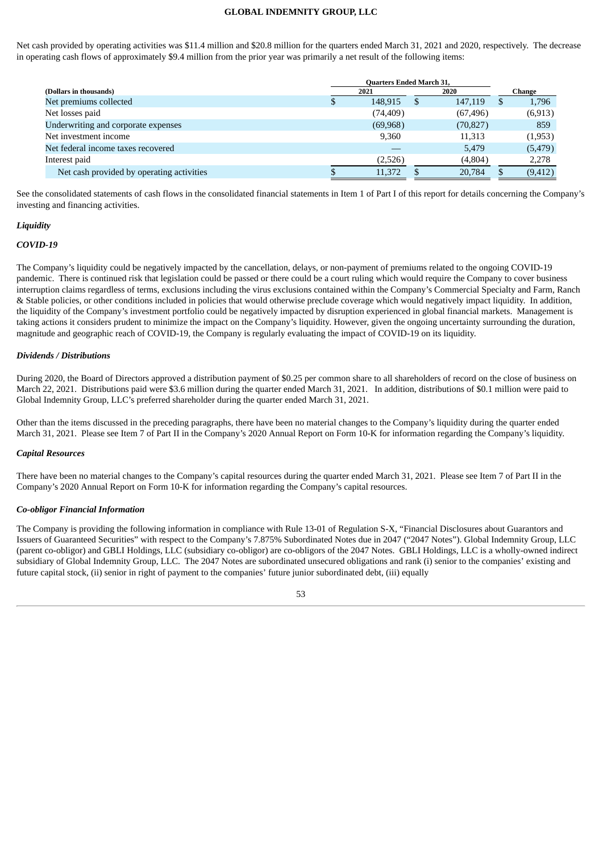Net cash provided by operating activities was \$11.4 million and \$20.8 million for the quarters ended March 31, 2021 and 2020, respectively. The decrease in operating cash flows of approximately \$9.4 million from the prior year was primarily a net result of the following items:

|                                           | <b>Quarters Ended March 31,</b> |           |    |           |  |          |
|-------------------------------------------|---------------------------------|-----------|----|-----------|--|----------|
| (Dollars in thousands)                    |                                 | 2021      |    | 2020      |  | Change   |
| Net premiums collected                    |                                 | 148.915   | -S | 147,119   |  | 1,796    |
| Net losses paid                           |                                 | (74, 409) |    | (67, 496) |  | (6, 913) |
| Underwriting and corporate expenses       |                                 | (69, 968) |    | (70, 827) |  | 859      |
| Net investment income                     |                                 | 9,360     |    | 11,313    |  | (1, 953) |
| Net federal income taxes recovered        |                                 |           |    | 5,479     |  | (5, 479) |
| Interest paid                             |                                 | (2,526)   |    | (4,804)   |  | 2,278    |
| Net cash provided by operating activities |                                 | 11,372    |    | 20,784    |  | (9, 412) |

See the consolidated statements of cash flows in the consolidated financial statements in Item 1 of Part I of this report for details concerning the Company's investing and financing activities.

#### *Liquidity*

## *COVID-19*

The Company's liquidity could be negatively impacted by the cancellation, delays, or non-payment of premiums related to the ongoing COVID-19 pandemic. There is continued risk that legislation could be passed or there could be a court ruling which would require the Company to cover business interruption claims regardless of terms, exclusions including the virus exclusions contained within the Company's Commercial Specialty and Farm, Ranch & Stable policies, or other conditions included in policies that would otherwise preclude coverage which would negatively impact liquidity. In addition, the liquidity of the Company's investment portfolio could be negatively impacted by disruption experienced in global financial markets. Management is taking actions it considers prudent to minimize the impact on the Company's liquidity. However, given the ongoing uncertainty surrounding the duration, magnitude and geographic reach of COVID-19, the Company is regularly evaluating the impact of COVID-19 on its liquidity.

# *Dividends / Distributions*

During 2020, the Board of Directors approved a distribution payment of \$0.25 per common share to all shareholders of record on the close of business on March 22, 2021. Distributions paid were \$3.6 million during the quarter ended March 31, 2021. In addition, distributions of \$0.1 million were paid to Global Indemnity Group, LLC's preferred shareholder during the quarter ended March 31, 2021.

Other than the items discussed in the preceding paragraphs, there have been no material changes to the Company's liquidity during the quarter ended March 31, 2021. Please see Item 7 of Part II in the Company's 2020 Annual Report on Form 10-K for information regarding the Company's liquidity.

#### *Capital Resources*

There have been no material changes to the Company's capital resources during the quarter ended March 31, 2021. Please see Item 7 of Part II in the Company's 2020 Annual Report on Form 10-K for information regarding the Company's capital resources.

#### *Co-obligor Financial Information*

The Company is providing the following information in compliance with Rule 13-01 of Regulation S-X, "Financial Disclosures about Guarantors and Issuers of Guaranteed Securities" with respect to the Company's 7.875% Subordinated Notes due in 2047 ("2047 Notes"). Global Indemnity Group, LLC (parent co-obligor) and GBLI Holdings, LLC (subsidiary co-obligor) are co-obligors of the 2047 Notes. GBLI Holdings, LLC is a wholly-owned indirect subsidiary of Global Indemnity Group, LLC. The 2047 Notes are subordinated unsecured obligations and rank (i) senior to the companies' existing and future capital stock, (ii) senior in right of payment to the companies' future junior subordinated debt, (iii) equally

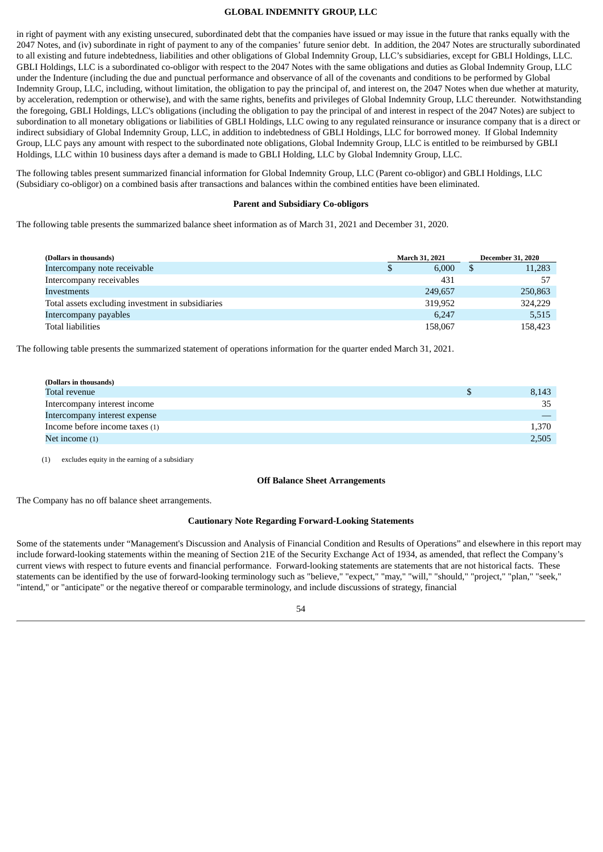in right of payment with any existing unsecured, subordinated debt that the companies have issued or may issue in the future that ranks equally with the 2047 Notes, and (iv) subordinate in right of payment to any of the companies' future senior debt. In addition, the 2047 Notes are structurally subordinated to all existing and future indebtedness, liabilities and other obligations of Global Indemnity Group, LLC's subsidiaries, except for GBLI Holdings, LLC. GBLI Holdings, LLC is a subordinated co-obligor with respect to the 2047 Notes with the same obligations and duties as Global Indemnity Group, LLC under the Indenture (including the due and punctual performance and observance of all of the covenants and conditions to be performed by Global Indemnity Group, LLC, including, without limitation, the obligation to pay the principal of, and interest on, the 2047 Notes when due whether at maturity, by acceleration, redemption or otherwise), and with the same rights, benefits and privileges of Global Indemnity Group, LLC thereunder. Notwithstanding the foregoing, GBLI Holdings, LLC's obligations (including the obligation to pay the principal of and interest in respect of the 2047 Notes) are subject to subordination to all monetary obligations or liabilities of GBLI Holdings, LLC owing to any regulated reinsurance or insurance company that is a direct or indirect subsidiary of Global Indemnity Group, LLC, in addition to indebtedness of GBLI Holdings, LLC for borrowed money. If Global Indemnity Group, LLC pays any amount with respect to the subordinated note obligations, Global Indemnity Group, LLC is entitled to be reimbursed by GBLI Holdings, LLC within 10 business days after a demand is made to GBLI Holding, LLC by Global Indemnity Group, LLC.

The following tables present summarized financial information for Global Indemnity Group, LLC (Parent co-obligor) and GBLI Holdings, LLC (Subsidiary co-obligor) on a combined basis after transactions and balances within the combined entities have been eliminated.

## **Parent and Subsidiary Co-obligors**

The following table presents the summarized balance sheet information as of March 31, 2021 and December 31, 2020.

| (Dollars in thousands)                            | <b>March 31, 2021</b> |         |   | <b>December 31, 2020</b> |  |
|---------------------------------------------------|-----------------------|---------|---|--------------------------|--|
| Intercompany note receivable                      | S                     | 6,000   | S | 11,283                   |  |
| Intercompany receivables                          |                       | 431     |   | 57                       |  |
| Investments                                       |                       | 249,657 |   | 250,863                  |  |
| Total assets excluding investment in subsidiaries |                       | 319.952 |   | 324,229                  |  |
| Intercompany payables                             |                       | 6.247   |   | 5,515                    |  |
| Total liabilities                                 |                       | 158,067 |   | 158,423                  |  |

The following table presents the summarized statement of operations information for the quarter ended March 31, 2021.

| (Dollars in thousands)         |   |       |
|--------------------------------|---|-------|
| Total revenue                  | S | 8,143 |
| Intercompany interest income   |   | 35    |
| Intercompany interest expense  |   |       |
| Income before income taxes (1) |   | 1,370 |
| Net income (1)                 |   | 2,505 |

(1) excludes equity in the earning of a subsidiary

#### **Off Balance Sheet Arrangements**

The Company has no off balance sheet arrangements.

#### **Cautionary Note Regarding Forward-Looking Statements**

Some of the statements under "Management's Discussion and Analysis of Financial Condition and Results of Operations" and elsewhere in this report may include forward-looking statements within the meaning of Section 21E of the Security Exchange Act of 1934, as amended, that reflect the Company's current views with respect to future events and financial performance. Forward-looking statements are statements that are not historical facts. These statements can be identified by the use of forward-looking terminology such as "believe," "expect," "may," "will," "should," "project," "plan," "seek," "intend," or "anticipate" or the negative thereof or comparable terminology, and include discussions of strategy, financial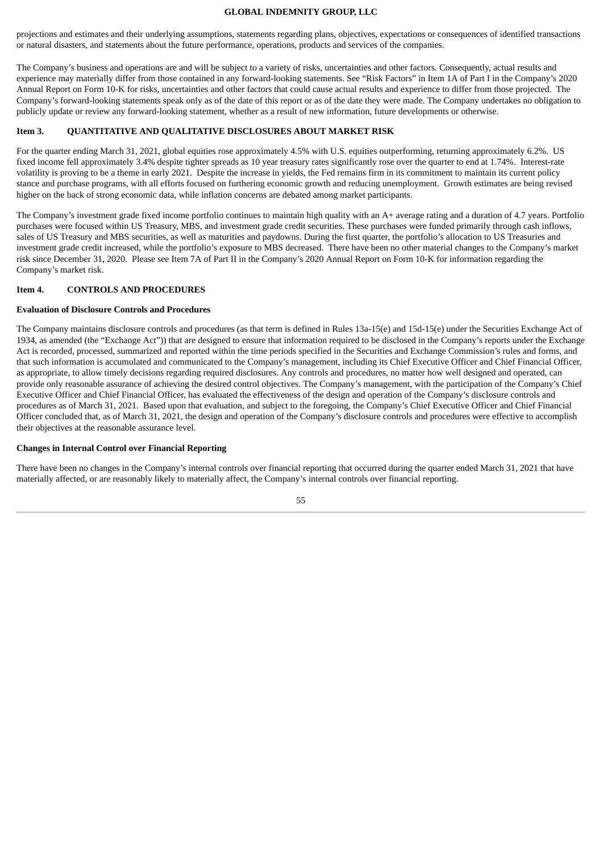projections and estimates and their underlying assumptions, statements regarding plans, objectives, expectations or consequences of identified transactions or natural disasters, and statements about the future performance, operations, products and services of the companies.

The Company's business and operations are and will be subject to a variety of risks, uncertainties and other factors. Consequently, actual results and experience may materially differ from those contained in any forward-looking statements. See "Risk Factors" in Item 1A of Part I in the Company's 2020 Annual Report on Form 10-K for risks, uncertainties and other factors that could cause actual results and experience to differ from those projected. The Company's forward-looking statements speak only as of the date of this report or as of the date they were made. The Company undertakes no obligation to publicly update or review any forward-looking statement, whether as a result of new information, future developments or otherwise.

# **Item 3. QUANTITATIVE AND QUALITATIVE DISCLOSURES ABOUT MARKET RISK**

For the quarter ending March 31, 2021, global equities rose approximately 4.5% with U.S. equities outperforming, returning approximately 6.2%. US fixed income fell approximately 3.4% despite tighter spreads as 10 year treasury rates significantly rose over the quarter to end at 1.74%. Interest-rate volatility is proving to be a theme in early 2021. Despite the increase in yields, the Fed remains firm in its commitment to maintain its current policy stance and purchase programs, with all efforts focused on furthering economic growth and reducing unemployment. Growth estimates are being revised higher on the back of strong economic data, while inflation concerns are debated among market participants.

The Company's investment grade fixed income portfolio continues to maintain high quality with an A+ average rating and a duration of 4.7 years. Portfolio purchases were focused within US Treasury, MBS, and investment grade credit securities. These purchases were funded primarily through cash inflows, sales of US Treasury and MBS securities, as well as maturities and paydowns. During the first quarter, the portfolio's allocation to US Treasuries and investment grade credit increased, while the portfolio's exposure to MBS decreased. There have been no other material changes to the Company's market risk since December 31, 2020. Please see Item 7A of Part II in the Company's 2020 Annual Report on Form 10-K for information regarding the Company's market risk.

#### **Item 4. CONTROLS AND PROCEDURES**

#### **Evaluation of Disclosure Controls and Procedures**

The Company maintains disclosure controls and procedures (as that term is defined in Rules 13a-15(e) and 15d-15(e) under the Securities Exchange Act of 1934, as amended (the "Exchange Act")) that are designed to ensure that information required to be disclosed in the Company's reports under the Exchange Act is recorded, processed, summarized and reported within the time periods specified in the Securities and Exchange Commission's rules and forms, and that such information is accumulated and communicated to the Company's management, including its Chief Executive Officer and Chief Financial Officer, as appropriate, to allow timely decisions regarding required disclosures. Any controls and procedures, no matter how well designed and operated, can provide only reasonable assurance of achieving the desired control objectives. The Company's management, with the participation of the Company's Chief Executive Officer and Chief Financial Officer, has evaluated the effectiveness of the design and operation of the Company's disclosure controls and procedures as of March 31, 2021. Based upon that evaluation, and subject to the foregoing, the Company's Chief Executive Officer and Chief Financial Officer concluded that, as of March 31, 2021, the design and operation of the Company's disclosure controls and procedures were effective to accomplish their objectives at the reasonable assurance level.

## **Changes in Internal Control over Financial Reporting**

There have been no changes in the Company's internal controls over financial reporting that occurred during the quarter ended March 31, 2021 that have materially affected, or are reasonably likely to materially affect, the Company's internal controls over financial reporting.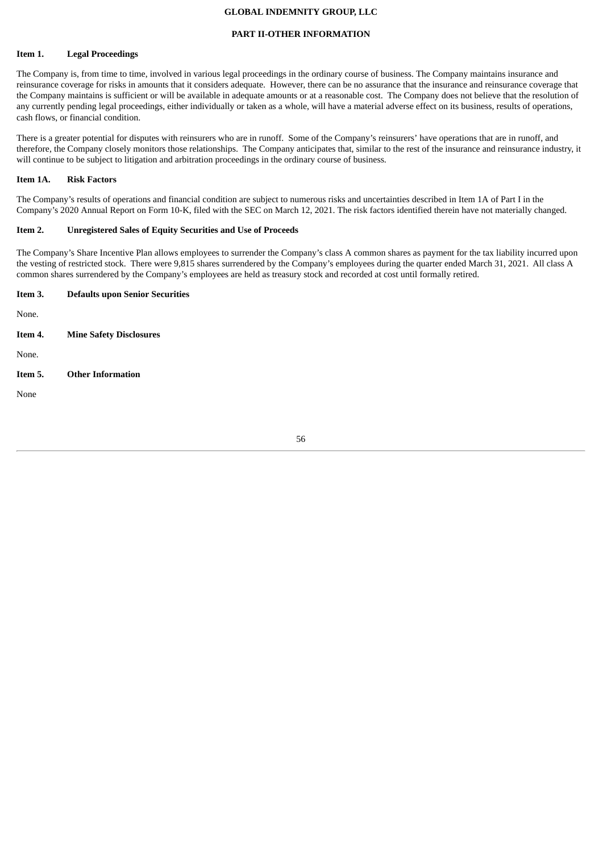# **PART II-OTHER INFORMATION**

## **Item 1. Legal Proceedings**

The Company is, from time to time, involved in various legal proceedings in the ordinary course of business. The Company maintains insurance and reinsurance coverage for risks in amounts that it considers adequate. However, there can be no assurance that the insurance and reinsurance coverage that the Company maintains is sufficient or will be available in adequate amounts or at a reasonable cost. The Company does not believe that the resolution of any currently pending legal proceedings, either individually or taken as a whole, will have a material adverse effect on its business, results of operations, cash flows, or financial condition.

There is a greater potential for disputes with reinsurers who are in runoff. Some of the Company's reinsurers' have operations that are in runoff, and therefore, the Company closely monitors those relationships. The Company anticipates that, similar to the rest of the insurance and reinsurance industry, it will continue to be subject to litigation and arbitration proceedings in the ordinary course of business.

# **Item 1A. Risk Factors**

The Company's results of operations and financial condition are subject to numerous risks and uncertainties described in Item 1A of Part I in the Company's 2020 Annual Report on Form 10-K, filed with the SEC on March 12, 2021. The risk factors identified therein have not materially changed.

# **Item 2. Unregistered Sales of Equity Securities and Use of Proceeds**

The Company's Share Incentive Plan allows employees to surrender the Company's class A common shares as payment for the tax liability incurred upon the vesting of restricted stock. There were 9,815 shares surrendered by the Company's employees during the quarter ended March 31, 2021. All class A common shares surrendered by the Company's employees are held as treasury stock and recorded at cost until formally retired.

#### **Item 3. Defaults upon Senior Securities**

None.

**Item 4. Mine Safety Disclosures**

None.

**Item 5. Other Information**

None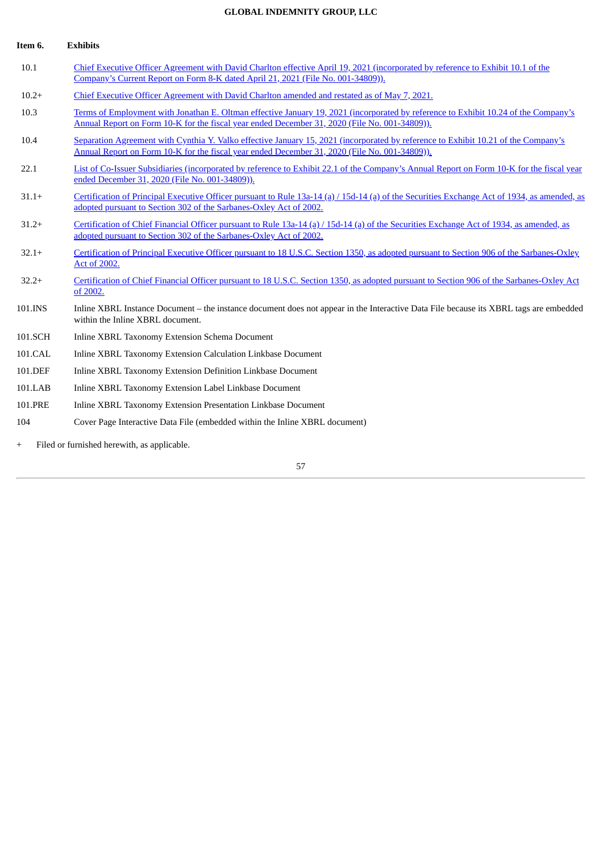| Item 6. | <b>Exhibits</b>                                                                                                                                                                                                                      |
|---------|--------------------------------------------------------------------------------------------------------------------------------------------------------------------------------------------------------------------------------------|
| 10.1    | Chief Executive Officer Agreement with David Charlton effective April 19, 2021 (incorporated by reference to Exhibit 10.1 of the<br>Company's Current Report on Form 8-K dated April 21, 2021 (File No. 001-34809)).                 |
| $10.2+$ | Chief Executive Officer Agreement with David Charlton amended and restated as of May 7, 2021.                                                                                                                                        |
| 10.3    | Terms of Employment with Jonathan E. Oltman effective January 19, 2021 (incorporated by reference to Exhibit 10.24 of the Company's<br>Annual Report on Form 10-K for the fiscal year ended December 31, 2020 (File No. 001-34809)). |
| 10.4    | Separation Agreement with Cynthia Y. Valko effective January 15, 2021 (incorporated by reference to Exhibit 10.21 of the Company's<br>Annual Report on Form 10-K for the fiscal year ended December 31, 2020 (File No. 001-34809)).  |
| 22.1    | List of Co-Issuer Subsidiaries (incorporated by reference to Exhibit 22.1 of the Company's Annual Report on Form 10-K for the fiscal year<br>ended December 31, 2020 (File No. 001-34809)).                                          |
| $31.1+$ | Certification of Principal Executive Officer pursuant to Rule 13a-14 (a) / 15d-14 (a) of the Securities Exchange Act of 1934, as amended, as<br>adopted pursuant to Section 302 of the Sarbanes-Oxley Act of 2002.                   |
| $31.2+$ | Certification of Chief Financial Officer pursuant to Rule $13a-14$ (a) / $15d-14$ (a) of the Securities Exchange Act of 1934, as amended, as<br>adopted pursuant to Section 302 of the Sarbanes-Oxley Act of 2002.                   |
| $32.1+$ | Certification of Principal Executive Officer pursuant to 18 U.S.C. Section 1350, as adopted pursuant to Section 906 of the Sarbanes-Oxley<br><b>Act of 2002.</b>                                                                     |
| $32.2+$ | Certification of Chief Financial Officer pursuant to 18 U.S.C. Section 1350, as adopted pursuant to Section 906 of the Sarbanes-Oxley Act<br>of 2002.                                                                                |
| 101.INS | Inline XBRL Instance Document – the instance document does not appear in the Interactive Data File because its XBRL tags are embedded<br>within the Inline XBRL document.                                                            |
| 101.SCH | Inline XBRL Taxonomy Extension Schema Document                                                                                                                                                                                       |
| 101.CAL | Inline XBRL Taxonomy Extension Calculation Linkbase Document                                                                                                                                                                         |
| 101.DEF | Inline XBRL Taxonomy Extension Definition Linkbase Document                                                                                                                                                                          |
| 101.LAB | Inline XBRL Taxonomy Extension Label Linkbase Document                                                                                                                                                                               |
| 101.PRE | Inline XBRL Taxonomy Extension Presentation Linkbase Document                                                                                                                                                                        |
| 104     | Cover Page Interactive Data File (embedded within the Inline XBRL document)                                                                                                                                                          |

+ Filed or furnished herewith, as applicable.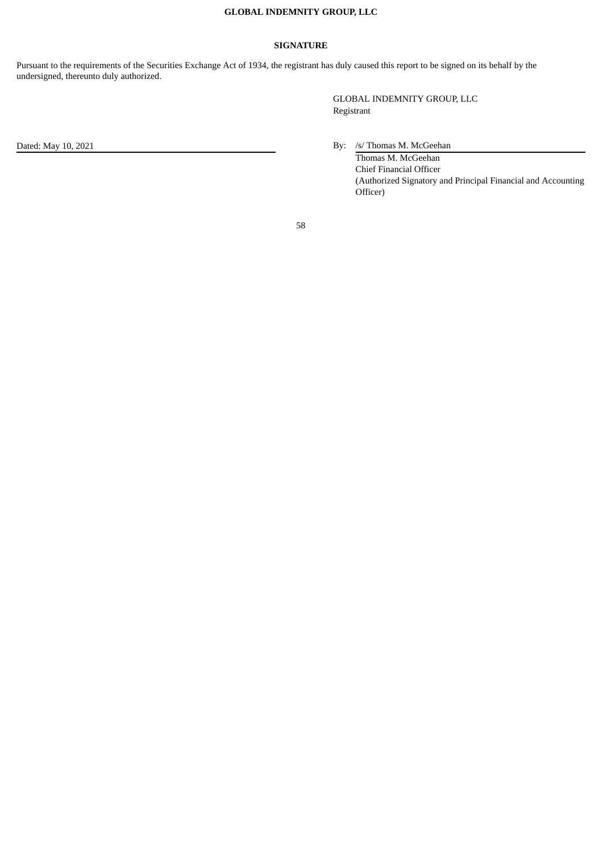# **SIGNATURE**

Pursuant to the requirements of the Securities Exchange Act of 1934, the registrant has duly caused this report to be signed on its behalf by the undersigned, thereunto duly authorized.

> GLOBAL INDEMNITY GROUP, LLC Registrant

Dated: May 10, 2021 By: /s/ Thomas M. McGeehan

Thomas M. McGeehan Chief Financial Officer (Authorized Signatory and Principal Financial and Accounting Officer)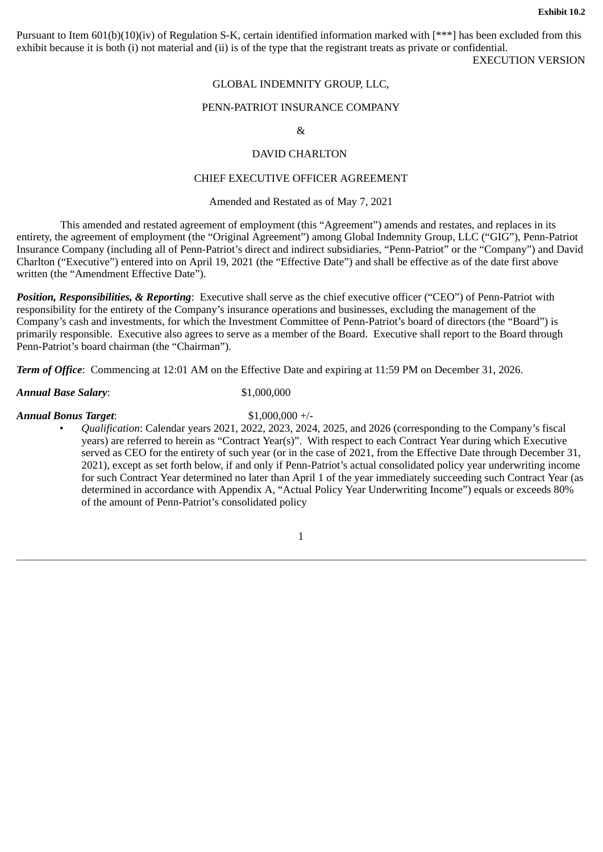<span id="page-58-0"></span>Pursuant to Item 601(b)(10)(iv) of Regulation S-K, certain identified information marked with [\*\*\*] has been excluded from this exhibit because it is both (i) not material and (ii) is of the type that the registrant treats as private or confidential.

EXECUTION VERSION

# GLOBAL INDEMNITY GROUP, LLC,

# PENN-PATRIOT INSURANCE COMPANY

# $\mathcal{R}_{\mathcal{T}}$

# DAVID CHARLTON

# CHIEF EXECUTIVE OFFICER AGREEMENT

# Amended and Restated as of May 7, 2021

This amended and restated agreement of employment (this "Agreement") amends and restates, and replaces in its entirety, the agreement of employment (the "Original Agreement") among Global Indemnity Group, LLC ("GIG"), Penn-Patriot Insurance Company (including all of Penn-Patriot's direct and indirect subsidiaries, "Penn-Patriot" or the "Company") and David Charlton ("Executive") entered into on April 19, 2021 (the "Effective Date") and shall be effective as of the date first above written (the "Amendment Effective Date").

*Position, Responsibilities, & Reporting*: Executive shall serve as the chief executive officer ("CEO") of Penn-Patriot with responsibility for the entirety of the Company's insurance operations and businesses, excluding the management of the Company's cash and investments, for which the Investment Committee of Penn-Patriot's board of directors (the "Board") is primarily responsible. Executive also agrees to serve as a member of the Board. Executive shall report to the Board through Penn-Patriot's board chairman (the "Chairman").

*Term of Office*: Commencing at 12:01 AM on the Effective Date and expiring at 11:59 PM on December 31, 2026.

*Annual Base Salary*: \$1,000,000

*Annual Bonus Target*: \$1,000,000 +/-

• *Qualification*: Calendar years 2021, 2022, 2023, 2024, 2025, and 2026 (corresponding to the Company's fiscal years) are referred to herein as "Contract Year(s)". With respect to each Contract Year during which Executive served as CEO for the entirety of such year (or in the case of 2021, from the Effective Date through December 31, 2021), except as set forth below, if and only if Penn-Patriot's actual consolidated policy year underwriting income for such Contract Year determined no later than April 1 of the year immediately succeeding such Contract Year (as determined in accordance with Appendix A, "Actual Policy Year Underwriting Income") equals or exceeds 80% of the amount of Penn-Patriot's consolidated policy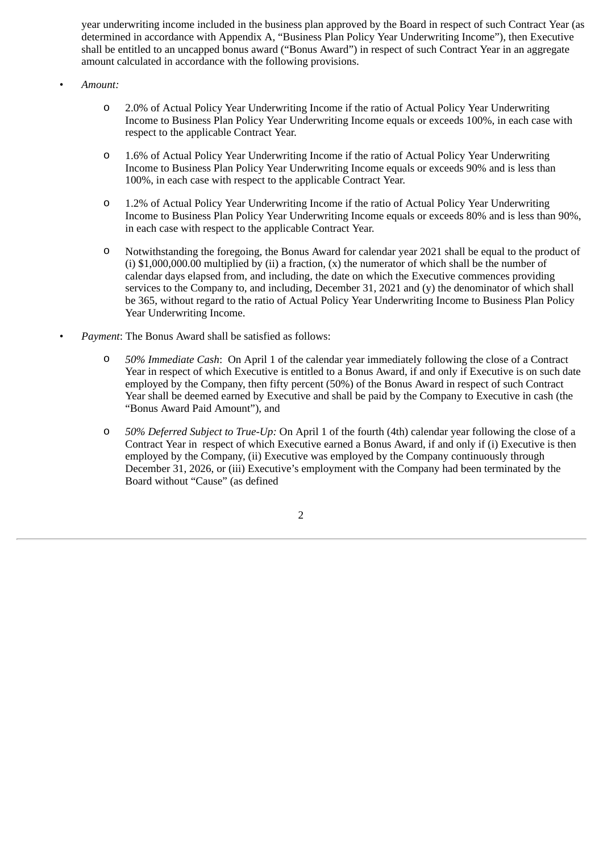year underwriting income included in the business plan approved by the Board in respect of such Contract Year (as determined in accordance with Appendix A, "Business Plan Policy Year Underwriting Income"), then Executive shall be entitled to an uncapped bonus award ("Bonus Award") in respect of such Contract Year in an aggregate amount calculated in accordance with the following provisions.

- *Amount:*
	- o 2.0% of Actual Policy Year Underwriting Income if the ratio of Actual Policy Year Underwriting Income to Business Plan Policy Year Underwriting Income equals or exceeds 100%, in each case with respect to the applicable Contract Year.
	- o 1.6% of Actual Policy Year Underwriting Income if the ratio of Actual Policy Year Underwriting Income to Business Plan Policy Year Underwriting Income equals or exceeds 90% and is less than 100%, in each case with respect to the applicable Contract Year.
	- o 1.2% of Actual Policy Year Underwriting Income if the ratio of Actual Policy Year Underwriting Income to Business Plan Policy Year Underwriting Income equals or exceeds 80% and is less than 90%, in each case with respect to the applicable Contract Year.
	- o Notwithstanding the foregoing, the Bonus Award for calendar year 2021 shall be equal to the product of (i)  $$1,000,000.00$  multiplied by (ii) a fraction, (x) the numerator of which shall be the number of calendar days elapsed from, and including, the date on which the Executive commences providing services to the Company to, and including, December 31, 2021 and (y) the denominator of which shall be 365, without regard to the ratio of Actual Policy Year Underwriting Income to Business Plan Policy Year Underwriting Income.
- *Payment*: The Bonus Award shall be satisfied as follows:
	- o *50% Immediate Cash*: On April 1 of the calendar year immediately following the close of a Contract Year in respect of which Executive is entitled to a Bonus Award, if and only if Executive is on such date employed by the Company, then fifty percent (50%) of the Bonus Award in respect of such Contract Year shall be deemed earned by Executive and shall be paid by the Company to Executive in cash (the "Bonus Award Paid Amount"), and
	- o *50% Deferred Subject to True-Up:* On April 1 of the fourth (4th) calendar year following the close of a Contract Year in respect of which Executive earned a Bonus Award, if and only if (i) Executive is then employed by the Company, (ii) Executive was employed by the Company continuously through December 31, 2026, or (iii) Executive's employment with the Company had been terminated by the Board without "Cause" (as defined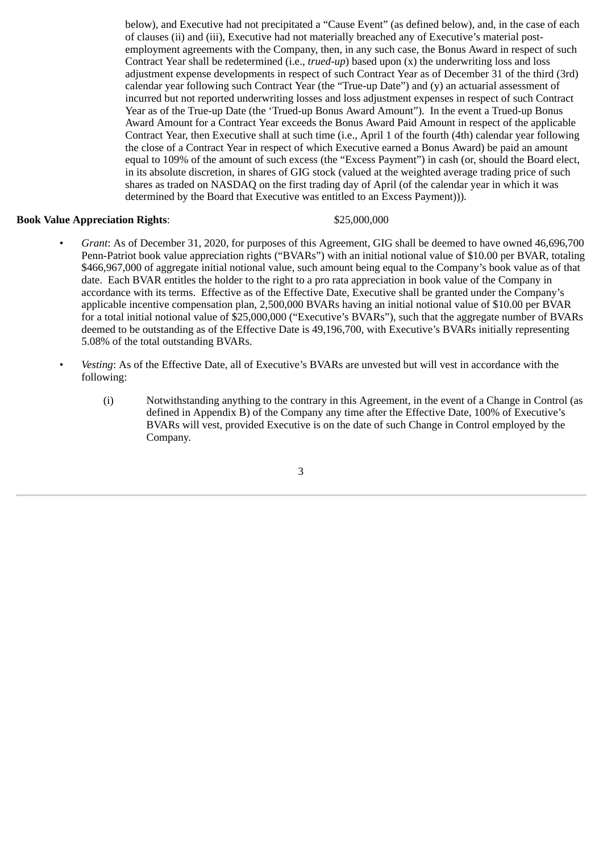below), and Executive had not precipitated a "Cause Event" (as defined below), and, in the case of each of clauses (ii) and (iii), Executive had not materially breached any of Executive's material postemployment agreements with the Company, then, in any such case, the Bonus Award in respect of such Contract Year shall be redetermined (i.e., *trued-up*) based upon (x) the underwriting loss and loss adjustment expense developments in respect of such Contract Year as of December 31 of the third (3rd) calendar year following such Contract Year (the "True-up Date") and (y) an actuarial assessment of incurred but not reported underwriting losses and loss adjustment expenses in respect of such Contract Year as of the True-up Date (the 'Trued-up Bonus Award Amount"). In the event a Trued-up Bonus Award Amount for a Contract Year exceeds the Bonus Award Paid Amount in respect of the applicable Contract Year, then Executive shall at such time (i.e., April 1 of the fourth (4th) calendar year following the close of a Contract Year in respect of which Executive earned a Bonus Award) be paid an amount equal to 109% of the amount of such excess (the "Excess Payment") in cash (or, should the Board elect, in its absolute discretion, in shares of GIG stock (valued at the weighted average trading price of such shares as traded on NASDAQ on the first trading day of April (of the calendar year in which it was determined by the Board that Executive was entitled to an Excess Payment))).

# **Book Value Appreciation Rights**: \$25,000,000

- *Grant*: As of December 31, 2020, for purposes of this Agreement, GIG shall be deemed to have owned 46,696,700 Penn-Patriot book value appreciation rights ("BVARs") with an initial notional value of \$10.00 per BVAR, totaling \$466,967,000 of aggregate initial notional value, such amount being equal to the Company's book value as of that date. Each BVAR entitles the holder to the right to a pro rata appreciation in book value of the Company in accordance with its terms. Effective as of the Effective Date, Executive shall be granted under the Company's applicable incentive compensation plan, 2,500,000 BVARs having an initial notional value of \$10.00 per BVAR for a total initial notional value of \$25,000,000 ("Executive's BVARs"), such that the aggregate number of BVARs deemed to be outstanding as of the Effective Date is 49,196,700, with Executive's BVARs initially representing 5.08% of the total outstanding BVARs.
- *Vesting*: As of the Effective Date, all of Executive's BVARs are unvested but will vest in accordance with the following:
	- (i) Notwithstanding anything to the contrary in this Agreement, in the event of a Change in Control (as defined in Appendix B) of the Company any time after the Effective Date, 100% of Executive's BVARs will vest, provided Executive is on the date of such Change in Control employed by the Company.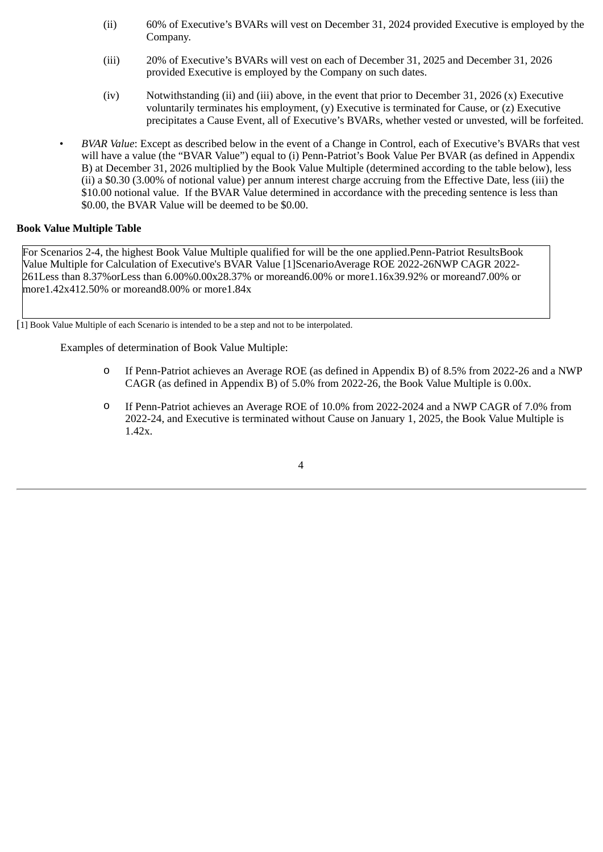- (ii) 60% of Executive's BVARs will vest on December 31, 2024 provided Executive is employed by the Company.
- (iii) 20% of Executive's BVARs will vest on each of December 31, 2025 and December 31, 2026 provided Executive is employed by the Company on such dates.
- (iv) Notwithstanding (ii) and (iii) above, in the event that prior to December 31, 2026 (x) Executive voluntarily terminates his employment, (y) Executive is terminated for Cause, or (z) Executive precipitates a Cause Event, all of Executive's BVARs, whether vested or unvested, will be forfeited.
- *BVAR Value*: Except as described below in the event of a Change in Control, each of Executive's BVARs that vest will have a value (the "BVAR Value") equal to (i) Penn-Patriot's Book Value Per BVAR (as defined in Appendix B) at December 31, 2026 multiplied by the Book Value Multiple (determined according to the table below), less (ii) a \$0.30 (3.00% of notional value) per annum interest charge accruing from the Effective Date, less (iii) the \$10.00 notional value. If the BVAR Value determined in accordance with the preceding sentence is less than \$0.00, the BVAR Value will be deemed to be \$0.00.

# **Book Value Multiple Table**

For Scenarios 2-4, the highest Book Value Multiple qualified for will be the one applied.Penn-Patriot ResultsBook Value Multiple for Calculation of Executive's BVAR Value [1]ScenarioAverage ROE 2022-26NWP CAGR 2022- 261Less than 8.37%orLess than 6.00%0.00x28.37% or moreand6.00% or more1.16x39.92% or moreand7.00% or more1.42x412.50% or moreand8.00% or more1.84x

[1] Book Value Multiple of each Scenario is intended to be a step and not to be interpolated.

Examples of determination of Book Value Multiple:

- o If Penn-Patriot achieves an Average ROE (as defined in Appendix B) of 8.5% from 2022-26 and a NWP CAGR (as defined in Appendix B) of 5.0% from 2022-26, the Book Value Multiple is 0.00x.
- o If Penn-Patriot achieves an Average ROE of 10.0% from 2022-2024 and a NWP CAGR of 7.0% from 2022-24, and Executive is terminated without Cause on January 1, 2025, the Book Value Multiple is 1.42x.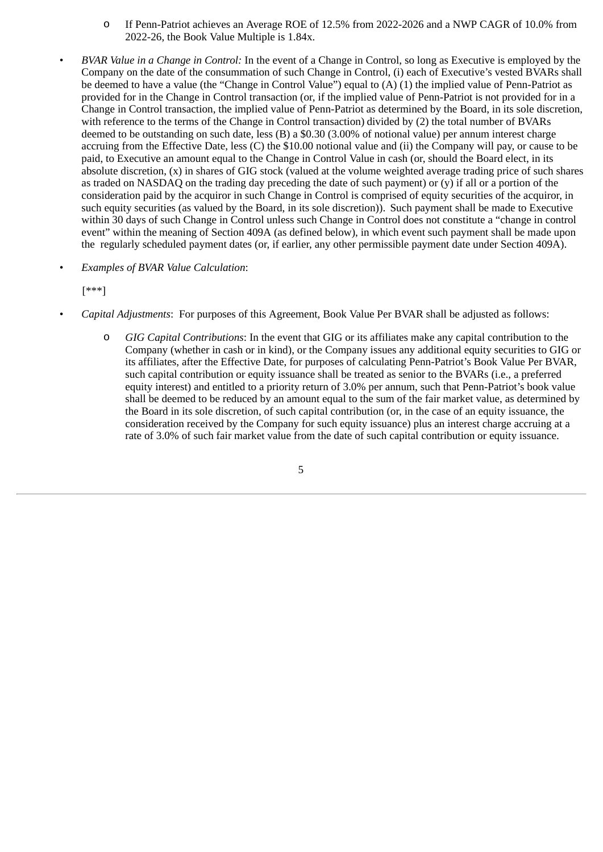- o If Penn-Patriot achieves an Average ROE of 12.5% from 2022-2026 and a NWP CAGR of 10.0% from 2022-26, the Book Value Multiple is 1.84x.
- *BVAR Value in a Change in Control:* In the event of a Change in Control, so long as Executive is employed by the Company on the date of the consummation of such Change in Control, (i) each of Executive's vested BVARs shall be deemed to have a value (the "Change in Control Value") equal to (A) (1) the implied value of Penn-Patriot as provided for in the Change in Control transaction (or, if the implied value of Penn-Patriot is not provided for in a Change in Control transaction, the implied value of Penn-Patriot as determined by the Board, in its sole discretion, with reference to the terms of the Change in Control transaction) divided by (2) the total number of BVARs deemed to be outstanding on such date, less (B) a \$0.30 (3.00% of notional value) per annum interest charge accruing from the Effective Date, less (C) the \$10.00 notional value and (ii) the Company will pay, or cause to be paid, to Executive an amount equal to the Change in Control Value in cash (or, should the Board elect, in its absolute discretion, (x) in shares of GIG stock (valued at the volume weighted average trading price of such shares as traded on NASDAQ on the trading day preceding the date of such payment) or  $(v)$  if all or a portion of the consideration paid by the acquiror in such Change in Control is comprised of equity securities of the acquiror, in such equity securities (as valued by the Board, in its sole discretion)). Such payment shall be made to Executive within 30 days of such Change in Control unless such Change in Control does not constitute a "change in control event" within the meaning of Section 409A (as defined below), in which event such payment shall be made upon the regularly scheduled payment dates (or, if earlier, any other permissible payment date under Section 409A).
- *Examples of BVAR Value Calculation*:

[\*\*\*]

- *Capital Adjustments*: For purposes of this Agreement, Book Value Per BVAR shall be adjusted as follows:
	- o *GIG Capital Contributions*: In the event that GIG or its affiliates make any capital contribution to the Company (whether in cash or in kind), or the Company issues any additional equity securities to GIG or its affiliates, after the Effective Date, for purposes of calculating Penn-Patriot's Book Value Per BVAR, such capital contribution or equity issuance shall be treated as senior to the BVARs (i.e., a preferred equity interest) and entitled to a priority return of 3.0% per annum, such that Penn-Patriot's book value shall be deemed to be reduced by an amount equal to the sum of the fair market value, as determined by the Board in its sole discretion, of such capital contribution (or, in the case of an equity issuance, the consideration received by the Company for such equity issuance) plus an interest charge accruing at a rate of 3.0% of such fair market value from the date of such capital contribution or equity issuance.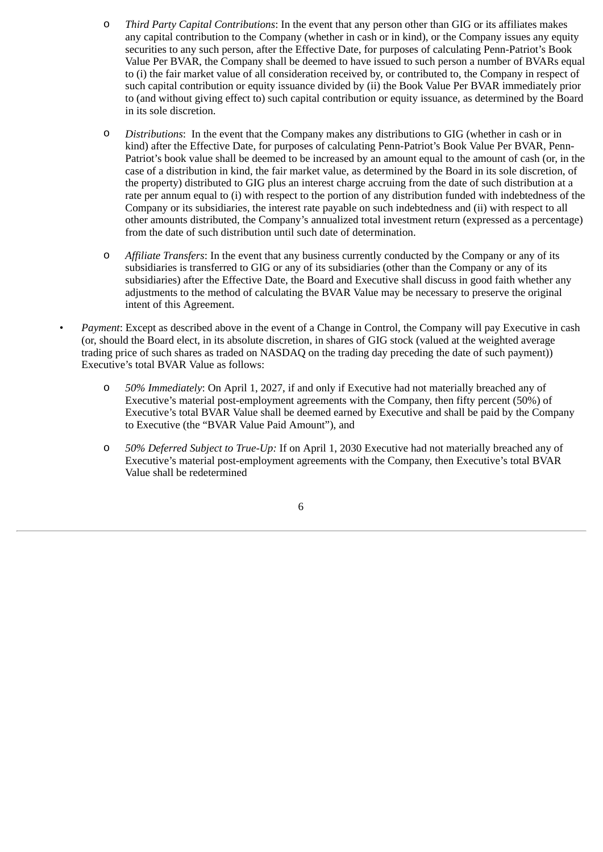- o *Third Party Capital Contributions*: In the event that any person other than GIG or its affiliates makes any capital contribution to the Company (whether in cash or in kind), or the Company issues any equity securities to any such person, after the Effective Date, for purposes of calculating Penn-Patriot's Book Value Per BVAR, the Company shall be deemed to have issued to such person a number of BVARs equal to (i) the fair market value of all consideration received by, or contributed to, the Company in respect of such capital contribution or equity issuance divided by (ii) the Book Value Per BVAR immediately prior to (and without giving effect to) such capital contribution or equity issuance, as determined by the Board in its sole discretion.
- o *Distributions*: In the event that the Company makes any distributions to GIG (whether in cash or in kind) after the Effective Date, for purposes of calculating Penn-Patriot's Book Value Per BVAR, Penn-Patriot's book value shall be deemed to be increased by an amount equal to the amount of cash (or, in the case of a distribution in kind, the fair market value, as determined by the Board in its sole discretion, of the property) distributed to GIG plus an interest charge accruing from the date of such distribution at a rate per annum equal to (i) with respect to the portion of any distribution funded with indebtedness of the Company or its subsidiaries, the interest rate payable on such indebtedness and (ii) with respect to all other amounts distributed, the Company's annualized total investment return (expressed as a percentage) from the date of such distribution until such date of determination.
- o *Affiliate Transfers*: In the event that any business currently conducted by the Company or any of its subsidiaries is transferred to GIG or any of its subsidiaries (other than the Company or any of its subsidiaries) after the Effective Date, the Board and Executive shall discuss in good faith whether any adjustments to the method of calculating the BVAR Value may be necessary to preserve the original intent of this Agreement.
- *Payment*: Except as described above in the event of a Change in Control, the Company will pay Executive in cash (or, should the Board elect, in its absolute discretion, in shares of GIG stock (valued at the weighted average trading price of such shares as traded on NASDAQ on the trading day preceding the date of such payment)) Executive's total BVAR Value as follows:
	- o *50% Immediately*: On April 1, 2027, if and only if Executive had not materially breached any of Executive's material post-employment agreements with the Company, then fifty percent (50%) of Executive's total BVAR Value shall be deemed earned by Executive and shall be paid by the Company to Executive (the "BVAR Value Paid Amount"), and
	- o *50% Deferred Subject to True-Up:* If on April 1, 2030 Executive had not materially breached any of Executive's material post-employment agreements with the Company, then Executive's total BVAR Value shall be redetermined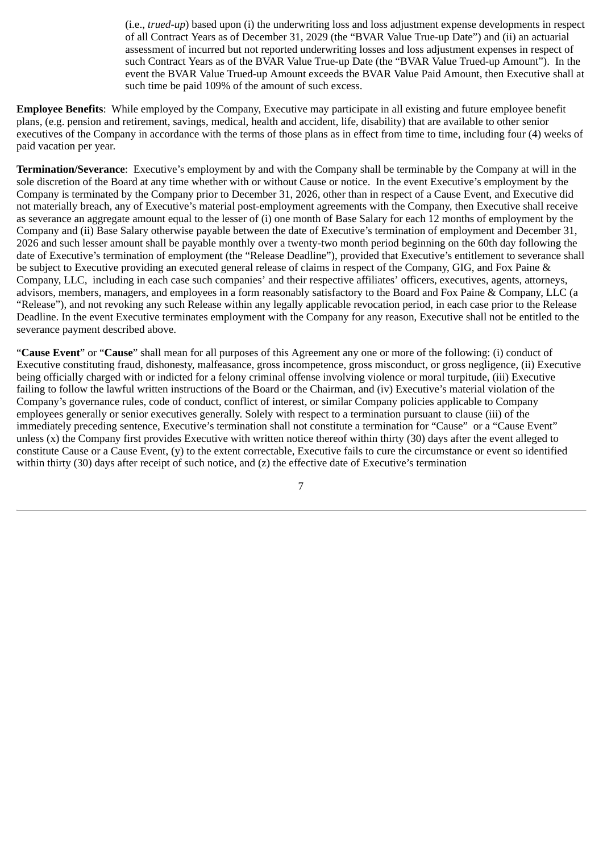(i.e., *trued-up*) based upon (i) the underwriting loss and loss adjustment expense developments in respect of all Contract Years as of December 31, 2029 (the "BVAR Value True-up Date") and (ii) an actuarial assessment of incurred but not reported underwriting losses and loss adjustment expenses in respect of such Contract Years as of the BVAR Value True-up Date (the "BVAR Value Trued-up Amount"). In the event the BVAR Value Trued-up Amount exceeds the BVAR Value Paid Amount, then Executive shall at such time be paid 109% of the amount of such excess.

**Employee Benefits**: While employed by the Company, Executive may participate in all existing and future employee benefit plans, (e.g. pension and retirement, savings, medical, health and accident, life, disability) that are available to other senior executives of the Company in accordance with the terms of those plans as in effect from time to time, including four (4) weeks of paid vacation per year.

**Termination/Severance**: Executive's employment by and with the Company shall be terminable by the Company at will in the sole discretion of the Board at any time whether with or without Cause or notice. In the event Executive's employment by the Company is terminated by the Company prior to December 31, 2026, other than in respect of a Cause Event, and Executive did not materially breach, any of Executive's material post-employment agreements with the Company, then Executive shall receive as severance an aggregate amount equal to the lesser of (i) one month of Base Salary for each 12 months of employment by the Company and (ii) Base Salary otherwise payable between the date of Executive's termination of employment and December 31, 2026 and such lesser amount shall be payable monthly over a twenty-two month period beginning on the 60th day following the date of Executive's termination of employment (the "Release Deadline"), provided that Executive's entitlement to severance shall be subject to Executive providing an executed general release of claims in respect of the Company, GIG, and Fox Paine & Company, LLC, including in each case such companies' and their respective affiliates' officers, executives, agents, attorneys, advisors, members, managers, and employees in a form reasonably satisfactory to the Board and Fox Paine & Company, LLC (a "Release"), and not revoking any such Release within any legally applicable revocation period, in each case prior to the Release Deadline. In the event Executive terminates employment with the Company for any reason, Executive shall not be entitled to the severance payment described above.

"**Cause Event**" or "**Cause**" shall mean for all purposes of this Agreement any one or more of the following: (i) conduct of Executive constituting fraud, dishonesty, malfeasance, gross incompetence, gross misconduct, or gross negligence, (ii) Executive being officially charged with or indicted for a felony criminal offense involving violence or moral turpitude, (iii) Executive failing to follow the lawful written instructions of the Board or the Chairman, and (iv) Executive's material violation of the Company's governance rules, code of conduct, conflict of interest, or similar Company policies applicable to Company employees generally or senior executives generally. Solely with respect to a termination pursuant to clause (iii) of the immediately preceding sentence, Executive's termination shall not constitute a termination for "Cause" or a "Cause Event" unless (x) the Company first provides Executive with written notice thereof within thirty (30) days after the event alleged to constitute Cause or a Cause Event, (y) to the extent correctable, Executive fails to cure the circumstance or event so identified within thirty (30) days after receipt of such notice, and (z) the effective date of Executive's termination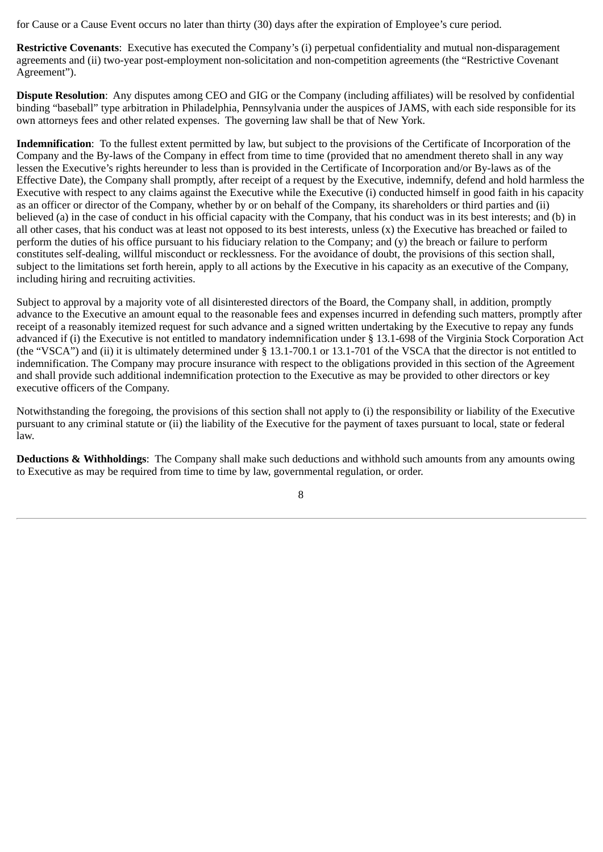for Cause or a Cause Event occurs no later than thirty (30) days after the expiration of Employee's cure period.

**Restrictive Covenants**: Executive has executed the Company's (i) perpetual confidentiality and mutual non-disparagement agreements and (ii) two-year post-employment non-solicitation and non-competition agreements (the "Restrictive Covenant Agreement").

**Dispute Resolution**: Any disputes among CEO and GIG or the Company (including affiliates) will be resolved by confidential binding "baseball" type arbitration in Philadelphia, Pennsylvania under the auspices of JAMS, with each side responsible for its own attorneys fees and other related expenses. The governing law shall be that of New York.

**Indemnification**:To the fullest extent permitted by law, but subject to the provisions of the Certificate of Incorporation of the Company and the By-laws of the Company in effect from time to time (provided that no amendment thereto shall in any way lessen the Executive's rights hereunder to less than is provided in the Certificate of Incorporation and/or By-laws as of the Effective Date), the Company shall promptly, after receipt of a request by the Executive, indemnify, defend and hold harmless the Executive with respect to any claims against the Executive while the Executive (i) conducted himself in good faith in his capacity as an officer or director of the Company, whether by or on behalf of the Company, its shareholders or third parties and (ii) believed (a) in the case of conduct in his official capacity with the Company, that his conduct was in its best interests; and (b) in all other cases, that his conduct was at least not opposed to its best interests, unless (x) the Executive has breached or failed to perform the duties of his office pursuant to his fiduciary relation to the Company; and (y) the breach or failure to perform constitutes self-dealing, willful misconduct or recklessness. For the avoidance of doubt, the provisions of this section shall, subject to the limitations set forth herein, apply to all actions by the Executive in his capacity as an executive of the Company, including hiring and recruiting activities.

Subject to approval by a majority vote of all disinterested directors of the Board, the Company shall, in addition, promptly advance to the Executive an amount equal to the reasonable fees and expenses incurred in defending such matters, promptly after receipt of a reasonably itemized request for such advance and a signed written undertaking by the Executive to repay any funds advanced if (i) the Executive is not entitled to mandatory indemnification under § 13.1-698 of the Virginia Stock Corporation Act (the "VSCA") and (ii) it is ultimately determined under § 13.1-700.1 or 13.1-701 of the VSCA that the director is not entitled to indemnification. The Company may procure insurance with respect to the obligations provided in this section of the Agreement and shall provide such additional indemnification protection to the Executive as may be provided to other directors or key executive officers of the Company.

Notwithstanding the foregoing, the provisions of this section shall not apply to (i) the responsibility or liability of the Executive pursuant to any criminal statute or (ii) the liability of the Executive for the payment of taxes pursuant to local, state or federal law.

**Deductions & Withholdings**: The Company shall make such deductions and withhold such amounts from any amounts owing to Executive as may be required from time to time by law, governmental regulation, or order.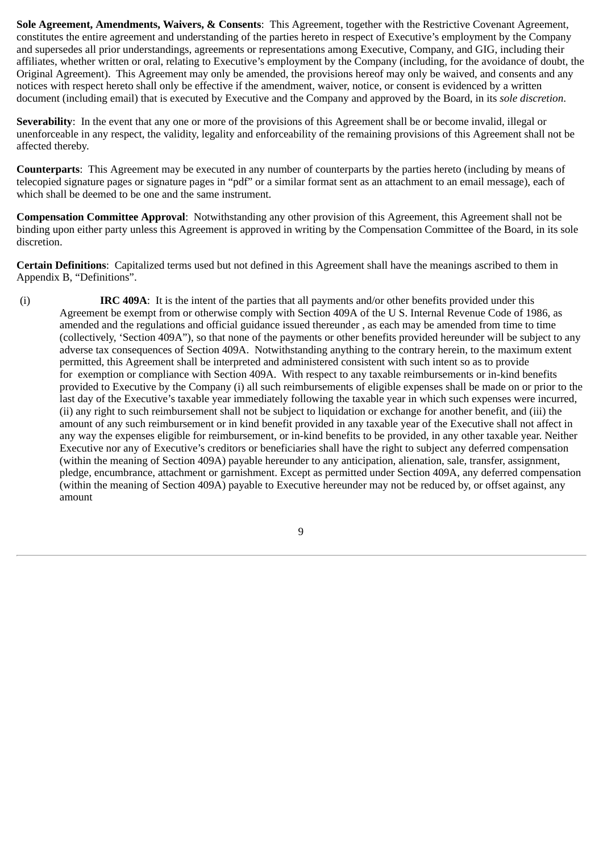**Sole Agreement, Amendments, Waivers, & Consents**: This Agreement, together with the Restrictive Covenant Agreement, constitutes the entire agreement and understanding of the parties hereto in respect of Executive's employment by the Company and supersedes all prior understandings, agreements or representations among Executive, Company, and GIG, including their affiliates, whether written or oral, relating to Executive's employment by the Company (including, for the avoidance of doubt, the Original Agreement). This Agreement may only be amended, the provisions hereof may only be waived, and consents and any notices with respect hereto shall only be effective if the amendment, waiver, notice, or consent is evidenced by a written document (including email) that is executed by Executive and the Company and approved by the Board, in its *sole discretion*.

**Severability**: In the event that any one or more of the provisions of this Agreement shall be or become invalid, illegal or unenforceable in any respect, the validity, legality and enforceability of the remaining provisions of this Agreement shall not be affected thereby.

**Counterparts**: This Agreement may be executed in any number of counterparts by the parties hereto (including by means of telecopied signature pages or signature pages in "pdf" or a similar format sent as an attachment to an email message), each of which shall be deemed to be one and the same instrument.

**Compensation Committee Approval**:Notwithstanding any other provision of this Agreement, this Agreement shall not be binding upon either party unless this Agreement is approved in writing by the Compensation Committee of the Board, in its sole discretion.

**Certain Definitions**:Capitalized terms used but not defined in this Agreement shall have the meanings ascribed to them in Appendix B, "Definitions".

(i) **IRC 409A**: It is the intent of the parties that all payments and/or other benefits provided under this Agreement be exempt from or otherwise comply with Section 409A of the U S. Internal Revenue Code of 1986, as amended and the regulations and official guidance issued thereunder , as each may be amended from time to time (collectively, 'Section 409A"), so that none of the payments or other benefits provided hereunder will be subject to any adverse tax consequences of Section 409A. Notwithstanding anything to the contrary herein, to the maximum extent permitted, this Agreement shall be interpreted and administered consistent with such intent so as to provide for exemption or compliance with Section 409A. With respect to any taxable reimbursements or in-kind benefits provided to Executive by the Company (i) all such reimbursements of eligible expenses shall be made on or prior to the last day of the Executive's taxable year immediately following the taxable year in which such expenses were incurred, (ii) any right to such reimbursement shall not be subject to liquidation or exchange for another benefit, and (iii) the amount of any such reimbursement or in kind benefit provided in any taxable year of the Executive shall not affect in any way the expenses eligible for reimbursement, or in-kind benefits to be provided, in any other taxable year. Neither Executive nor any of Executive's creditors or beneficiaries shall have the right to subject any deferred compensation (within the meaning of Section 409A) payable hereunder to any anticipation, alienation, sale, transfer, assignment, pledge, encumbrance, attachment or garnishment. Except as permitted under Section 409A, any deferred compensation (within the meaning of Section 409A) payable to Executive hereunder may not be reduced by, or offset against, any amount

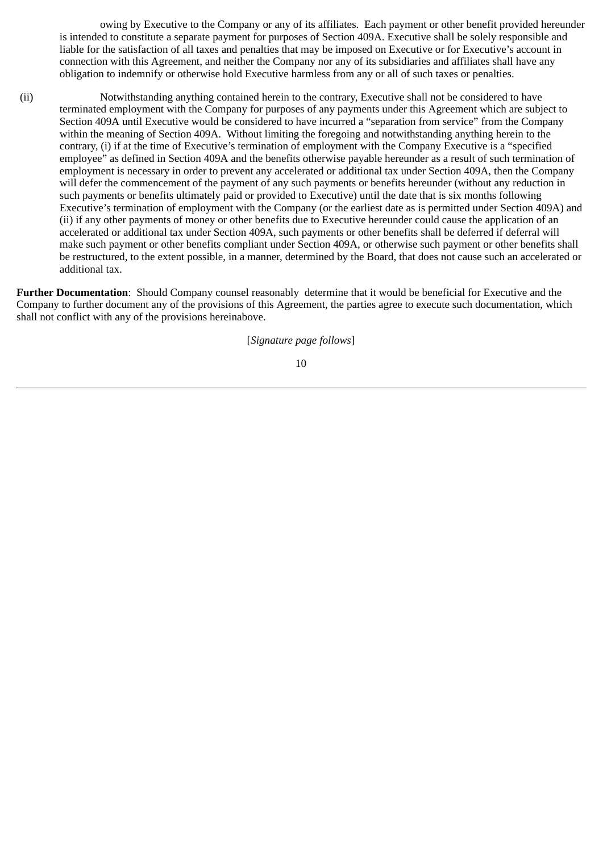owing by Executive to the Company or any of its affiliates. Each payment or other benefit provided hereunder is intended to constitute a separate payment for purposes of Section 409A. Executive shall be solely responsible and liable for the satisfaction of all taxes and penalties that may be imposed on Executive or for Executive's account in connection with this Agreement, and neither the Company nor any of its subsidiaries and affiliates shall have any obligation to indemnify or otherwise hold Executive harmless from any or all of such taxes or penalties.

(ii) Notwithstanding anything contained herein to the contrary, Executive shall not be considered to have terminated employment with the Company for purposes of any payments under this Agreement which are subject to Section 409A until Executive would be considered to have incurred a "separation from service" from the Company within the meaning of Section 409A. Without limiting the foregoing and notwithstanding anything herein to the contrary, (i) if at the time of Executive's termination of employment with the Company Executive is a "specified employee" as defined in Section 409A and the benefits otherwise payable hereunder as a result of such termination of employment is necessary in order to prevent any accelerated or additional tax under Section 409A, then the Company will defer the commencement of the payment of any such payments or benefits hereunder (without any reduction in such payments or benefits ultimately paid or provided to Executive) until the date that is six months following Executive's termination of employment with the Company (or the earliest date as is permitted under Section 409A) and (ii) if any other payments of money or other benefits due to Executive hereunder could cause the application of an accelerated or additional tax under Section 409A, such payments or other benefits shall be deferred if deferral will make such payment or other benefits compliant under Section 409A, or otherwise such payment or other benefits shall be restructured, to the extent possible, in a manner, determined by the Board, that does not cause such an accelerated or additional tax.

**Further Documentation**: Should Company counsel reasonably determine that it would be beneficial for Executive and the Company to further document any of the provisions of this Agreement, the parties agree to execute such documentation, which shall not conflict with any of the provisions hereinabove.

[*Signature page follows*]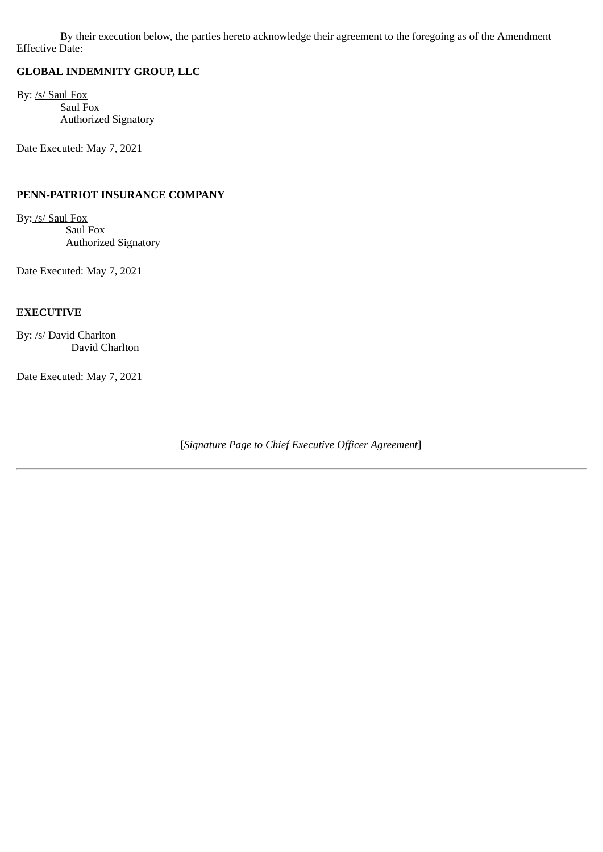By their execution below, the parties hereto acknowledge their agreement to the foregoing as of the Amendment Effective Date:

# **GLOBAL INDEMNITY GROUP, LLC**

By: /s/ Saul Fox Saul Fox Authorized Signatory

Date Executed: May 7, 2021

# **PENN-PATRIOT INSURANCE COMPANY**

By: /s/ Saul Fox Saul Fox Authorized Signatory

Date Executed: May 7, 2021

# **EXECUTIVE**

By: /s/ David Charlton David Charlton

Date Executed: May 7, 2021

[*Signature Page to Chief Executive Officer Agreement*]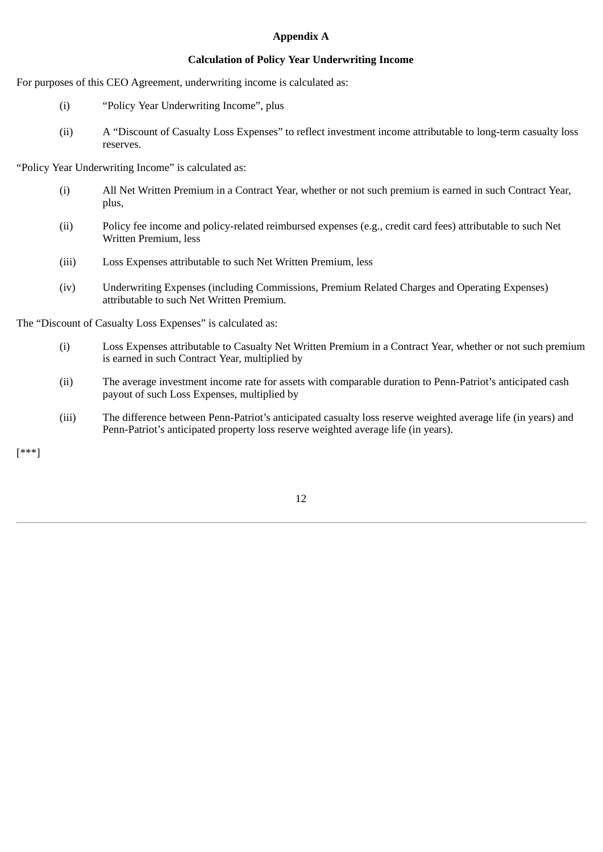# **Appendix A**

# **Calculation of Policy Year Underwriting Income**

For purposes of this CEO Agreement, underwriting income is calculated as:

- (i) "Policy Year Underwriting Income", plus
- (ii) A "Discount of Casualty Loss Expenses" to reflect investment income attributable to long-term casualty loss reserves.

"Policy Year Underwriting Income" is calculated as:

- (i) All Net Written Premium in a Contract Year, whether or not such premium is earned in such Contract Year, plus,
- (ii) Policy fee income and policy-related reimbursed expenses (e.g., credit card fees) attributable to such Net Written Premium, less
- (iii) Loss Expenses attributable to such Net Written Premium, less
- (iv) Underwriting Expenses (including Commissions, Premium Related Charges and Operating Expenses) attributable to such Net Written Premium.

The "Discount of Casualty Loss Expenses" is calculated as:

- (i) Loss Expenses attributable to Casualty Net Written Premium in a Contract Year, whether or not such premium is earned in such Contract Year, multiplied by
- (ii) The average investment income rate for assets with comparable duration to Penn-Patriot's anticipated cash payout of such Loss Expenses, multiplied by
- (iii) The difference between Penn-Patriot's anticipated casualty loss reserve weighted average life (in years) and Penn-Patriot's anticipated property loss reserve weighted average life (in years).

[\*\*\*]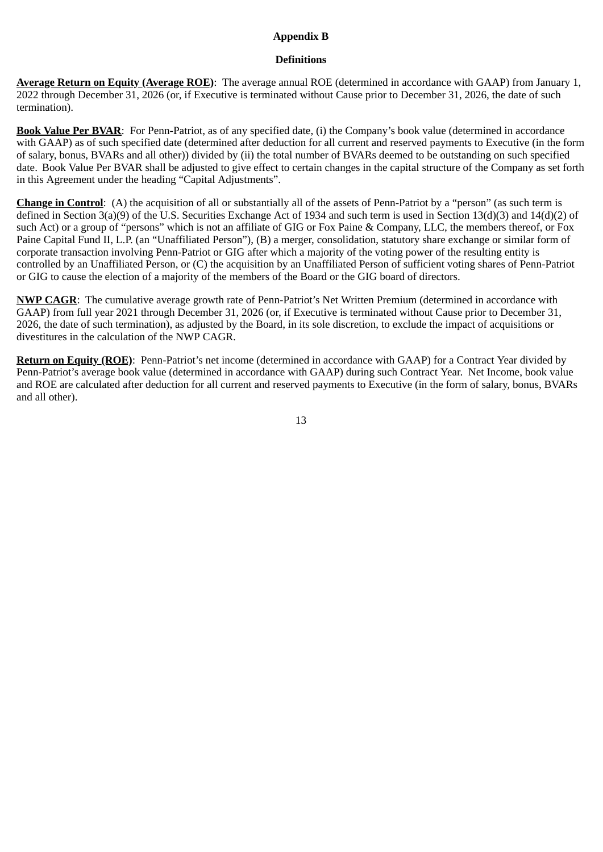# **Appendix B**

# **Definitions**

**Average Return on Equity (Average ROE)**: The average annual ROE (determined in accordance with GAAP) from January 1, 2022 through December 31, 2026 (or, if Executive is terminated without Cause prior to December 31, 2026, the date of such termination).

**Book Value Per BVAR**: For Penn-Patriot, as of any specified date, (i) the Company's book value (determined in accordance with GAAP) as of such specified date (determined after deduction for all current and reserved payments to Executive (in the form of salary, bonus, BVARs and all other)) divided by (ii) the total number of BVARs deemed to be outstanding on such specified date. Book Value Per BVAR shall be adjusted to give effect to certain changes in the capital structure of the Company as set forth in this Agreement under the heading "Capital Adjustments".

**Change in Control**: (A) the acquisition of all or substantially all of the assets of Penn-Patriot by a "person" (as such term is defined in Section 3(a)(9) of the U.S. Securities Exchange Act of 1934 and such term is used in Section 13(d)(3) and 14(d)(2) of such Act) or a group of "persons" which is not an affiliate of GIG or Fox Paine & Company, LLC, the members thereof, or Fox Paine Capital Fund II, L.P. (an "Unaffiliated Person"), (B) a merger, consolidation, statutory share exchange or similar form of corporate transaction involving Penn-Patriot or GIG after which a majority of the voting power of the resulting entity is controlled by an Unaffiliated Person, or (C) the acquisition by an Unaffiliated Person of sufficient voting shares of Penn-Patriot or GIG to cause the election of a majority of the members of the Board or the GIG board of directors.

**NWP CAGR**: The cumulative average growth rate of Penn-Patriot's Net Written Premium (determined in accordance with GAAP) from full year 2021 through December 31, 2026 (or, if Executive is terminated without Cause prior to December 31, 2026, the date of such termination), as adjusted by the Board, in its sole discretion, to exclude the impact of acquisitions or divestitures in the calculation of the NWP CAGR.

**Return on Equity (ROE)**: Penn-Patriot's net income (determined in accordance with GAAP) for a Contract Year divided by Penn-Patriot's average book value (determined in accordance with GAAP) during such Contract Year. Net Income, book value and ROE are calculated after deduction for all current and reserved payments to Executive (in the form of salary, bonus, BVARs and all other).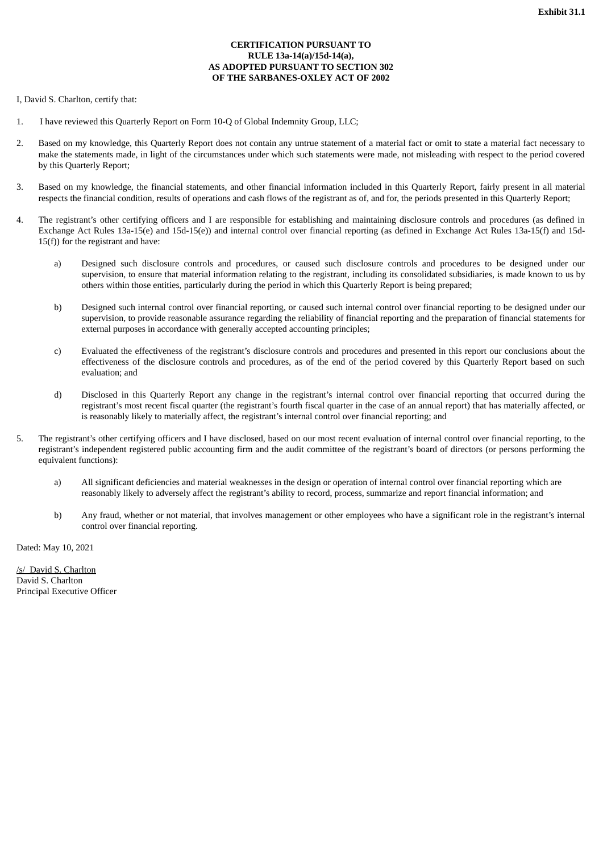# **CERTIFICATION PURSUANT TO RULE 13a-14(a)/15d-14(a), AS ADOPTED PURSUANT TO SECTION 302 OF THE SARBANES-OXLEY ACT OF 2002**

<span id="page-71-0"></span>I, David S. Charlton, certify that:

- 1. I have reviewed this Quarterly Report on Form 10-Q of Global Indemnity Group, LLC;
- 2. Based on my knowledge, this Quarterly Report does not contain any untrue statement of a material fact or omit to state a material fact necessary to make the statements made, in light of the circumstances under which such statements were made, not misleading with respect to the period covered by this Quarterly Report;
- 3. Based on my knowledge, the financial statements, and other financial information included in this Quarterly Report, fairly present in all material respects the financial condition, results of operations and cash flows of the registrant as of, and for, the periods presented in this Quarterly Report;
- 4. The registrant's other certifying officers and I are responsible for establishing and maintaining disclosure controls and procedures (as defined in Exchange Act Rules 13a-15(e) and 15d-15(e)) and internal control over financial reporting (as defined in Exchange Act Rules 13a-15(f) and 15d-15(f)) for the registrant and have:
	- a) Designed such disclosure controls and procedures, or caused such disclosure controls and procedures to be designed under our supervision, to ensure that material information relating to the registrant, including its consolidated subsidiaries, is made known to us by others within those entities, particularly during the period in which this Quarterly Report is being prepared;
	- b) Designed such internal control over financial reporting, or caused such internal control over financial reporting to be designed under our supervision, to provide reasonable assurance regarding the reliability of financial reporting and the preparation of financial statements for external purposes in accordance with generally accepted accounting principles;
	- c) Evaluated the effectiveness of the registrant's disclosure controls and procedures and presented in this report our conclusions about the effectiveness of the disclosure controls and procedures, as of the end of the period covered by this Quarterly Report based on such evaluation; and
	- d) Disclosed in this Quarterly Report any change in the registrant's internal control over financial reporting that occurred during the registrant's most recent fiscal quarter (the registrant's fourth fiscal quarter in the case of an annual report) that has materially affected, or is reasonably likely to materially affect, the registrant's internal control over financial reporting; and
- 5. The registrant's other certifying officers and I have disclosed, based on our most recent evaluation of internal control over financial reporting, to the registrant's independent registered public accounting firm and the audit committee of the registrant's board of directors (or persons performing the equivalent functions):
	- a) All significant deficiencies and material weaknesses in the design or operation of internal control over financial reporting which are reasonably likely to adversely affect the registrant's ability to record, process, summarize and report financial information; and
	- b) Any fraud, whether or not material, that involves management or other employees who have a significant role in the registrant's internal control over financial reporting.

Dated: May 10, 2021

/s/ David S. Charlton David S. Charlton Principal Executive Officer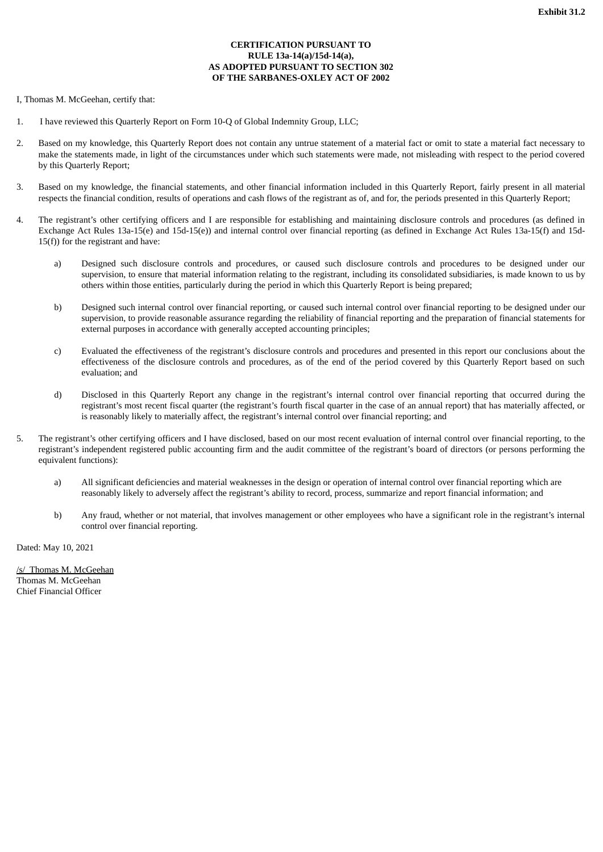## **CERTIFICATION PURSUANT TO RULE 13a-14(a)/15d-14(a), AS ADOPTED PURSUANT TO SECTION 302 OF THE SARBANES-OXLEY ACT OF 2002**

I, Thomas M. McGeehan, certify that:

- 1. I have reviewed this Quarterly Report on Form 10-Q of Global Indemnity Group, LLC;
- 2. Based on my knowledge, this Quarterly Report does not contain any untrue statement of a material fact or omit to state a material fact necessary to make the statements made, in light of the circumstances under which such statements were made, not misleading with respect to the period covered by this Quarterly Report;
- 3. Based on my knowledge, the financial statements, and other financial information included in this Quarterly Report, fairly present in all material respects the financial condition, results of operations and cash flows of the registrant as of, and for, the periods presented in this Quarterly Report;
- 4. The registrant's other certifying officers and I are responsible for establishing and maintaining disclosure controls and procedures (as defined in Exchange Act Rules 13a-15(e) and 15d-15(e)) and internal control over financial reporting (as defined in Exchange Act Rules 13a-15(f) and 15d-15(f)) for the registrant and have:
	- a) Designed such disclosure controls and procedures, or caused such disclosure controls and procedures to be designed under our supervision, to ensure that material information relating to the registrant, including its consolidated subsidiaries, is made known to us by others within those entities, particularly during the period in which this Quarterly Report is being prepared;
	- b) Designed such internal control over financial reporting, or caused such internal control over financial reporting to be designed under our supervision, to provide reasonable assurance regarding the reliability of financial reporting and the preparation of financial statements for external purposes in accordance with generally accepted accounting principles;
	- c) Evaluated the effectiveness of the registrant's disclosure controls and procedures and presented in this report our conclusions about the effectiveness of the disclosure controls and procedures, as of the end of the period covered by this Quarterly Report based on such evaluation; and
	- d) Disclosed in this Quarterly Report any change in the registrant's internal control over financial reporting that occurred during the registrant's most recent fiscal quarter (the registrant's fourth fiscal quarter in the case of an annual report) that has materially affected, or is reasonably likely to materially affect, the registrant's internal control over financial reporting; and
- 5. The registrant's other certifying officers and I have disclosed, based on our most recent evaluation of internal control over financial reporting, to the registrant's independent registered public accounting firm and the audit committee of the registrant's board of directors (or persons performing the equivalent functions):
	- a) All significant deficiencies and material weaknesses in the design or operation of internal control over financial reporting which are reasonably likely to adversely affect the registrant's ability to record, process, summarize and report financial information; and
	- b) Any fraud, whether or not material, that involves management or other employees who have a significant role in the registrant's internal control over financial reporting.

Dated: May 10, 2021

/s/ Thomas M. McGeehan Thomas M. McGeehan Chief Financial Officer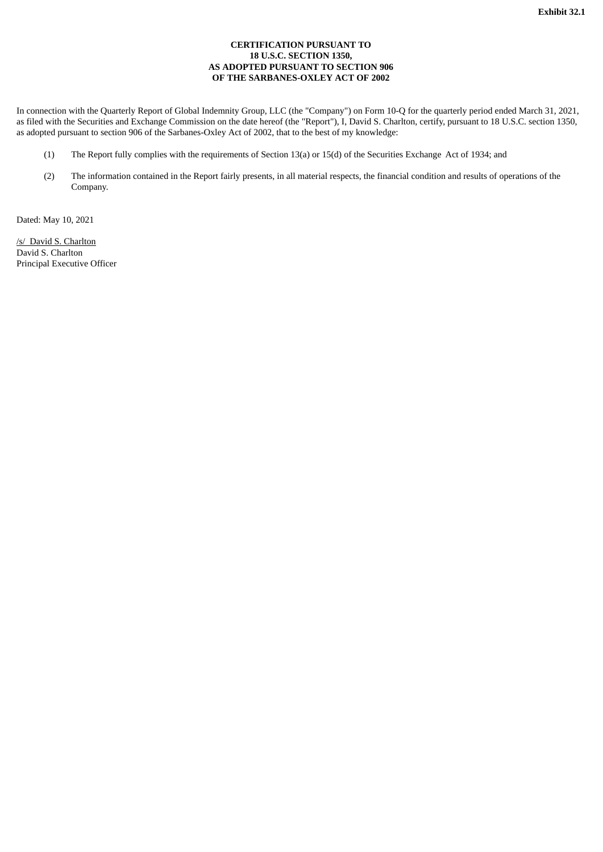## **CERTIFICATION PURSUANT TO 18 U.S.C. SECTION 1350, AS ADOPTED PURSUANT TO SECTION 906 OF THE SARBANES-OXLEY ACT OF 2002**

In connection with the Quarterly Report of Global Indemnity Group, LLC (the "Company") on Form 10-Q for the quarterly period ended March 31, 2021, as filed with the Securities and Exchange Commission on the date hereof (the "Report"), I, David S. Charlton, certify, pursuant to 18 U.S.C. section 1350, as adopted pursuant to section 906 of the Sarbanes-Oxley Act of 2002, that to the best of my knowledge:

- (1) The Report fully complies with the requirements of Section 13(a) or 15(d) of the Securities Exchange Act of 1934; and
- (2) The information contained in the Report fairly presents, in all material respects, the financial condition and results of operations of the Company.

Dated: May 10, 2021

/s/ David S. Charlton David S. Charlton Principal Executive Officer